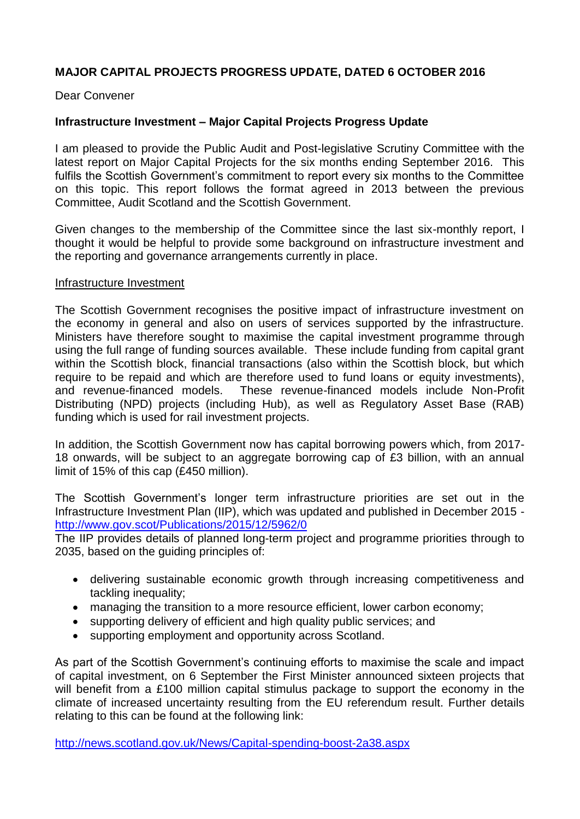## **MAJOR CAPITAL PROJECTS PROGRESS UPDATE, DATED 6 OCTOBER 2016**

Dear Convener

## **Infrastructure Investment – Major Capital Projects Progress Update**

I am pleased to provide the Public Audit and Post-legislative Scrutiny Committee with the latest report on Major Capital Projects for the six months ending September 2016. This fulfils the Scottish Government's commitment to report every six months to the Committee on this topic. This report follows the format agreed in 2013 between the previous Committee, Audit Scotland and the Scottish Government.

Given changes to the membership of the Committee since the last six-monthly report, I thought it would be helpful to provide some background on infrastructure investment and the reporting and governance arrangements currently in place.

#### Infrastructure Investment

The Scottish Government recognises the positive impact of infrastructure investment on the economy in general and also on users of services supported by the infrastructure. Ministers have therefore sought to maximise the capital investment programme through using the full range of funding sources available. These include funding from capital grant within the Scottish block, financial transactions (also within the Scottish block, but which require to be repaid and which are therefore used to fund loans or equity investments), and revenue-financed models. These revenue-financed models include Non-Profit Distributing (NPD) projects (including Hub), as well as Regulatory Asset Base (RAB) funding which is used for rail investment projects.

In addition, the Scottish Government now has capital borrowing powers which, from 2017- 18 onwards, will be subject to an aggregate borrowing cap of £3 billion, with an annual limit of 15% of this cap (£450 million).

The Scottish Government's longer term infrastructure priorities are set out in the Infrastructure Investment Plan (IIP), which was updated and published in December 2015 <http://www.gov.scot/Publications/2015/12/5962/0>

The IIP provides details of planned long-term project and programme priorities through to 2035, based on the guiding principles of:

- delivering sustainable economic growth through increasing competitiveness and tackling inequality;
- managing the transition to a more resource efficient, lower carbon economy;
- supporting delivery of efficient and high quality public services; and
- supporting employment and opportunity across Scotland.

As part of the Scottish Government's continuing efforts to maximise the scale and impact of capital investment, on 6 September the First Minister announced sixteen projects that will benefit from a £100 million capital stimulus package to support the economy in the climate of increased uncertainty resulting from the EU referendum result. Further details relating to this can be found at the following link:

<http://news.scotland.gov.uk/News/Capital-spending-boost-2a38.aspx>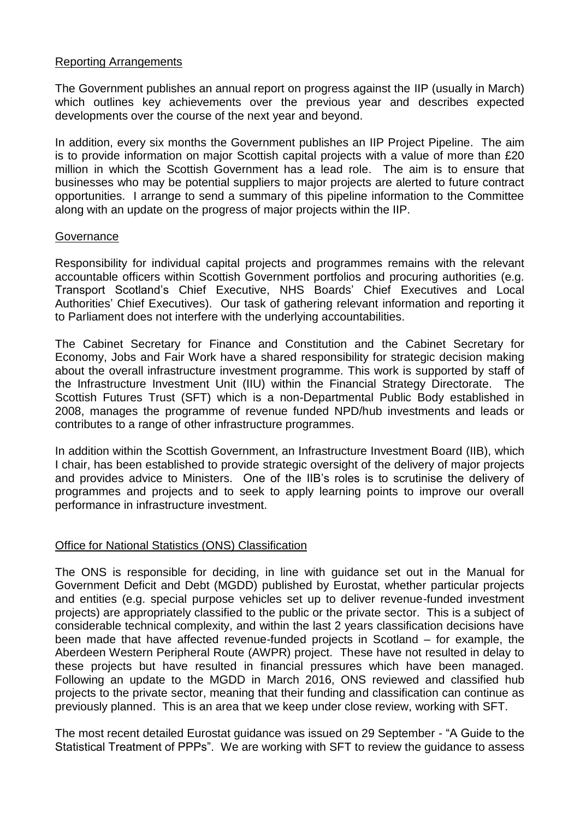## Reporting Arrangements

The Government publishes an annual report on progress against the IIP (usually in March) which outlines key achievements over the previous year and describes expected developments over the course of the next year and beyond.

In addition, every six months the Government publishes an IIP Project Pipeline. The aim is to provide information on major Scottish capital projects with a value of more than £20 million in which the Scottish Government has a lead role. The aim is to ensure that businesses who may be potential suppliers to major projects are alerted to future contract opportunities. I arrange to send a summary of this pipeline information to the Committee along with an update on the progress of major projects within the IIP.

## **Governance**

Responsibility for individual capital projects and programmes remains with the relevant accountable officers within Scottish Government portfolios and procuring authorities (e.g. Transport Scotland's Chief Executive, NHS Boards' Chief Executives and Local Authorities' Chief Executives). Our task of gathering relevant information and reporting it to Parliament does not interfere with the underlying accountabilities.

The Cabinet Secretary for Finance and Constitution and the Cabinet Secretary for Economy, Jobs and Fair Work have a shared responsibility for strategic decision making about the overall infrastructure investment programme. This work is supported by staff of the Infrastructure Investment Unit (IIU) within the Financial Strategy Directorate. The Scottish Futures Trust (SFT) which is a non-Departmental Public Body established in 2008, manages the programme of revenue funded NPD/hub investments and leads or contributes to a range of other infrastructure programmes.

In addition within the Scottish Government, an Infrastructure Investment Board (IIB), which I chair, has been established to provide strategic oversight of the delivery of major projects and provides advice to Ministers. One of the IIB's roles is to scrutinise the delivery of programmes and projects and to seek to apply learning points to improve our overall performance in infrastructure investment.

## Office for National Statistics (ONS) Classification

The ONS is responsible for deciding, in line with guidance set out in the Manual for Government Deficit and Debt (MGDD) published by Eurostat, whether particular projects and entities (e.g. special purpose vehicles set up to deliver revenue-funded investment projects) are appropriately classified to the public or the private sector. This is a subject of considerable technical complexity, and within the last 2 years classification decisions have been made that have affected revenue-funded projects in Scotland – for example, the Aberdeen Western Peripheral Route (AWPR) project. These have not resulted in delay to these projects but have resulted in financial pressures which have been managed. Following an update to the MGDD in March 2016, ONS reviewed and classified hub projects to the private sector, meaning that their funding and classification can continue as previously planned. This is an area that we keep under close review, working with SFT.

The most recent detailed Eurostat guidance was issued on 29 September - "A Guide to the Statistical Treatment of PPPs". We are working with SFT to review the guidance to assess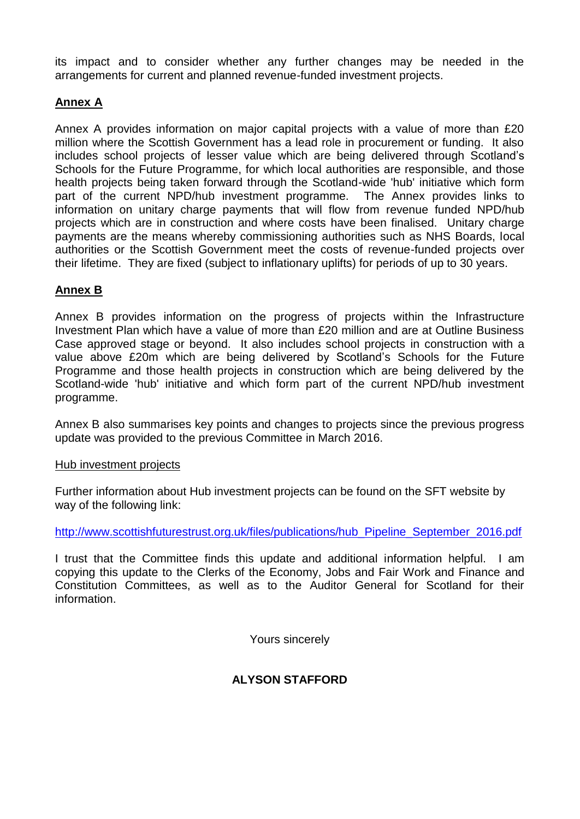its impact and to consider whether any further changes may be needed in the arrangements for current and planned revenue-funded investment projects.

# **Annex A**

Annex A provides information on major capital projects with a value of more than £20 million where the Scottish Government has a lead role in procurement or funding. It also includes school projects of lesser value which are being delivered through Scotland's Schools for the Future Programme, for which local authorities are responsible, and those health projects being taken forward through the Scotland-wide 'hub' initiative which form part of the current NPD/hub investment programme. The Annex provides links to information on unitary charge payments that will flow from revenue funded NPD/hub projects which are in construction and where costs have been finalised. Unitary charge payments are the means whereby commissioning authorities such as NHS Boards, local authorities or the Scottish Government meet the costs of revenue-funded projects over their lifetime. They are fixed (subject to inflationary uplifts) for periods of up to 30 years.

# **Annex B**

Annex B provides information on the progress of projects within the Infrastructure Investment Plan which have a value of more than £20 million and are at Outline Business Case approved stage or beyond. It also includes school projects in construction with a value above £20m which are being delivered by Scotland's Schools for the Future Programme and those health projects in construction which are being delivered by the Scotland-wide 'hub' initiative and which form part of the current NPD/hub investment programme.

Annex B also summarises key points and changes to projects since the previous progress update was provided to the previous Committee in March 2016.

## Hub investment projects

Further information about Hub investment projects can be found on the SFT website by way of the following link:

[http://www.scottishfuturestrust.org.uk/files/publications/hub\\_Pipeline\\_September\\_2016.pdf](http://www.scottishfuturestrust.org.uk/files/publications/hub_Pipeline_September_2016.pdf)

I trust that the Committee finds this update and additional information helpful. I am copying this update to the Clerks of the Economy, Jobs and Fair Work and Finance and Constitution Committees, as well as to the Auditor General for Scotland for their information.

Yours sincerely

# **ALYSON STAFFORD**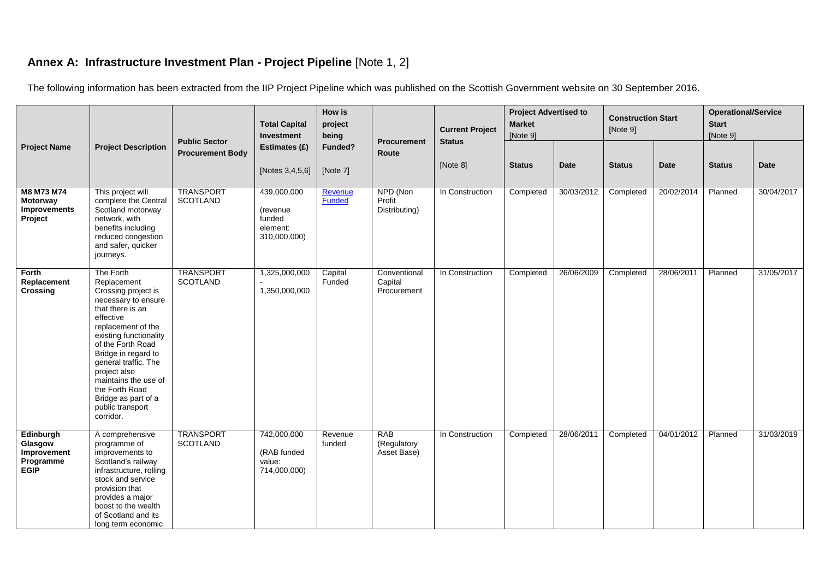# **Annex A: Infrastructure Investment Plan - Project Pipeline** [Note 1, 2]

The following information has been extracted from the IIP Project Pipeline which was published on the Scottish Government website on 30 September 2016.

|                                                                 |                                                                                                                                                                                                                                                                                                                                               | <b>Public Sector</b>                | <b>Total Capital</b><br>Investment                            | How is<br>project<br>being | <b>Procurement</b>                       | <b>Current Project</b><br><b>Status</b> | <b>Project Advertised to</b><br><b>Market</b><br>[Note 9] |            | <b>Construction Start</b><br>[Note 9] |            | <b>Operational/Service</b><br><b>Start</b><br>[Note 9] |             |
|-----------------------------------------------------------------|-----------------------------------------------------------------------------------------------------------------------------------------------------------------------------------------------------------------------------------------------------------------------------------------------------------------------------------------------|-------------------------------------|---------------------------------------------------------------|----------------------------|------------------------------------------|-----------------------------------------|-----------------------------------------------------------|------------|---------------------------------------|------------|--------------------------------------------------------|-------------|
| <b>Project Name</b>                                             | <b>Project Description</b>                                                                                                                                                                                                                                                                                                                    | <b>Procurement Body</b>             | Estimates (£)<br>[Notes 3,4,5,6]                              | Funded?<br>[Note 7]        | Route                                    | [Note 8]                                | <b>Status</b>                                             | Date       | <b>Status</b>                         | Date       | <b>Status</b>                                          | <b>Date</b> |
| M8 M73 M74<br><b>Motorway</b><br>Improvements<br>Project        | This project will<br>complete the Central<br>Scotland motorway<br>network, with<br>benefits including<br>reduced congestion<br>and safer, quicker<br>journeys.                                                                                                                                                                                | <b>TRANSPORT</b><br><b>SCOTLAND</b> | 439,000,000<br>(revenue<br>funded<br>element:<br>310,000,000) | Revenue<br><b>Funded</b>   | NPD (Non<br>Profit<br>Distributing)      | In Construction                         | Completed                                                 | 30/03/2012 | Completed                             | 20/02/2014 | Planned                                                | 30/04/2017  |
| Forth<br>Replacement<br>Crossing                                | The Forth<br>Replacement<br>Crossing project is<br>necessary to ensure<br>that there is an<br>effective<br>replacement of the<br>existing functionality<br>of the Forth Road<br>Bridge in regard to<br>general traffic. The<br>project also<br>maintains the use of<br>the Forth Road<br>Bridge as part of a<br>public transport<br>corridor. | <b>TRANSPORT</b><br><b>SCOTLAND</b> | 1,325,000,000<br>1,350,000,000                                | Capital<br>Funded          | Conventional<br>Capital<br>Procurement   | In Construction                         | Completed                                                 | 26/06/2009 | Completed                             | 28/06/2011 | Planned                                                | 31/05/2017  |
| Edinburgh<br>Glasgow<br>Improvement<br>Programme<br><b>EGIP</b> | A comprehensive<br>programme of<br>improvements to<br>Scotland's railway<br>infrastructure, rolling<br>stock and service<br>provision that<br>provides a major<br>boost to the wealth<br>of Scotland and its<br>long term economic                                                                                                            | <b>TRANSPORT</b><br><b>SCOTLAND</b> | 742,000,000<br>(RAB funded<br>value:<br>714,000,000)          | Revenue<br>funded          | <b>RAB</b><br>(Regulatory<br>Asset Base) | In Construction                         | Completed                                                 | 28/06/2011 | Completed                             | 04/01/2012 | Planned                                                | 31/03/2019  |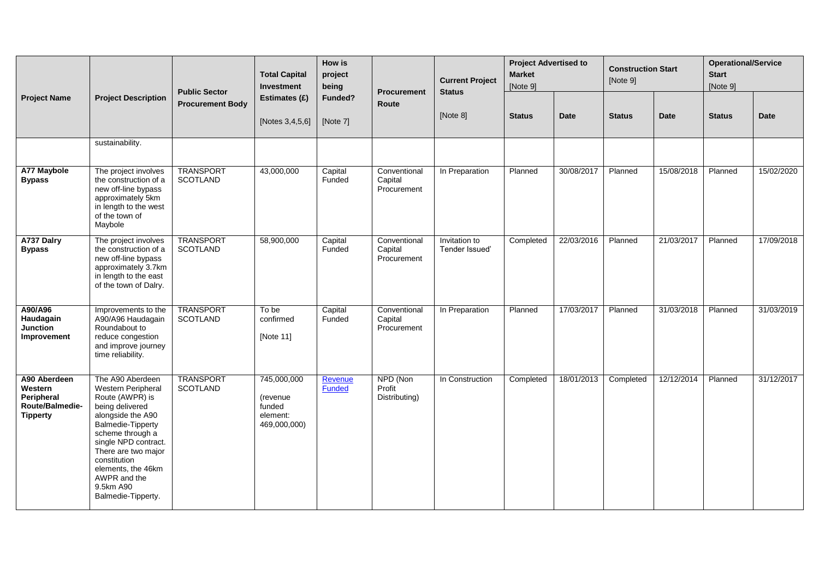|                                                                             |                                                                                                                                                                                                                                                                                    | <b>Public Sector</b>                | <b>Total Capital</b><br>Investment                            | How is<br>project<br>being | Procurement                            | <b>Current Project</b><br><b>Status</b> | <b>Project Advertised to</b><br><b>Market</b><br>[Note 9] |             | <b>Construction Start</b><br>[Note 9] |            | <b>Operational/Service</b><br><b>Start</b><br>[Note 9] |            |
|-----------------------------------------------------------------------------|------------------------------------------------------------------------------------------------------------------------------------------------------------------------------------------------------------------------------------------------------------------------------------|-------------------------------------|---------------------------------------------------------------|----------------------------|----------------------------------------|-----------------------------------------|-----------------------------------------------------------|-------------|---------------------------------------|------------|--------------------------------------------------------|------------|
| <b>Project Name</b>                                                         | <b>Project Description</b>                                                                                                                                                                                                                                                         | <b>Procurement Body</b>             | Estimates (£)                                                 | Funded?                    | Route                                  |                                         |                                                           |             |                                       |            |                                                        |            |
|                                                                             |                                                                                                                                                                                                                                                                                    |                                     | [Notes 3,4,5,6]                                               | [Note 7]                   |                                        | [Note 8]                                | <b>Status</b>                                             | <b>Date</b> | <b>Status</b>                         | Date       | <b>Status</b>                                          | Date       |
|                                                                             | sustainability.                                                                                                                                                                                                                                                                    |                                     |                                                               |                            |                                        |                                         |                                                           |             |                                       |            |                                                        |            |
| <b>A77 Maybole</b><br><b>Bypass</b>                                         | The project involves<br>the construction of a<br>new off-line bypass<br>approximately 5km<br>in length to the west<br>of the town of<br>Maybole                                                                                                                                    | <b>TRANSPORT</b><br><b>SCOTLAND</b> | 43,000,000                                                    | Capital<br>Funded          | Conventional<br>Capital<br>Procurement | In Preparation                          | Planned                                                   | 30/08/2017  | Planned                               | 15/08/2018 | Planned                                                | 15/02/2020 |
| A737 Dalry<br><b>Bypass</b>                                                 | The project involves<br>the construction of a<br>new off-line bypass<br>approximately 3.7km<br>in length to the east<br>of the town of Dalry.                                                                                                                                      | <b>TRANSPORT</b><br><b>SCOTLAND</b> | 58,900,000                                                    | Capital<br>Funded          | Conventional<br>Capital<br>Procurement | Invitation to<br>Tender Issued'         | Completed                                                 | 22/03/2016  | Planned                               | 21/03/2017 | Planned                                                | 17/09/2018 |
| A90/A96<br>Haudagain<br><b>Junction</b><br>Improvement                      | Improvements to the<br>A90/A96 Haudagain<br>Roundabout to<br>reduce congestion<br>and improve journey<br>time reliability.                                                                                                                                                         | TRANSPORT<br><b>SCOTLAND</b>        | To be<br>confirmed<br>[Note 11]                               | Capital<br>Funded          | Conventional<br>Capital<br>Procurement | In Preparation                          | Planned                                                   | 17/03/2017  | Planned                               | 31/03/2018 | Planned                                                | 31/03/2019 |
| A90 Aberdeen<br>Western<br>Peripheral<br>Route/Balmedie-<br><b>Tipperty</b> | The A90 Aberdeen<br>Western Peripheral<br>Route (AWPR) is<br>being delivered<br>alongside the A90<br>Balmedie-Tipperty<br>scheme through a<br>single NPD contract.<br>There are two major<br>constitution<br>elements, the 46km<br>AWPR and the<br>9.5km A90<br>Balmedie-Tipperty. | <b>TRANSPORT</b><br><b>SCOTLAND</b> | 745,000,000<br>(revenue<br>funded<br>element:<br>469,000,000) | Revenue<br>Funded          | NPD (Non<br>Profit<br>Distributing)    | In Construction                         | Completed                                                 | 18/01/2013  | Completed                             | 12/12/2014 | Planned                                                | 31/12/2017 |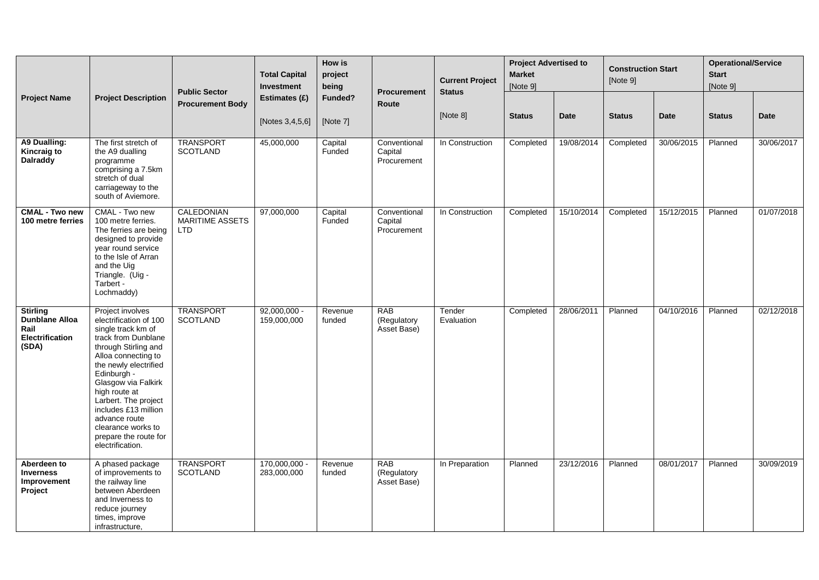|                                                                              |                                                                                                                                                                                                                                                                                                                                                            | <b>Public Sector</b>                               | <b>Total Capital</b><br>Investment | <b>How is</b><br>project<br>being | <b>Procurement</b>                       | <b>Current Project</b><br><b>Status</b> | <b>Project Advertised to</b><br><b>Market</b><br>[Note 9] |            | <b>Construction Start</b><br>[Note 9] |            | <b>Operational/Service</b><br><b>Start</b><br>[Note 9] |             |
|------------------------------------------------------------------------------|------------------------------------------------------------------------------------------------------------------------------------------------------------------------------------------------------------------------------------------------------------------------------------------------------------------------------------------------------------|----------------------------------------------------|------------------------------------|-----------------------------------|------------------------------------------|-----------------------------------------|-----------------------------------------------------------|------------|---------------------------------------|------------|--------------------------------------------------------|-------------|
| <b>Project Name</b>                                                          | <b>Project Description</b>                                                                                                                                                                                                                                                                                                                                 | <b>Procurement Body</b>                            | Estimates (£)<br>[Notes 3,4,5,6]   | Funded?<br>[Note 7]               | Route                                    | [Note 8]                                | <b>Status</b>                                             | Date       | <b>Status</b>                         | Date       | <b>Status</b>                                          | <b>Date</b> |
| A9 Dualling:<br>Kincraig to<br><b>Dalraddy</b>                               | The first stretch of<br>the A9 dualling<br>programme<br>comprising a 7.5km<br>stretch of dual<br>carriageway to the<br>south of Aviemore.                                                                                                                                                                                                                  | <b>TRANSPORT</b><br><b>SCOTLAND</b>                | 45,000,000                         | Capital<br>Funded                 | Conventional<br>Capital<br>Procurement   | In Construction                         | Completed                                                 | 19/08/2014 | Completed                             | 30/06/2015 | Planned                                                | 30/06/2017  |
| <b>CMAL - Two new</b><br>100 metre ferries                                   | CMAL - Two new<br>100 metre ferries.<br>The ferries are being<br>designed to provide<br>year round service<br>to the Isle of Arran<br>and the Uig<br>Triangle. (Uig -<br>Tarbert -<br>Lochmaddy)                                                                                                                                                           | CALEDONIAN<br><b>MARITIME ASSETS</b><br><b>LTD</b> | 97,000,000                         | Capital<br>Funded                 | Conventional<br>Capital<br>Procurement   | In Construction                         | Completed                                                 | 15/10/2014 | Completed                             | 15/12/2015 | Planned                                                | 01/07/2018  |
| <b>Stirling</b><br><b>Dunblane Alloa</b><br>Rail<br>Electrification<br>(SDA) | Project involves<br>electrification of 100<br>single track km of<br>track from Dunblane<br>through Stirling and<br>Alloa connecting to<br>the newly electrified<br>Edinburgh -<br>Glasgow via Falkirk<br>high route at<br>Larbert. The project<br>includes £13 million<br>advance route<br>clearance works to<br>prepare the route for<br>electrification. | <b>TRANSPORT</b><br><b>SCOTLAND</b>                | $92,000,000 -$<br>159,000,000      | Revenue<br>funded                 | <b>RAB</b><br>(Regulatory<br>Asset Base) | Tender<br>Evaluation                    | Completed                                                 | 28/06/2011 | Planned                               | 04/10/2016 | Planned                                                | 02/12/2018  |
| Aberdeen to<br><b>Inverness</b><br>Improvement<br>Project                    | A phased package<br>of improvements to<br>the railway line<br>between Aberdeen<br>and Inverness to<br>reduce journey<br>times, improve<br>infrastructure,                                                                                                                                                                                                  | <b>TRANSPORT</b><br><b>SCOTLAND</b>                | 170,000,000 -<br>283,000,000       | Revenue<br>funded                 | <b>RAB</b><br>(Regulatory<br>Asset Base) | In Preparation                          | Planned                                                   | 23/12/2016 | Planned                               | 08/01/2017 | Planned                                                | 30/09/2019  |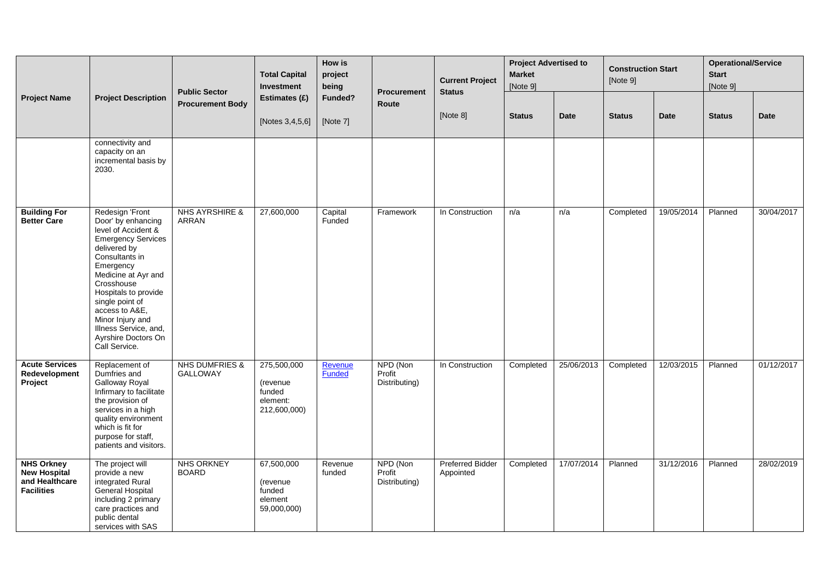|                                                                                 |                                                                                                                                                                                                                                                                                                                                 | <b>Public Sector</b>                         | <b>Total Capital</b><br>Investment                            | <b>How is</b><br>project<br>being | <b>Procurement</b>                  | <b>Current Project</b><br><b>Status</b> | <b>Project Advertised to</b><br><b>Market</b><br>[Note 9] |             | <b>Construction Start</b><br>[Note 9] |             | <b>Operational/Service</b><br><b>Start</b><br>[Note 9] |             |
|---------------------------------------------------------------------------------|---------------------------------------------------------------------------------------------------------------------------------------------------------------------------------------------------------------------------------------------------------------------------------------------------------------------------------|----------------------------------------------|---------------------------------------------------------------|-----------------------------------|-------------------------------------|-----------------------------------------|-----------------------------------------------------------|-------------|---------------------------------------|-------------|--------------------------------------------------------|-------------|
| <b>Project Name</b>                                                             | <b>Project Description</b>                                                                                                                                                                                                                                                                                                      | <b>Procurement Body</b>                      | Estimates (£)<br>[Notes 3,4,5,6]                              | Funded?<br>[Note 7]               | Route                               | [Note 8]                                | <b>Status</b>                                             | <b>Date</b> | <b>Status</b>                         | <b>Date</b> | <b>Status</b>                                          | <b>Date</b> |
|                                                                                 | connectivity and<br>capacity on an<br>incremental basis by<br>2030.                                                                                                                                                                                                                                                             |                                              |                                                               |                                   |                                     |                                         |                                                           |             |                                       |             |                                                        |             |
| <b>Building For</b><br><b>Better Care</b>                                       | Redesign 'Front<br>Door' by enhancing<br>level of Accident &<br><b>Emergency Services</b><br>delivered by<br>Consultants in<br>Emergency<br>Medicine at Ayr and<br>Crosshouse<br>Hospitals to provide<br>single point of<br>access to A&E,<br>Minor Injury and<br>Illness Service, and,<br>Ayrshire Doctors On<br>Call Service. | <b>NHS AYRSHIRE &amp;</b><br>ARRAN           | 27,600,000                                                    | Capital<br>Funded                 | Framework                           | In Construction                         | n/a                                                       | n/a         | Completed                             | 19/05/2014  | Planned                                                | 30/04/2017  |
| <b>Acute Services</b><br>Redevelopment<br>Project                               | Replacement of<br>Dumfries and<br>Galloway Royal<br>Infirmary to facilitate<br>the provision of<br>services in a high<br>quality environment<br>which is fit for<br>purpose for staff,<br>patients and visitors.                                                                                                                | <b>NHS DUMFRIES &amp;</b><br><b>GALLOWAY</b> | 275,500,000<br>(revenue<br>funded<br>element:<br>212,600,000) | Revenue<br><b>Funded</b>          | NPD (Non<br>Profit<br>Distributing) | In Construction                         | Completed                                                 | 25/06/2013  | Completed                             | 12/03/2015  | Planned                                                | 01/12/2017  |
| <b>NHS Orkney</b><br><b>New Hospital</b><br>and Healthcare<br><b>Facilities</b> | The project will<br>provide a new<br>integrated Rural<br>General Hospital<br>including 2 primary<br>care practices and<br>public dental<br>services with SAS                                                                                                                                                                    | <b>NHS ORKNEY</b><br><b>BOARD</b>            | 67,500,000<br>(revenue)<br>funded<br>element<br>59,000,000)   | Revenue<br>funded                 | NPD (Non<br>Profit<br>Distributing) | <b>Preferred Bidder</b><br>Appointed    | Completed                                                 | 17/07/2014  | Planned                               | 31/12/2016  | Planned                                                | 28/02/2019  |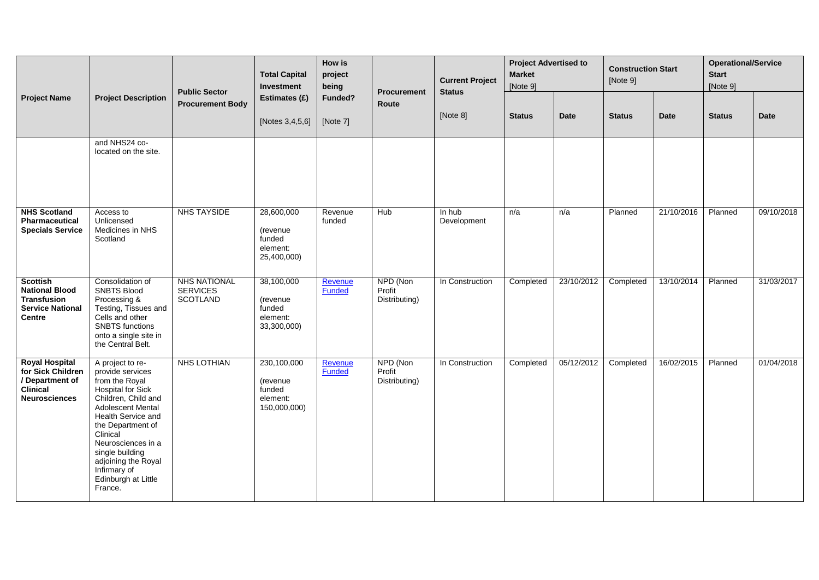|                                                                                                            |                                                                                                                                                                                                                                                                                                                | <b>Public Sector</b>                                      | <b>Total Capital</b><br>Investment                            | How is<br>project<br>being | <b>Procurement</b>                  | <b>Current Project</b><br><b>Status</b> | <b>Project Advertised to</b><br><b>Market</b><br>[Note 9] |            | <b>Construction Start</b><br>[Note 9] |             | <b>Operational/Service</b><br><b>Start</b><br>[Note 9] |             |
|------------------------------------------------------------------------------------------------------------|----------------------------------------------------------------------------------------------------------------------------------------------------------------------------------------------------------------------------------------------------------------------------------------------------------------|-----------------------------------------------------------|---------------------------------------------------------------|----------------------------|-------------------------------------|-----------------------------------------|-----------------------------------------------------------|------------|---------------------------------------|-------------|--------------------------------------------------------|-------------|
| <b>Project Name</b>                                                                                        | <b>Project Description</b>                                                                                                                                                                                                                                                                                     | <b>Procurement Body</b>                                   | Estimates (£)<br>[Notes 3,4,5,6]                              | Funded?<br>[Note 7]        | Route                               | [Note 8]                                | <b>Status</b>                                             | Date       | <b>Status</b>                         | <b>Date</b> | <b>Status</b>                                          | <b>Date</b> |
|                                                                                                            | and NHS24 co-<br>located on the site.                                                                                                                                                                                                                                                                          |                                                           |                                                               |                            |                                     |                                         |                                                           |            |                                       |             |                                                        |             |
| <b>NHS Scotland</b><br><b>Pharmaceutical</b><br><b>Specials Service</b>                                    | Access to<br>Unlicensed<br>Medicines in NHS<br>Scotland                                                                                                                                                                                                                                                        | <b>NHS TAYSIDE</b>                                        | 28,600,000<br>(revenue<br>funded<br>element:<br>25,400,000)   | Revenue<br>funded          | Hub                                 | In hub<br>Development                   | n/a                                                       | n/a        | Planned                               | 21/10/2016  | Planned                                                | 09/10/2018  |
| <b>Scottish</b><br><b>National Blood</b><br><b>Transfusion</b><br><b>Service National</b><br><b>Centre</b> | Consolidation of<br><b>SNBTS Blood</b><br>Processing &<br>Testing, Tissues and<br>Cells and other<br><b>SNBTS</b> functions<br>onto a single site in<br>the Central Belt.                                                                                                                                      | <b>NHS NATIONAL</b><br><b>SERVICES</b><br><b>SCOTLAND</b> | 38,100,000<br>(revenue)<br>funded<br>element:<br>33,300,000)  | <b>Revenue</b><br>Funded   | NPD (Non<br>Profit<br>Distributing) | In Construction                         | Completed                                                 | 23/10/2012 | Completed                             | 13/10/2014  | Planned                                                | 31/03/2017  |
| <b>Royal Hospital</b><br>for Sick Children<br>/ Department of<br><b>Clinical</b><br><b>Neurosciences</b>   | A project to re-<br>provide services<br>from the Royal<br><b>Hospital for Sick</b><br>Children, Child and<br><b>Adolescent Mental</b><br>Health Service and<br>the Department of<br>Clinical<br>Neurosciences in a<br>single building<br>adjoining the Royal<br>Infirmary of<br>Edinburgh at Little<br>France. | NHS LOTHIAN                                               | 230,100,000<br>(revenue<br>funded<br>element:<br>150,000,000) | Revenue<br><b>Funded</b>   | NPD (Non<br>Profit<br>Distributing) | In Construction                         | Completed                                                 | 05/12/2012 | Completed                             | 16/02/2015  | Planned                                                | 01/04/2018  |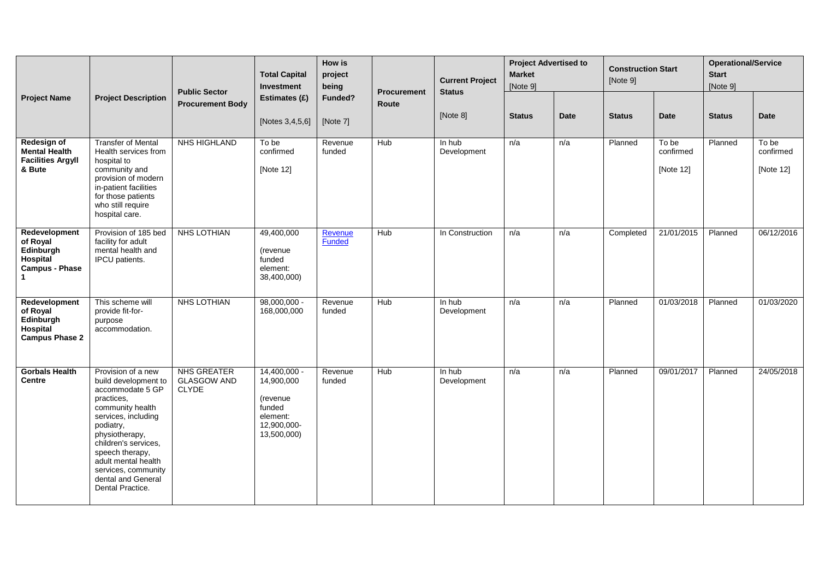|                                                                             |                                                                                                                                                                                                                                                                                           | <b>Public Sector</b>                                     | <b>Total Capital</b><br><b>Investment</b>                                                     | <b>How is</b><br>project<br>being | <b>Procurement</b> | <b>Current Project</b><br><b>Status</b> | <b>Project Advertised to</b><br><b>Market</b><br>[Note 9] |             | <b>Construction Start</b><br>[Note 9] |                                 | <b>Operational/Service</b><br><b>Start</b><br>[Note 9] |                                 |
|-----------------------------------------------------------------------------|-------------------------------------------------------------------------------------------------------------------------------------------------------------------------------------------------------------------------------------------------------------------------------------------|----------------------------------------------------------|-----------------------------------------------------------------------------------------------|-----------------------------------|--------------------|-----------------------------------------|-----------------------------------------------------------|-------------|---------------------------------------|---------------------------------|--------------------------------------------------------|---------------------------------|
| <b>Project Name</b>                                                         | <b>Project Description</b>                                                                                                                                                                                                                                                                | <b>Procurement Body</b>                                  | Estimates (£)<br>[Notes 3,4,5,6]                                                              | Funded?<br>[Note 7]               | Route              | [Note 8]                                | <b>Status</b>                                             | <b>Date</b> | <b>Status</b>                         | <b>Date</b>                     | <b>Status</b>                                          | Date                            |
| Redesign of<br><b>Mental Health</b><br><b>Facilities Argyll</b><br>& Bute   | <b>Transfer of Mental</b><br>Health services from<br>hospital to<br>community and<br>provision of modern<br>in-patient facilities<br>for those patients<br>who still require<br>hospital care.                                                                                            | <b>NHS HIGHLAND</b>                                      | To be<br>confirmed<br>[Note 12]                                                               | Revenue<br>funded                 | Hub                | In hub<br>Development                   | n/a                                                       | n/a         | Planned                               | To be<br>confirmed<br>[Note 12] | Planned                                                | To be<br>confirmed<br>[Note 12] |
| Redevelopment<br>of Royal<br>Edinburgh<br>Hospital<br><b>Campus - Phase</b> | Provision of 185 bed<br>facility for adult<br>mental health and<br>IPCU patients.                                                                                                                                                                                                         | <b>NHS LOTHIAN</b>                                       | 49,400,000<br>(revenue<br>funded<br>element:<br>38,400,000)                                   | Revenue<br>Funded                 | <b>Hub</b>         | In Construction                         | n/a                                                       | n/a         | Completed                             | 21/01/2015                      | Planned                                                | 06/12/2016                      |
| Redevelopment<br>of Royal<br>Edinburgh<br>Hospital<br><b>Campus Phase 2</b> | This scheme will<br>provide fit-for-<br>purpose<br>accommodation.                                                                                                                                                                                                                         | <b>NHS LOTHIAN</b>                                       | $98,000,000 -$<br>168,000,000                                                                 | Revenue<br>funded                 | <b>Hub</b>         | $\overline{\ln$ hub<br>Development      | n/a                                                       | n/a         | Planned                               | 01/03/2018                      | Planned                                                | 01/03/2020                      |
| <b>Gorbals Health</b><br><b>Centre</b>                                      | Provision of a new<br>build development to<br>accommodate 5 GP<br>practices.<br>community health<br>services, including<br>podiatry,<br>physiotherapy,<br>children's services,<br>speech therapy,<br>adult mental health<br>services, community<br>dental and General<br>Dental Practice. | <b>NHS GREATER</b><br><b>GLASGOW AND</b><br><b>CLYDE</b> | $14,400,000 -$<br>14,900,000<br>(revenue)<br>funded<br>element:<br>12,900,000-<br>13,500,000) | Revenue<br>funded                 | Hub                | In hub<br>Development                   | n/a                                                       | n/a         | Planned                               | 09/01/2017                      | Planned                                                | 24/05/2018                      |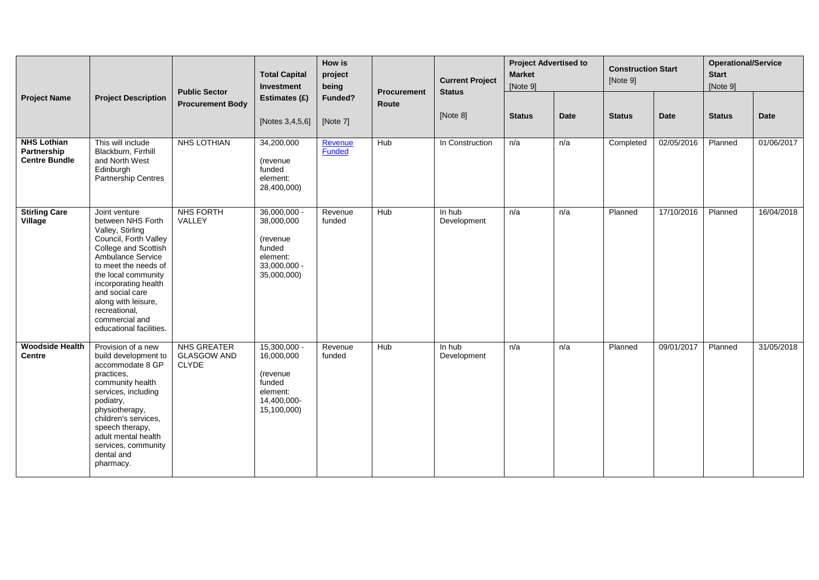|                                                           |                                                                                                                                                                                                                                                                                                             | <b>Public Sector</b>                                     | <b>Total Capital</b><br>Investment                                                            | How is<br>project<br>being | <b>Procurement</b> | <b>Current Project</b><br><b>Status</b> | <b>Market</b><br>[Note 9] | <b>Project Advertised to</b> | <b>Construction Start</b><br>[Note 9] |             | <b>Operational/Service</b><br><b>Start</b><br>[Note 9] |             |
|-----------------------------------------------------------|-------------------------------------------------------------------------------------------------------------------------------------------------------------------------------------------------------------------------------------------------------------------------------------------------------------|----------------------------------------------------------|-----------------------------------------------------------------------------------------------|----------------------------|--------------------|-----------------------------------------|---------------------------|------------------------------|---------------------------------------|-------------|--------------------------------------------------------|-------------|
| <b>Project Name</b>                                       | <b>Project Description</b>                                                                                                                                                                                                                                                                                  | <b>Procurement Body</b>                                  | Estimates (£)<br>[Notes 3,4,5,6]                                                              | Funded?<br>[Note 7]        | Route              | [Note 8]                                | <b>Status</b>             | <b>Date</b>                  | <b>Status</b>                         | <b>Date</b> | <b>Status</b>                                          | <b>Date</b> |
| <b>NHS Lothian</b><br>Partnership<br><b>Centre Bundle</b> | This will include<br>Blackburn, Firrhill<br>and North West<br>Edinburgh<br><b>Partnership Centres</b>                                                                                                                                                                                                       | <b>NHS LOTHIAN</b>                                       | 34,200,000<br>(revenue<br>funded<br>element:<br>28,400,000)                                   | Revenue<br><b>Funded</b>   | Hub                | In Construction                         | n/a                       | n/a                          | Completed                             | 02/05/2016  | Planned                                                | 01/06/2017  |
| <b>Stirling Care</b><br>Village                           | Joint venture<br>between NHS Forth<br>Valley, Stirling<br>Council, Forth Valley<br>College and Scottish<br>Ambulance Service<br>to meet the needs of<br>the local community<br>incorporating health<br>and social care<br>along with leisure,<br>recreational,<br>commercial and<br>educational facilities. | NHS FORTH<br>VALLEY                                      | $36,000,000 -$<br>38,000,000<br>(revenue<br>funded<br>element:<br>33,000,000 -<br>35,000,000) | Revenue<br>funded          | <b>Hub</b>         | In hub<br>Development                   | n/a                       | n/a                          | Planned                               | 17/10/2016  | Planned                                                | 16/04/2018  |
| <b>Woodside Health</b><br><b>Centre</b>                   | Provision of a new<br>build development to<br>accommodate 8 GP<br>practices.<br>community health<br>services, including<br>podiatry,<br>physiotherapy,<br>children's services,<br>speech therapy,<br>adult mental health<br>services, community<br>dental and<br>pharmacy.                                  | <b>NHS GREATER</b><br><b>GLASGOW AND</b><br><b>CLYDE</b> | $15,300,000 -$<br>16,000,000<br>(revenue<br>funded<br>element:<br>14,400,000-<br>15,100,000)  | Revenue<br>funded          | <b>Hub</b>         | In hub<br>Development                   | n/a                       | n/a                          | Planned                               | 09/01/2017  | Planned                                                | 31/05/2018  |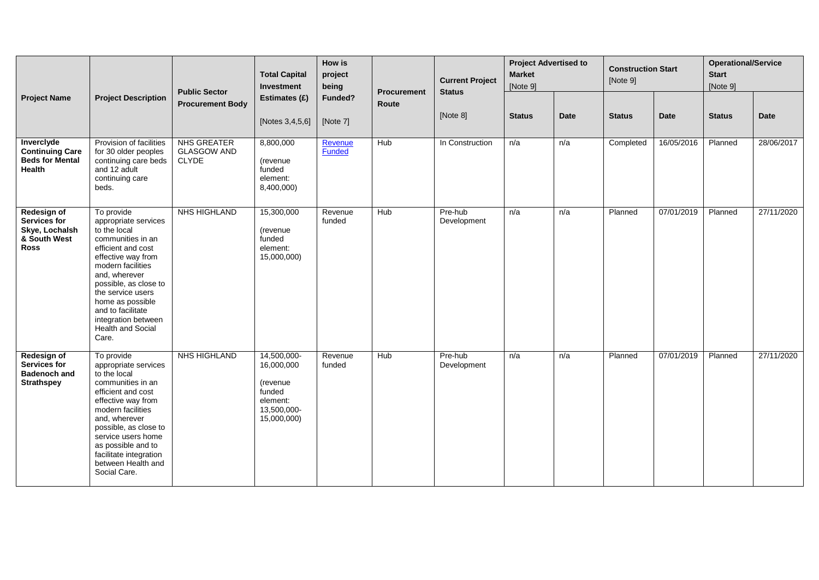| <b>Project Name</b>                                                                        |                                                                                                                                                                                                                                                                                                              | <b>Public Sector</b>                                     | <b>Total Capital</b><br>Investment                                                        | How is<br>project<br>being | <b>Procurement</b> | <b>Current Project</b><br><b>Status</b> | <b>Project Advertised to</b><br><b>Market</b><br>[Note 9] |      | <b>Construction Start</b><br>[Note 9] |            | <b>Operational/Service</b><br><b>Start</b><br>[Note 9] |             |
|--------------------------------------------------------------------------------------------|--------------------------------------------------------------------------------------------------------------------------------------------------------------------------------------------------------------------------------------------------------------------------------------------------------------|----------------------------------------------------------|-------------------------------------------------------------------------------------------|----------------------------|--------------------|-----------------------------------------|-----------------------------------------------------------|------|---------------------------------------|------------|--------------------------------------------------------|-------------|
|                                                                                            | <b>Project Description</b>                                                                                                                                                                                                                                                                                   | <b>Procurement Body</b>                                  | Estimates (£)<br>[Notes 3,4,5,6]                                                          | Funded?<br>[Note 7]        | Route              | [Note 8]                                | <b>Status</b>                                             | Date | <b>Status</b>                         | Date       | <b>Status</b>                                          | <b>Date</b> |
| Inverclyde<br><b>Continuing Care</b><br><b>Beds for Mental</b><br>Health                   | Provision of facilities<br>for 30 older peoples<br>continuing care beds<br>and 12 adult<br>continuing care<br>beds.                                                                                                                                                                                          | <b>NHS GREATER</b><br><b>GLASGOW AND</b><br><b>CLYDE</b> | 8,800,000<br>(revenue<br>funded<br>element:<br>8,400,000)                                 | Revenue<br><b>Funded</b>   | Hub                | In Construction                         | n/a                                                       | n/a  | Completed                             | 16/05/2016 | Planned                                                | 28/06/2017  |
| <b>Redesign of</b><br><b>Services for</b><br>Skye, Lochalsh<br>& South West<br><b>Ross</b> | To provide<br>appropriate services<br>to the local<br>communities in an<br>efficient and cost<br>effective way from<br>modern facilities<br>and, wherever<br>possible, as close to<br>the service users<br>home as possible<br>and to facilitate<br>integration between<br><b>Health and Social</b><br>Care. | NHS HIGHLAND                                             | 15,300,000<br>(revenue<br>funded<br>element:<br>15,000,000)                               | Revenue<br>funded          | Hub                | Pre-hub<br>Development                  | n/a                                                       | n/a  | Planned                               | 07/01/2019 | Planned                                                | 27/11/2020  |
| <b>Redesign of</b><br><b>Services for</b><br><b>Badenoch and</b><br><b>Strathspey</b>      | To provide<br>appropriate services<br>to the local<br>communities in an<br>efficient and cost<br>effective way from<br>modern facilities<br>and, wherever<br>possible, as close to<br>service users home<br>as possible and to<br>facilitate integration<br>between Health and<br>Social Care.               | <b>NHS HIGHLAND</b>                                      | 14,500,000-<br>16,000,000<br>(revenue<br>funded<br>element:<br>13,500,000-<br>15,000,000) | Revenue<br>funded          | <b>Hub</b>         | Pre-hub<br>Development                  | n/a                                                       | n/a  | Planned                               | 07/01/2019 | Planned                                                | 27/11/2020  |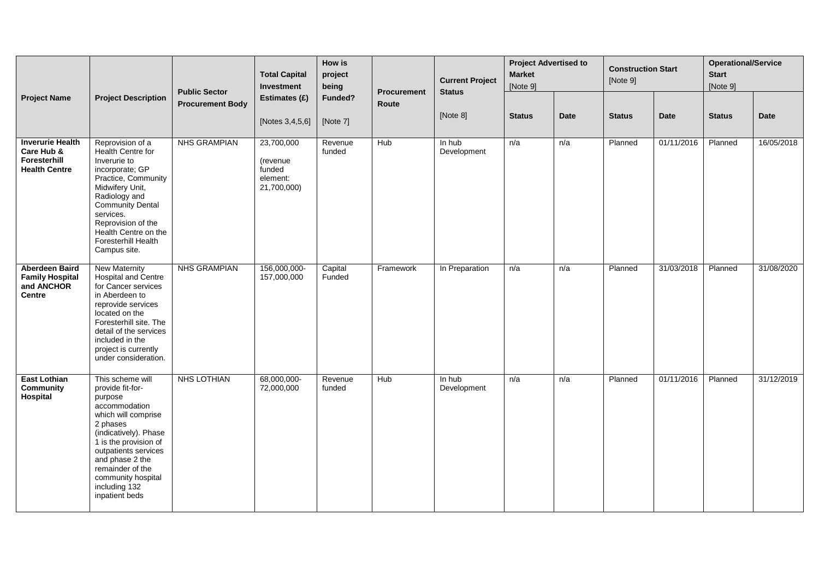| <b>Project Name</b>                                                            |                                                                                                                                                                                                                                                                               | <b>Public Sector</b>    | <b>Total Capital</b><br>Investment                          | How is<br>project<br>being | <b>Procurement</b> | <b>Current Project</b><br><b>Status</b> | <b>Project Advertised to</b><br><b>Market</b><br>[Note 9] |             | <b>Construction Start</b><br>[Note 9] |             | <b>Operational/Service</b><br><b>Start</b><br>[Note 9] |             |
|--------------------------------------------------------------------------------|-------------------------------------------------------------------------------------------------------------------------------------------------------------------------------------------------------------------------------------------------------------------------------|-------------------------|-------------------------------------------------------------|----------------------------|--------------------|-----------------------------------------|-----------------------------------------------------------|-------------|---------------------------------------|-------------|--------------------------------------------------------|-------------|
|                                                                                | <b>Project Description</b>                                                                                                                                                                                                                                                    | <b>Procurement Body</b> | Estimates (£)<br>[Notes 3,4,5,6]                            | Funded?<br>[Note 7]        | Route              | [Note 8]                                | <b>Status</b>                                             | <b>Date</b> | <b>Status</b>                         | <b>Date</b> | <b>Status</b>                                          | <b>Date</b> |
| <b>Inverurie Health</b><br>Care Hub &<br>Foresterhill<br><b>Health Centre</b>  | Reprovision of a<br>Health Centre for<br>Inverurie to<br>incorporate; GP<br>Practice, Community<br>Midwifery Unit,<br>Radiology and<br><b>Community Dental</b><br>services.<br>Reprovision of the<br>Health Centre on the<br>Foresterhill Health<br>Campus site.              | <b>NHS GRAMPIAN</b>     | 23,700,000<br>(revenue<br>funded<br>element:<br>21,700,000) | Revenue<br>funded          | Hub                | In hub<br>Development                   | n/a                                                       | n/a         | Planned                               | 01/11/2016  | Planned                                                | 16/05/2018  |
| <b>Aberdeen Baird</b><br><b>Family Hospital</b><br>and ANCHOR<br><b>Centre</b> | <b>New Maternity</b><br>Hospital and Centre<br>for Cancer services<br>in Aberdeen to<br>reprovide services<br>located on the<br>Foresterhill site. The<br>detail of the services<br>included in the<br>project is currently<br>under consideration.                           | <b>NHS GRAMPIAN</b>     | 156,000,000-<br>157,000,000                                 | Capital<br>Funded          | Framework          | In Preparation                          | n/a                                                       | n/a         | Planned                               | 31/03/2018  | Planned                                                | 31/08/2020  |
| <b>East Lothian</b><br>Community<br>Hospital                                   | This scheme will<br>provide fit-for-<br>purpose<br>accommodation<br>which will comprise<br>2 phases<br>(indicatively). Phase<br>1 is the provision of<br>outpatients services<br>and phase 2 the<br>remainder of the<br>community hospital<br>including 132<br>inpatient beds | NHS LOTHIAN             | 68,000,000-<br>72,000,000                                   | Revenue<br>funded          | Hub                | In hub<br>Development                   | n/a                                                       | n/a         | Planned                               | 01/11/2016  | Planned                                                | 31/12/2019  |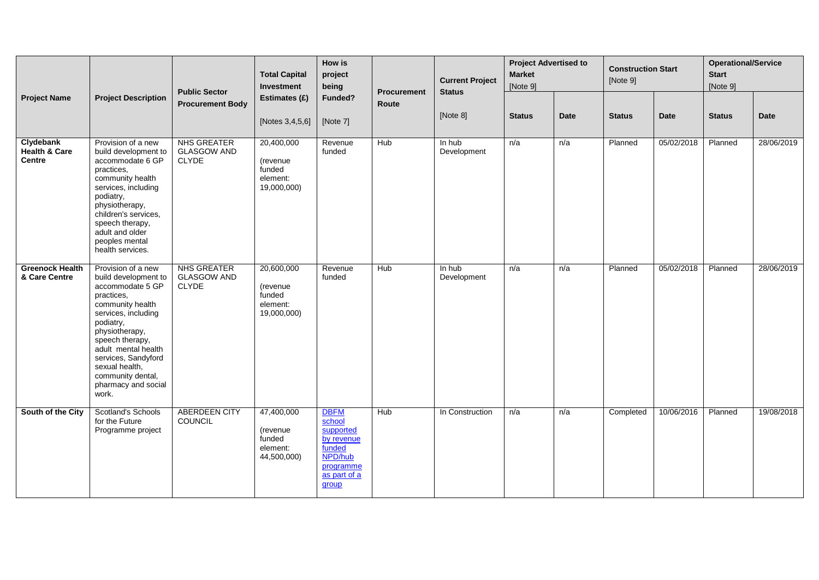|                                                        |                                                                                                                                                                                                                                                                                                | <b>Public Sector</b>                                     | <b>Total Capital</b><br>Investment                           | How is<br>project<br>being                                                                                  | <b>Procurement</b> | <b>Current Project</b><br><b>Status</b> | <b>Project Advertised to</b><br><b>Market</b><br>[Note 9] |             | <b>Construction Start</b><br>[Note 9] |             | <b>Operational/Service</b><br><b>Start</b><br>[Note 9] |            |
|--------------------------------------------------------|------------------------------------------------------------------------------------------------------------------------------------------------------------------------------------------------------------------------------------------------------------------------------------------------|----------------------------------------------------------|--------------------------------------------------------------|-------------------------------------------------------------------------------------------------------------|--------------------|-----------------------------------------|-----------------------------------------------------------|-------------|---------------------------------------|-------------|--------------------------------------------------------|------------|
| <b>Project Name</b>                                    | <b>Project Description</b>                                                                                                                                                                                                                                                                     | <b>Procurement Body</b>                                  | Estimates (£)<br>[Notes 3,4,5,6]                             | Funded?<br>[Note 7]                                                                                         | Route              | [Note 8]                                | <b>Status</b>                                             | <b>Date</b> | <b>Status</b>                         | <b>Date</b> | <b>Status</b>                                          | Date       |
| Clydebank<br><b>Health &amp; Care</b><br><b>Centre</b> | Provision of a new<br>build development to<br>accommodate 6 GP<br>practices,<br>community health<br>services, including<br>podiatry,<br>physiotherapy,<br>children's services,<br>speech therapy,<br>adult and older<br>peoples mental<br>health services.                                     | <b>NHS GREATER</b><br><b>GLASGOW AND</b><br><b>CLYDE</b> | 20,400,000<br>(revenue<br>funded<br>element:<br>19,000,000)  | Revenue<br>funded                                                                                           | Hub                | In hub<br>Development                   | n/a                                                       | n/a         | Planned                               | 05/02/2018  | Planned                                                | 28/06/2019 |
| <b>Greenock Health</b><br>& Care Centre                | Provision of a new<br>build development to<br>accommodate 5 GP<br>practices.<br>community health<br>services, including<br>podiatry,<br>physiotherapy,<br>speech therapy,<br>adult mental health<br>services, Sandyford<br>sexual health,<br>community dental,<br>pharmacy and social<br>work. | NHS GREATER<br><b>GLASGOW AND</b><br><b>CLYDE</b>        | 20,600,000<br>(revenue)<br>funded<br>element:<br>19,000,000) | Revenue<br>funded                                                                                           | Hub                | In hub<br>Development                   | n/a                                                       | n/a         | Planned                               | 05/02/2018  | Planned                                                | 28/06/2019 |
| South of the City                                      | Scotland's Schools<br>for the Future<br>Programme project                                                                                                                                                                                                                                      | <b>ABERDEEN CITY</b><br><b>COUNCIL</b>                   | 47,400,000<br>(revenue<br>funded<br>element:<br>44,500,000)  | <b>DBFM</b><br>school<br>supported<br>by revenue<br>funded<br>NPD/hub<br>programme<br>as part of a<br>group | Hub                | In Construction                         | n/a                                                       | n/a         | Completed                             | 10/06/2016  | Planned                                                | 19/08/2018 |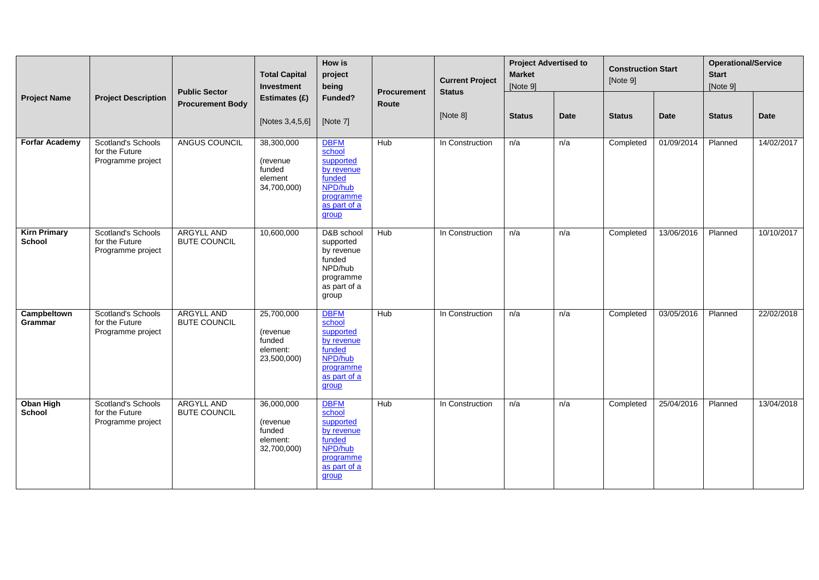| <b>Project Name</b>                  |                                                                  | <b>Public Sector</b>                     | <b>Total Capital</b><br>Investment                          | How is<br>project<br>being                                                                                  | <b>Procurement</b> | <b>Current Project</b><br><b>Status</b> | <b>Project Advertised to</b><br><b>Market</b><br>[Note 9] |      | <b>Construction Start</b><br>[Note 9] |            | <b>Operational/Service</b><br><b>Start</b><br>[Note 9] |             |
|--------------------------------------|------------------------------------------------------------------|------------------------------------------|-------------------------------------------------------------|-------------------------------------------------------------------------------------------------------------|--------------------|-----------------------------------------|-----------------------------------------------------------|------|---------------------------------------|------------|--------------------------------------------------------|-------------|
|                                      | <b>Project Description</b>                                       | <b>Procurement Body</b>                  | Estimates (£)<br>[Notes 3,4,5,6]                            | Funded?<br>[Note 7]                                                                                         | Route              | [Note 8]                                | <b>Status</b>                                             | Date | <b>Status</b>                         | Date       | <b>Status</b>                                          | <b>Date</b> |
| <b>Forfar Academy</b>                | <b>Scotland's Schools</b><br>for the Future<br>Programme project | ANGUS COUNCIL                            | 38,300,000<br>(revenue<br>funded<br>element<br>34,700,000)  | <b>DBFM</b><br>school<br>supported<br>by revenue<br>funded<br>NPD/hub<br>programme<br>as part of a<br>group | Hub                | In Construction                         | n/a                                                       | n/a  | Completed                             | 01/09/2014 | Planned                                                | 14/02/2017  |
| <b>Kirn Primary</b><br><b>School</b> | <b>Scotland's Schools</b><br>for the Future<br>Programme project | <b>ARGYLL AND</b><br><b>BUTE COUNCIL</b> | 10,600,000                                                  | D&B school<br>supported<br>by revenue<br>funded<br>NPD/hub<br>programme<br>as part of a<br>group            | Hub                | In Construction                         | n/a                                                       | n/a  | Completed                             | 13/06/2016 | Planned                                                | 10/10/2017  |
| Campbeltown<br>Grammar               | <b>Scotland's Schools</b><br>for the Future<br>Programme project | <b>ARGYLL AND</b><br><b>BUTE COUNCIL</b> | 25,700,000<br>(revenue<br>funded<br>element:<br>23,500,000) | <b>DBFM</b><br>school<br>supported<br>by revenue<br>funded<br>NPD/hub<br>programme<br>as part of a<br>group | Hub                | In Construction                         | n/a                                                       | n/a  | Completed                             | 03/05/2016 | Planned                                                | 22/02/2018  |
| <b>Oban High</b><br>School           | <b>Scotland's Schools</b><br>for the Future<br>Programme project | <b>ARGYLL AND</b><br><b>BUTE COUNCIL</b> | 36,000,000<br>(revenue<br>funded<br>element:<br>32,700,000) | <b>DBFM</b><br>school<br>supported<br>by revenue<br>funded<br>NPD/hub<br>programme<br>as part of a<br>group | Hub                | In Construction                         | n/a                                                       | n/a  | Completed                             | 25/04/2016 | Planned                                                | 13/04/2018  |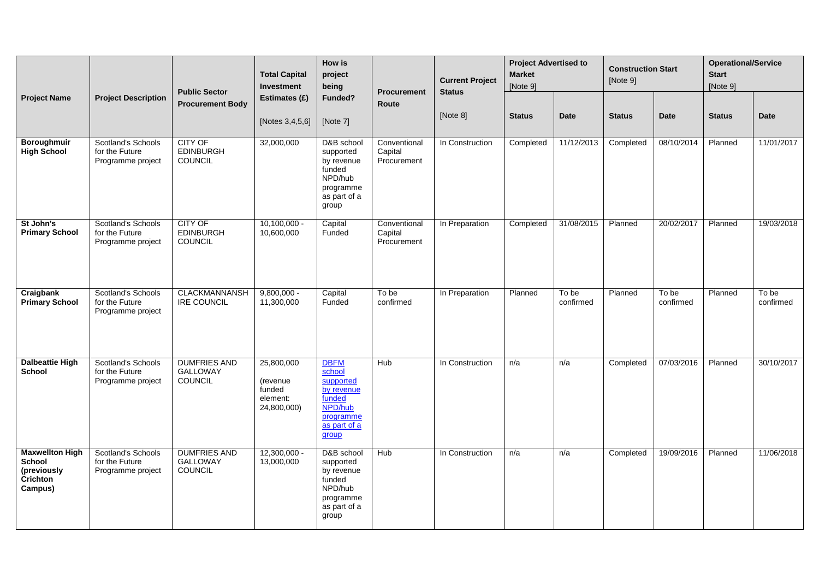| <b>Project Name</b>                                                           |                                                                  | <b>Public Sector</b>                                     | <b>Total Capital</b><br>Investment                                  | How is<br>project<br>being                                                                                  | <b>Procurement</b>                     | <b>Current Project</b><br><b>Status</b> | <b>Project Advertised to</b><br><b>Market</b><br>[Note 9] |                    | <b>Construction Start</b><br>[Note 9] |                    | <b>Operational/Service</b><br><b>Start</b><br>[Note 9] |                    |
|-------------------------------------------------------------------------------|------------------------------------------------------------------|----------------------------------------------------------|---------------------------------------------------------------------|-------------------------------------------------------------------------------------------------------------|----------------------------------------|-----------------------------------------|-----------------------------------------------------------|--------------------|---------------------------------------|--------------------|--------------------------------------------------------|--------------------|
|                                                                               | <b>Project Description</b>                                       | <b>Procurement Body</b>                                  | Estimates (£)                                                       | Funded?                                                                                                     | Route                                  |                                         |                                                           |                    |                                       |                    |                                                        |                    |
|                                                                               |                                                                  |                                                          | [Notes 3,4,5,6]                                                     | [Note 7]                                                                                                    |                                        | [Note 8]                                | <b>Status</b>                                             | Date               | <b>Status</b>                         | <b>Date</b>        | <b>Status</b>                                          | <b>Date</b>        |
| Boroughmuir<br><b>High School</b>                                             | Scotland's Schools<br>for the Future<br>Programme project        | <b>CITY OF</b><br><b>EDINBURGH</b><br><b>COUNCIL</b>     | 32,000,000                                                          | D&B school<br>supported<br>by revenue<br>funded<br>NPD/hub<br>programme<br>as part of a<br>group            | Conventional<br>Capital<br>Procurement | In Construction                         | Completed                                                 | 11/12/2013         | Completed                             | 08/10/2014         | Planned                                                | 11/01/2017         |
| St John's<br><b>Primary School</b>                                            | Scotland's Schools<br>for the Future<br>Programme project        | <b>CITY OF</b><br><b>EDINBURGH</b><br>COUNCIL            | $10,100,000 -$<br>10,600,000                                        | Capital<br>Funded                                                                                           | Conventional<br>Capital<br>Procurement | In Preparation                          | Completed                                                 | 31/08/2015         | Planned                               | 20/02/2017         | Planned                                                | 19/03/2018         |
| Craigbank<br><b>Primary School</b>                                            | <b>Scotland's Schools</b><br>for the Future<br>Programme project | <b>CLACKMANNANSH</b><br><b>IRE COUNCIL</b>               | $9,800,000 -$<br>11,300,000                                         | Capital<br>Funded                                                                                           | To be<br>confirmed                     | In Preparation                          | Planned                                                   | To be<br>confirmed | Planned                               | To be<br>confirmed | Planned                                                | To be<br>confirmed |
| <b>Dalbeattie High</b><br><b>School</b>                                       | Scotland's Schools<br>for the Future<br>Programme project        | <b>DUMFRIES AND</b><br>GALLOWAY<br>COUNCIL               | 25,800,000<br><i>(revenue)</i><br>funded<br>element:<br>24,800,000) | <b>DBFM</b><br>school<br>supported<br>by revenue<br>funded<br>NPD/hub<br>programme<br>as part of a<br>group | Hub                                    | In Construction                         | n/a                                                       | n/a                | Completed                             | 07/03/2016         | Planned                                                | 30/10/2017         |
| <b>Maxwellton High</b><br><b>School</b><br>(previously<br>Crichton<br>Campus) | <b>Scotland's Schools</b><br>for the Future<br>Programme project | <b>DUMFRIES AND</b><br><b>GALLOWAY</b><br><b>COUNCIL</b> | $12,300,000 -$<br>13,000,000                                        | D&B school<br>supported<br>by revenue<br>funded<br>NPD/hub<br>programme<br>as part of a<br>group            | Hub                                    | In Construction                         | n/a                                                       | n/a                | Completed                             | 19/09/2016         | Planned                                                | 11/06/2018         |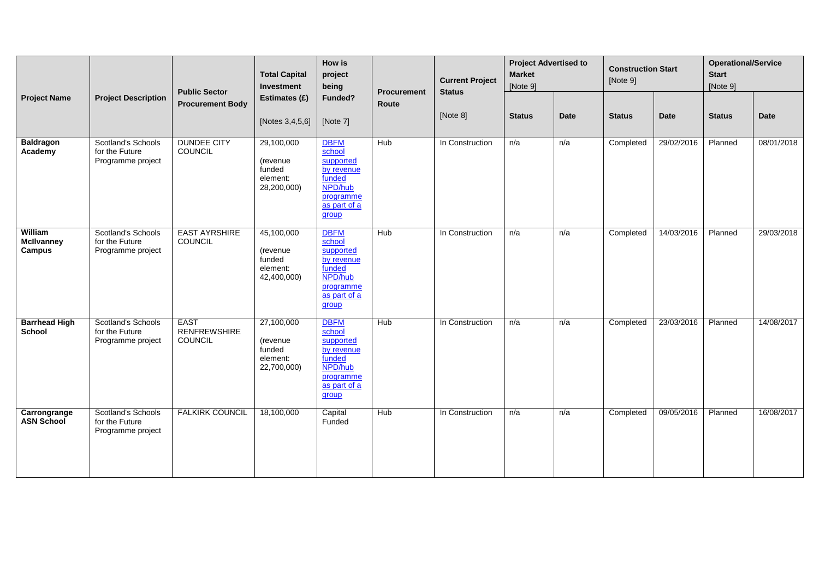|                                        |                                                                  | <b>Public Sector</b>                          | <b>Total Capital</b><br>Investment                          | How is<br>project<br>being                                                                                  | <b>Procurement</b> | <b>Current Project</b><br><b>Status</b> | <b>Project Advertised to</b><br><b>Market</b><br>[Note 9] |      | <b>Construction Start</b><br>[Note 9] |            | <b>Operational/Service</b><br><b>Start</b><br>[Note 9] |            |
|----------------------------------------|------------------------------------------------------------------|-----------------------------------------------|-------------------------------------------------------------|-------------------------------------------------------------------------------------------------------------|--------------------|-----------------------------------------|-----------------------------------------------------------|------|---------------------------------------|------------|--------------------------------------------------------|------------|
| <b>Project Name</b>                    | <b>Project Description</b>                                       | <b>Procurement Body</b>                       | Estimates (£)<br>[Notes 3,4,5,6]                            | Funded?<br>[Note 7]                                                                                         | Route              | [Note 8]                                | <b>Status</b>                                             | Date | <b>Status</b>                         | Date       | <b>Status</b>                                          | Date       |
| <b>Baldragon</b><br>Academy            | <b>Scotland's Schools</b><br>for the Future<br>Programme project | <b>DUNDEE CITY</b><br>COUNCIL                 | 29,100,000<br>(revenue<br>funded<br>element:<br>28,200,000) | <b>DBFM</b><br>school<br>supported<br>by revenue<br>funded<br>NPD/hub<br>programme<br>as part of a<br>group | <b>Hub</b>         | In Construction                         | n/a                                                       | n/a  | Completed                             | 29/02/2016 | Planned                                                | 08/01/2018 |
| William<br><b>McIlvanney</b><br>Campus | <b>Scotland's Schools</b><br>for the Future<br>Programme project | <b>EAST AYRSHIRE</b><br>COUNCIL               | 45,100,000<br>(revenue<br>funded<br>element:<br>42,400,000) | <b>DBFM</b><br>school<br>supported<br>by revenue<br>funded<br>NPD/hub<br>programme<br>as part of a<br>group | <b>Hub</b>         | In Construction                         | n/a                                                       | n/a  | Completed                             | 14/03/2016 | Planned                                                | 29/03/2018 |
| <b>Barrhead High</b><br><b>School</b>  | <b>Scotland's Schools</b><br>for the Future<br>Programme project | <b>EAST</b><br><b>RENFREWSHIRE</b><br>COUNCIL | 27,100,000<br>(revenue<br>funded<br>element:<br>22,700,000) | <b>DBFM</b><br>school<br>supported<br>by revenue<br>funded<br>NPD/hub<br>programme<br>as part of a<br>group | <b>Hub</b>         | In Construction                         | n/a                                                       | n/a  | Completed                             | 23/03/2016 | Planned                                                | 14/08/2017 |
| Carrongrange<br><b>ASN School</b>      | <b>Scotland's Schools</b><br>for the Future<br>Programme project | <b>FALKIRK COUNCIL</b>                        | 18,100,000                                                  | Capital<br>Funded                                                                                           | Hub                | In Construction                         | n/a                                                       | n/a  | Completed                             | 09/05/2016 | Planned                                                | 16/08/2017 |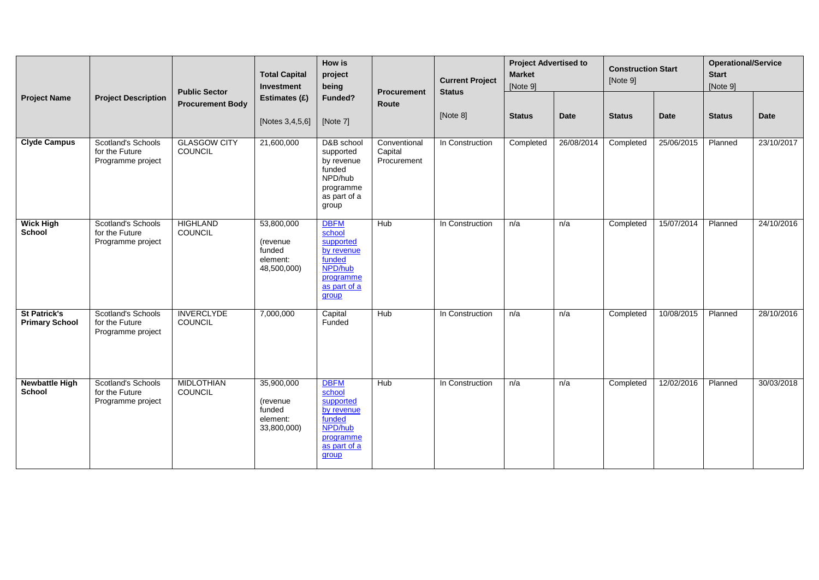|                                              |                                                                  | <b>Public Sector</b>                  | <b>Total Capital</b><br>Investment                          | <b>How is</b><br>project<br>being                                                                           | <b>Procurement</b>                     | <b>Current Project</b><br><b>Status</b> | <b>Project Advertised to</b><br><b>Market</b><br>[Note 9] |            | <b>Construction Start</b><br>[Note 9] |            | <b>Operational/Service</b><br><b>Start</b><br>[Note 9] |             |
|----------------------------------------------|------------------------------------------------------------------|---------------------------------------|-------------------------------------------------------------|-------------------------------------------------------------------------------------------------------------|----------------------------------------|-----------------------------------------|-----------------------------------------------------------|------------|---------------------------------------|------------|--------------------------------------------------------|-------------|
| <b>Project Name</b>                          | <b>Project Description</b>                                       | <b>Procurement Body</b>               | Estimates (£)<br>[Notes 3,4,5,6]                            | Funded?<br>[Note 7]                                                                                         | Route                                  | [Note 8]                                | <b>Status</b>                                             | Date       | <b>Status</b>                         | Date       | <b>Status</b>                                          | <b>Date</b> |
| <b>Clyde Campus</b>                          | <b>Scotland's Schools</b><br>for the Future<br>Programme project | <b>GLASGOW CITY</b><br><b>COUNCIL</b> | 21,600,000                                                  | D&B school<br>supported<br>by revenue<br>funded<br>NPD/hub<br>programme<br>as part of a<br>group            | Conventional<br>Capital<br>Procurement | In Construction                         | Completed                                                 | 26/08/2014 | Completed                             | 25/06/2015 | Planned                                                | 23/10/2017  |
| <b>Wick High</b><br><b>School</b>            | <b>Scotland's Schools</b><br>for the Future<br>Programme project | <b>HIGHLAND</b><br>COUNCIL            | 53,800,000<br>(revenue<br>funded<br>element:<br>48,500,000) | <b>DBFM</b><br>school<br>supported<br>by revenue<br>funded<br>NPD/hub<br>programme<br>as part of a<br>group | Hub                                    | In Construction                         | n/a                                                       | n/a        | Completed                             | 15/07/2014 | Planned                                                | 24/10/2016  |
| <b>St Patrick's</b><br><b>Primary School</b> | <b>Scotland's Schools</b><br>for the Future<br>Programme project | <b>INVERCLYDE</b><br>COUNCIL          | 7,000,000                                                   | Capital<br>Funded                                                                                           | Hub                                    | In Construction                         | n/a                                                       | n/a        | Completed                             | 10/08/2015 | Planned                                                | 28/10/2016  |
| <b>Newbattle High</b><br>School              | Scotland's Schools<br>for the Future<br>Programme project        | <b>MIDLOTHIAN</b><br><b>COUNCIL</b>   | 35,900,000<br>(revenue<br>funded<br>element:<br>33,800,000) | <b>DBFM</b><br>school<br>supported<br>by revenue<br>funded<br>NPD/hub<br>programme<br>as part of a<br>group | Hub                                    | In Construction                         | n/a                                                       | n/a        | Completed                             | 12/02/2016 | Planned                                                | 30/03/2018  |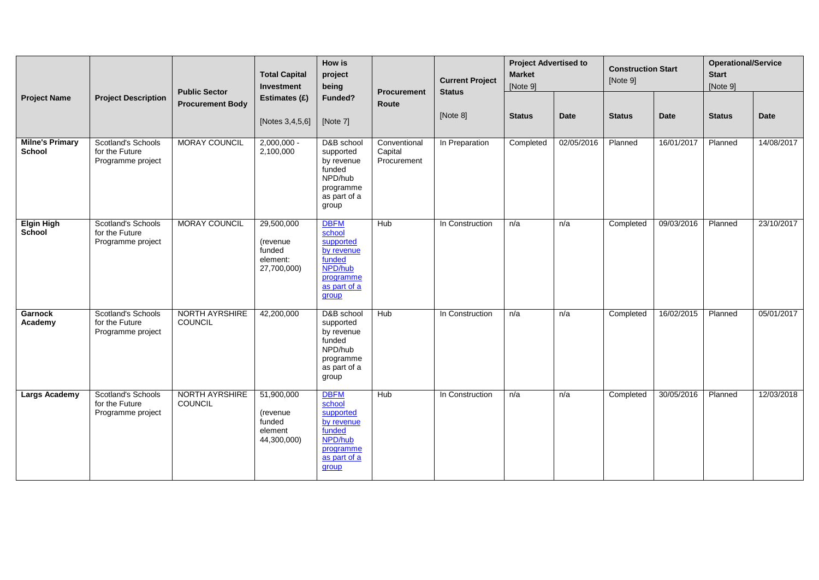|                                         |                                                                  | <b>Public Sector</b>             | <b>Total Capital</b><br>Investment                          | How is<br>project<br>being                                                                                  | <b>Procurement</b>                     | <b>Current Project</b><br><b>Status</b> | <b>Project Advertised to</b><br><b>Market</b><br>[Note 9] |             | <b>Construction Start</b><br>[Note 9] |             | <b>Operational/Service</b><br><b>Start</b><br>[Note 9] |             |
|-----------------------------------------|------------------------------------------------------------------|----------------------------------|-------------------------------------------------------------|-------------------------------------------------------------------------------------------------------------|----------------------------------------|-----------------------------------------|-----------------------------------------------------------|-------------|---------------------------------------|-------------|--------------------------------------------------------|-------------|
| <b>Project Name</b>                     | <b>Project Description</b>                                       | <b>Procurement Body</b>          | Estimates (£)<br>[Notes 3,4,5,6]                            | Funded?<br>[Note 7]                                                                                         | Route                                  | [Note 8]                                | <b>Status</b>                                             | <b>Date</b> | <b>Status</b>                         | <b>Date</b> | <b>Status</b>                                          | <b>Date</b> |
| <b>Milne's Primary</b><br><b>School</b> | Scotland's Schools<br>for the Future<br>Programme project        | <b>MORAY COUNCIL</b>             | $2,000,000 -$<br>2,100,000                                  | D&B school<br>supported<br>by revenue<br>funded<br>NPD/hub<br>programme<br>as part of a<br>group            | Conventional<br>Capital<br>Procurement | In Preparation                          | Completed                                                 | 02/05/2016  | Planned                               | 16/01/2017  | Planned                                                | 14/08/2017  |
| <b>Elgin High</b><br>School             | <b>Scotland's Schools</b><br>for the Future<br>Programme project | <b>MORAY COUNCIL</b>             | 29,500,000<br>(revenue<br>funded<br>element:<br>27,700,000) | <b>DBFM</b><br>school<br>supported<br>by revenue<br>funded<br>NPD/hub<br>programme<br>as part of a<br>group | Hub                                    | In Construction                         | n/a                                                       | n/a         | Completed                             | 09/03/2016  | Planned                                                | 23/10/2017  |
| <b>Garnock</b><br>Academy               | Scotland's Schools<br>for the Future<br>Programme project        | NORTH AYRSHIRE<br>COUNCIL        | 42,200,000                                                  | D&B school<br>supported<br>by revenue<br>funded<br>NPD/hub<br>programme<br>as part of a<br>group            | Hub                                    | In Construction                         | n/a                                                       | n/a         | Completed                             | 16/02/2015  | Planned                                                | 05/01/2017  |
| Largs Academy                           | Scotland's Schools<br>for the Future<br>Programme project        | <b>NORTH AYRSHIRE</b><br>COUNCIL | 51,900,000<br>(revenue<br>funded<br>element<br>44,300,000)  | <b>DBFM</b><br>school<br>supported<br>by revenue<br>funded<br>NPD/hub<br>programme<br>as part of a<br>group | Hub                                    | In Construction                         | n/a                                                       | n/a         | Completed                             | 30/05/2016  | Planned                                                | 12/03/2018  |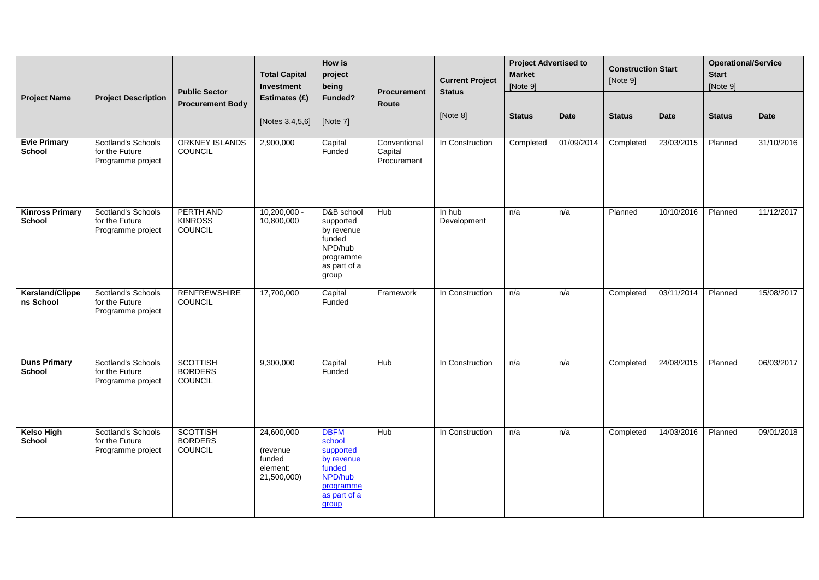| <b>Project Name</b>                     |                                                           | <b>Public Sector</b>                                | <b>Total Capital</b><br>Investment                          | How is<br>project<br>being                                                                                  | <b>Procurement</b>                     | <b>Current Project</b><br><b>Status</b> | <b>Project Advertised to</b><br><b>Market</b><br>[Note 9] |            | <b>Construction Start</b><br>[Note 9] |             | <b>Operational/Service</b><br><b>Start</b><br>[Note 9] |             |
|-----------------------------------------|-----------------------------------------------------------|-----------------------------------------------------|-------------------------------------------------------------|-------------------------------------------------------------------------------------------------------------|----------------------------------------|-----------------------------------------|-----------------------------------------------------------|------------|---------------------------------------|-------------|--------------------------------------------------------|-------------|
|                                         | <b>Project Description</b>                                | <b>Procurement Body</b>                             | Estimates (£)<br>[Notes 3,4,5,6]                            | Funded?<br>[Note 7]                                                                                         | Route                                  | [Note 8]                                | <b>Status</b>                                             | Date       | <b>Status</b>                         | <b>Date</b> | <b>Status</b>                                          | <b>Date</b> |
| <b>Evie Primary</b><br>School           | Scotland's Schools<br>for the Future<br>Programme project | <b>ORKNEY ISLANDS</b><br><b>COUNCIL</b>             | 2,900,000                                                   | Capital<br>Funded                                                                                           | Conventional<br>Capital<br>Procurement | In Construction                         | Completed                                                 | 01/09/2014 | Completed                             | 23/03/2015  | Planned                                                | 31/10/2016  |
| <b>Kinross Primary</b><br><b>School</b> | Scotland's Schools<br>for the Future<br>Programme project | PERTH AND<br><b>KINROSS</b><br>COUNCIL              | $10,200,000 -$<br>10,800,000                                | D&B school<br>supported<br>by revenue<br>funded<br>NPD/hub<br>programme<br>as part of a<br>group            | Hub                                    | In hub<br>Development                   | n/a                                                       | n/a        | Planned                               | 10/10/2016  | Planned                                                | 11/12/2017  |
| <b>Kersland/Clippe</b><br>ns School     | Scotland's Schools<br>for the Future<br>Programme project | <b>RENFREWSHIRE</b><br>COUNCIL                      | 17,700,000                                                  | Capital<br>Funded                                                                                           | Framework                              | In Construction                         | n/a                                                       | n/a        | Completed                             | 03/11/2014  | Planned                                                | 15/08/2017  |
| <b>Duns Primary</b><br>School           | Scotland's Schools<br>for the Future<br>Programme project | <b>SCOTTISH</b><br><b>BORDERS</b><br><b>COUNCIL</b> | 9,300,000                                                   | Capital<br>Funded                                                                                           | Hub                                    | In Construction                         | n/a                                                       | n/a        | Completed                             | 24/08/2015  | Planned                                                | 06/03/2017  |
| <b>Kelso High</b><br><b>School</b>      | Scotland's Schools<br>for the Future<br>Programme project | <b>SCOTTISH</b><br><b>BORDERS</b><br><b>COUNCIL</b> | 24,600,000<br>(revenue<br>funded<br>element:<br>21,500,000) | <b>DBFM</b><br>school<br>supported<br>by revenue<br>funded<br>NPD/hub<br>programme<br>as part of a<br>group | Hub                                    | In Construction                         | n/a                                                       | n/a        | Completed                             | 14/03/2016  | Planned                                                | 09/01/2018  |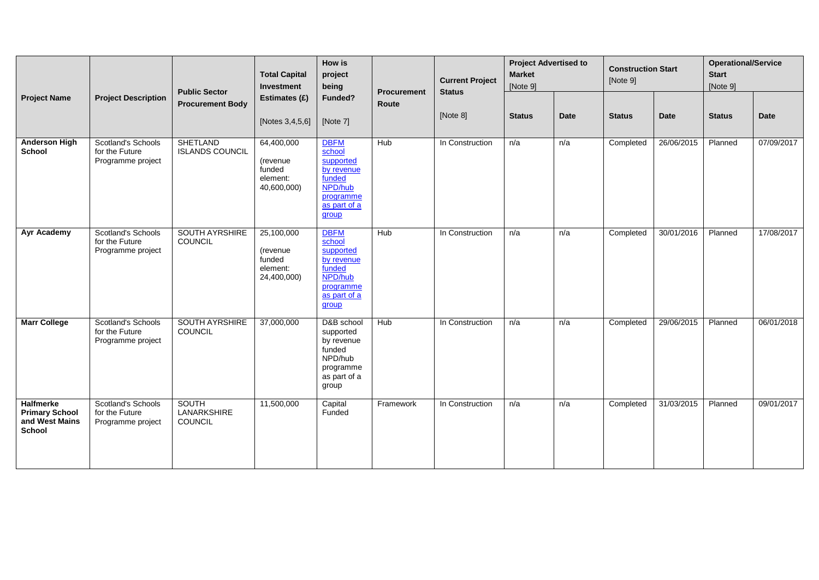|                                                                              |                                                                  | <b>Public Sector</b>                          | <b>Total Capital</b><br>Investment                          | How is<br>project<br>being                                                                                  | Procurement | <b>Current Project</b>    | <b>Project Advertised to</b><br><b>Market</b><br>[Note 9] |             | <b>Construction Start</b><br>[Note 9] |             | <b>Operational/Service</b><br><b>Start</b><br>[Note 9] |             |
|------------------------------------------------------------------------------|------------------------------------------------------------------|-----------------------------------------------|-------------------------------------------------------------|-------------------------------------------------------------------------------------------------------------|-------------|---------------------------|-----------------------------------------------------------|-------------|---------------------------------------|-------------|--------------------------------------------------------|-------------|
| <b>Project Name</b>                                                          | <b>Project Description</b>                                       | <b>Procurement Body</b>                       | Estimates (£)<br>[Notes 3,4,5,6]                            | Funded?<br>[Note 7]                                                                                         | Route       | <b>Status</b><br>[Note 8] | <b>Status</b>                                             | <b>Date</b> | <b>Status</b>                         | <b>Date</b> | <b>Status</b>                                          | <b>Date</b> |
| <b>Anderson High</b><br><b>School</b>                                        | Scotland's Schools<br>for the Future<br>Programme project        | <b>SHETLAND</b><br><b>ISLANDS COUNCIL</b>     | 64,400,000<br>(revenue<br>funded<br>element:<br>40,600,000) | <b>DBFM</b><br>school<br>supported<br>by revenue<br>funded<br>NPD/hub<br>programme<br>as part of a<br>group | <b>Hub</b>  | In Construction           | n/a                                                       | n/a         | Completed                             | 26/06/2015  | Planned                                                | 07/09/2017  |
| Ayr Academy                                                                  | Scotland's Schools<br>for the Future<br>Programme project        | <b>SOUTH AYRSHIRE</b><br>COUNCIL              | 25,100,000<br>(revenue<br>funded<br>element:<br>24,400,000) | <b>DBFM</b><br>school<br>supported<br>by revenue<br>funded<br>NPD/hub<br>programme<br>as part of a<br>group | Hub         | In Construction           | n/a                                                       | n/a         | Completed                             | 30/01/2016  | Planned                                                | 17/08/2017  |
| <b>Marr College</b>                                                          | <b>Scotland's Schools</b><br>for the Future<br>Programme project | <b>SOUTH AYRSHIRE</b><br>COUNCIL              | 37,000,000                                                  | D&B school<br>supported<br>by revenue<br>funded<br>NPD/hub<br>programme<br>as part of a<br>group            | Hub         | In Construction           | n/a                                                       | n/a         | Completed                             | 29/06/2015  | Planned                                                | 06/01/2018  |
| <b>Halfmerke</b><br><b>Primary School</b><br>and West Mains<br><b>School</b> | Scotland's Schools<br>for the Future<br>Programme project        | <b>SOUTH</b><br>LANARKSHIRE<br><b>COUNCIL</b> | 11,500,000                                                  | Capital<br>Funded                                                                                           | Framework   | In Construction           | n/a                                                       | n/a         | Completed                             | 31/03/2015  | Planned                                                | 09/01/2017  |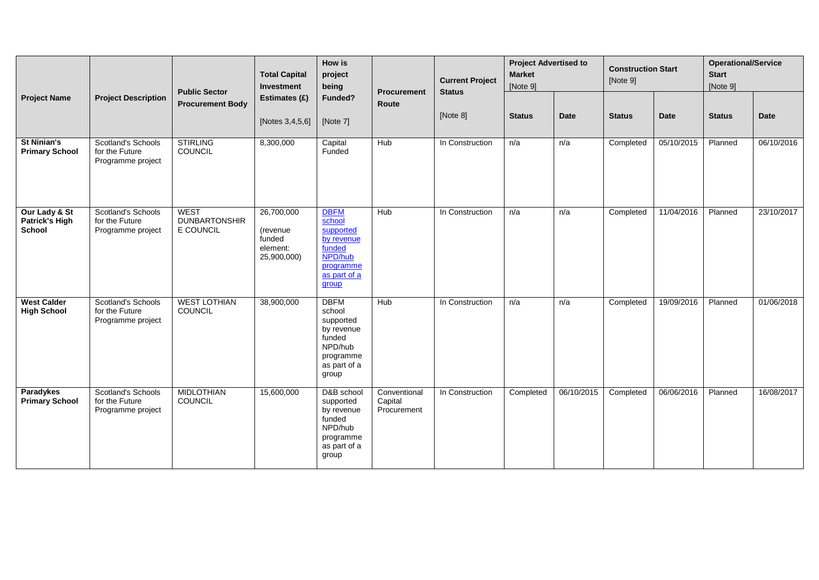|                                                  |                                                                  | <b>Public Sector</b>                             | <b>Total Capital</b><br>Investment                          | How is<br>project<br>being                                                                                  |                                        | <b>Current Project</b><br><b>Status</b> | <b>Project Advertised to</b><br><b>Market</b><br>[Note 9] |             | <b>Construction Start</b><br>[Note 9] |            | <b>Operational/Service</b><br><b>Start</b><br>[Note 9] |             |
|--------------------------------------------------|------------------------------------------------------------------|--------------------------------------------------|-------------------------------------------------------------|-------------------------------------------------------------------------------------------------------------|----------------------------------------|-----------------------------------------|-----------------------------------------------------------|-------------|---------------------------------------|------------|--------------------------------------------------------|-------------|
| <b>Project Name</b>                              | <b>Project Description</b>                                       | <b>Procurement Body</b>                          | Estimates (£)<br>[Notes 3,4,5,6]                            | Funded?<br>[Note 7]                                                                                         | <b>Procurement</b><br>Route            | [Note 8]                                | <b>Status</b>                                             | <b>Date</b> | <b>Status</b>                         | Date       | <b>Status</b>                                          | <b>Date</b> |
| <b>St Ninian's</b><br><b>Primary School</b>      | <b>Scotland's Schools</b><br>for the Future<br>Programme project | <b>STIRLING</b><br>COUNCIL                       | 8,300,000                                                   | Capital<br>Funded                                                                                           | <b>Hub</b>                             | In Construction                         | n/a                                                       | n/a         | Completed                             | 05/10/2015 | Planned                                                | 06/10/2016  |
| Our Lady & St<br>Patrick's High<br><b>School</b> | <b>Scotland's Schools</b><br>for the Future<br>Programme project | <b>WEST</b><br><b>DUNBARTONSHIR</b><br>E COUNCIL | 26,700,000<br>(revenue<br>funded<br>element:<br>25,900,000) | <b>DBFM</b><br>school<br>supported<br>by revenue<br>funded<br>NPD/hub<br>programme<br>as part of a<br>group | Hub                                    | In Construction                         | n/a                                                       | n/a         | Completed                             | 11/04/2016 | Planned                                                | 23/10/2017  |
| <b>West Calder</b><br><b>High School</b>         | <b>Scotland's Schools</b><br>for the Future<br>Programme project | <b>WEST LOTHIAN</b><br>COUNCIL                   | 38,900,000                                                  | <b>DBFM</b><br>school<br>supported<br>by revenue<br>funded<br>NPD/hub<br>programme<br>as part of a<br>group | Hub                                    | In Construction                         | n/a                                                       | n/a         | Completed                             | 19/09/2016 | Planned                                                | 01/06/2018  |
| Paradykes<br><b>Primary School</b>               | <b>Scotland's Schools</b><br>for the Future<br>Programme project | <b>MIDLOTHIAN</b><br>COUNCIL                     | 15,600,000                                                  | D&B school<br>supported<br>by revenue<br>funded<br>NPD/hub<br>programme<br>as part of a<br>group            | Conventional<br>Capital<br>Procurement | In Construction                         | Completed                                                 | 06/10/2015  | Completed                             | 06/06/2016 | Planned                                                | 16/08/2017  |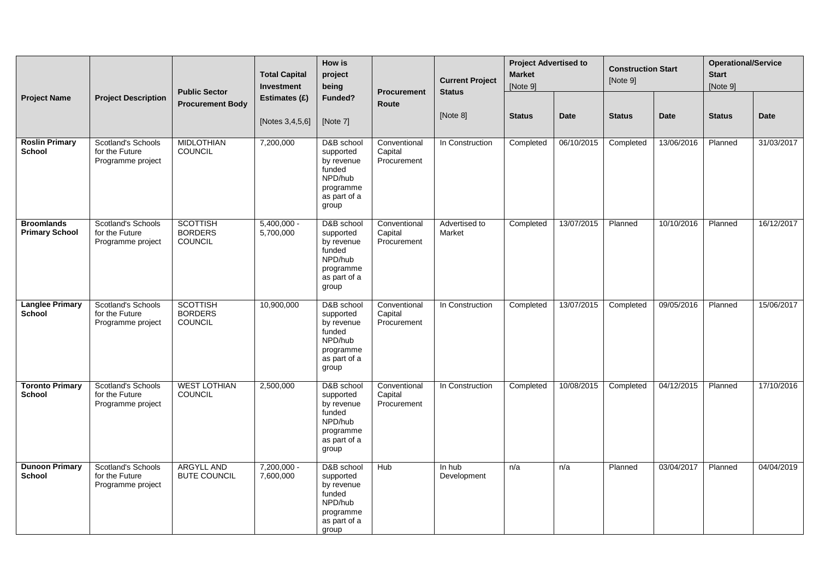| <b>Project Name</b>                        |                                                                  | <b>Public Sector</b>                         | <b>Total Capital</b><br>Investment  | <b>How is</b><br>project<br>being                                                                | <b>Procurement</b>                     | <b>Current Project</b><br><b>Status</b> | <b>Project Advertised to</b><br><b>Market</b><br>[Note 9] |             | <b>Construction Start</b><br>[Note 9] |             | <b>Operational/Service</b><br><b>Start</b><br>[Note 9] |             |
|--------------------------------------------|------------------------------------------------------------------|----------------------------------------------|-------------------------------------|--------------------------------------------------------------------------------------------------|----------------------------------------|-----------------------------------------|-----------------------------------------------------------|-------------|---------------------------------------|-------------|--------------------------------------------------------|-------------|
|                                            | <b>Project Description</b>                                       | <b>Procurement Body</b>                      | Estimates (£)<br>[Notes $3,4,5,6$ ] | Funded?<br>[Note 7]                                                                              | Route                                  | [Note 8]                                | <b>Status</b>                                             | <b>Date</b> | <b>Status</b>                         | <b>Date</b> | <b>Status</b>                                          | <b>Date</b> |
| <b>Roslin Primary</b><br><b>School</b>     | <b>Scotland's Schools</b><br>for the Future<br>Programme project | <b>MIDLOTHIAN</b><br>COUNCIL                 | 7,200,000                           | D&B school<br>supported<br>by revenue<br>funded<br>NPD/hub<br>programme<br>as part of a<br>group | Conventional<br>Capital<br>Procurement | In Construction                         | Completed                                                 | 06/10/2015  | Completed                             | 13/06/2016  | Planned                                                | 31/03/2017  |
| <b>Broomlands</b><br><b>Primary School</b> | <b>Scotland's Schools</b><br>for the Future<br>Programme project | <b>SCOTTISH</b><br><b>BORDERS</b><br>COUNCIL | $5,400,000 -$<br>5,700,000          | D&B school<br>supported<br>by revenue<br>funded<br>NPD/hub<br>programme<br>as part of a<br>group | Conventional<br>Capital<br>Procurement | Advertised to<br>Market                 | Completed                                                 | 13/07/2015  | Planned                               | 10/10/2016  | Planned                                                | 16/12/2017  |
| <b>Langlee Primary</b><br>School           | <b>Scotland's Schools</b><br>for the Future<br>Programme project | <b>SCOTTISH</b><br><b>BORDERS</b><br>COUNCIL | 10,900,000                          | D&B school<br>supported<br>by revenue<br>funded<br>NPD/hub<br>programme<br>as part of a<br>group | Conventional<br>Capital<br>Procurement | In Construction                         | Completed                                                 | 13/07/2015  | Completed                             | 09/05/2016  | Planned                                                | 15/06/2017  |
| <b>Toronto Primary</b><br>School           | Scotland's Schools<br>for the Future<br>Programme project        | <b>WEST LOTHIAN</b><br>COUNCIL               | 2,500,000                           | D&B school<br>supported<br>by revenue<br>funded<br>NPD/hub<br>programme<br>as part of a<br>group | Conventional<br>Capital<br>Procurement | In Construction                         | Completed                                                 | 10/08/2015  | Completed                             | 04/12/2015  | Planned                                                | 17/10/2016  |
| <b>Dunoon Primary</b><br>School            | <b>Scotland's Schools</b><br>for the Future<br>Programme project | <b>ARGYLL AND</b><br><b>BUTE COUNCIL</b>     | $7,200,000 -$<br>7,600,000          | D&B school<br>supported<br>by revenue<br>funded<br>NPD/hub<br>programme<br>as part of a<br>group | <b>Hub</b>                             | In hub<br>Development                   | n/a                                                       | n/a         | Planned                               | 03/04/2017  | Planned                                                | 04/04/2019  |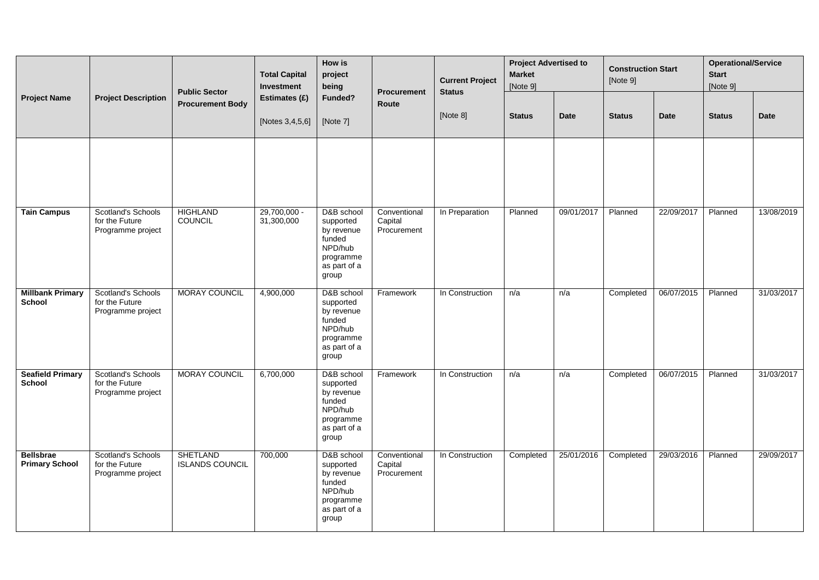|                                           |                                                                  | <b>Public Sector</b>                      | <b>Total Capital</b><br>Investment | How is<br>project<br>being                                                                       | Procurement                            | <b>Current Project</b><br><b>Status</b> | <b>Project Advertised to</b><br><b>Market</b><br>[Note 9] |             | <b>Construction Start</b><br>[Note 9] |             | <b>Operational/Service</b><br><b>Start</b><br>[Note 9] |             |
|-------------------------------------------|------------------------------------------------------------------|-------------------------------------------|------------------------------------|--------------------------------------------------------------------------------------------------|----------------------------------------|-----------------------------------------|-----------------------------------------------------------|-------------|---------------------------------------|-------------|--------------------------------------------------------|-------------|
| <b>Project Name</b>                       | <b>Project Description</b>                                       | <b>Procurement Body</b>                   | Estimates (£)<br>[Notes 3,4,5,6]   | Funded?<br>[Note 7]                                                                              | Route                                  | [Note 8]                                | <b>Status</b>                                             | <b>Date</b> | <b>Status</b>                         | <b>Date</b> | <b>Status</b>                                          | <b>Date</b> |
|                                           |                                                                  |                                           |                                    |                                                                                                  |                                        |                                         |                                                           |             |                                       |             |                                                        |             |
| <b>Tain Campus</b>                        | Scotland's Schools<br>for the Future<br>Programme project        | <b>HIGHLAND</b><br>COUNCIL                | $29,700,000 -$<br>31,300,000       | D&B school<br>supported<br>by revenue<br>funded<br>NPD/hub<br>programme<br>as part of a<br>group | Conventional<br>Capital<br>Procurement | In Preparation                          | Planned                                                   | 09/01/2017  | Planned                               | 22/09/2017  | Planned                                                | 13/08/2019  |
| <b>Millbank Primary</b><br><b>School</b>  | <b>Scotland's Schools</b><br>for the Future<br>Programme project | <b>MORAY COUNCIL</b>                      | 4,900,000                          | D&B school<br>supported<br>by revenue<br>funded<br>NPD/hub<br>programme<br>as part of a<br>group | Framework                              | In Construction                         | n/a                                                       | n/a         | Completed                             | 06/07/2015  | Planned                                                | 31/03/2017  |
| <b>Seafield Primary</b><br><b>School</b>  | <b>Scotland's Schools</b><br>for the Future<br>Programme project | <b>MORAY COUNCIL</b>                      | 6,700,000                          | D&B school<br>supported<br>by revenue<br>funded<br>NPD/hub<br>programme<br>as part of a<br>group | Framework                              | In Construction                         | n/a                                                       | n/a         | Completed                             | 06/07/2015  | Planned                                                | 31/03/2017  |
| <b>Bellsbrae</b><br><b>Primary School</b> | Scotland's Schools<br>for the Future<br>Programme project        | <b>SHETLAND</b><br><b>ISLANDS COUNCIL</b> | 700,000                            | D&B school<br>supported<br>by revenue<br>funded<br>NPD/hub<br>programme<br>as part of a<br>group | Conventional<br>Capital<br>Procurement | In Construction                         | Completed                                                 | 25/01/2016  | Completed                             | 29/03/2016  | Planned                                                | 29/09/2017  |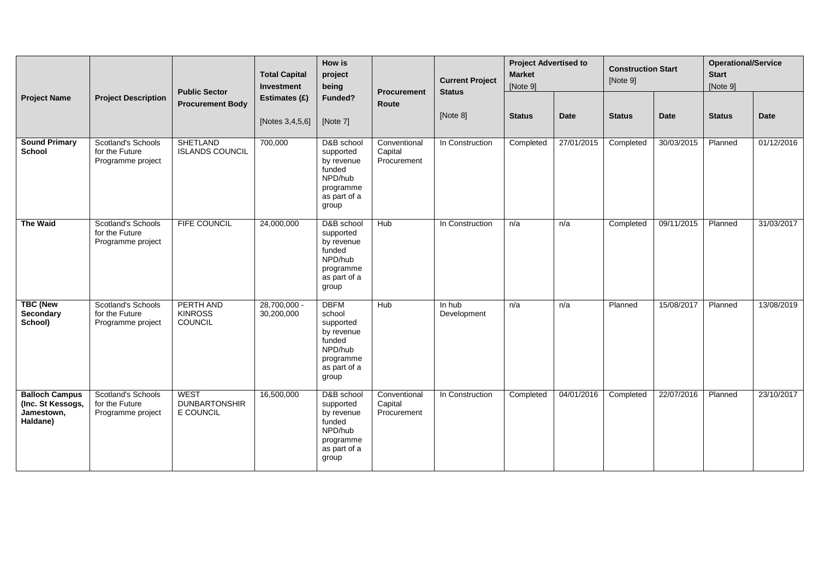|                                                                      |                                                                  | <b>Public Sector</b>                             | <b>Total Capital</b><br>Investment | How is<br>project<br>being                                                                                  | <b>Procurement</b>                     | <b>Current Project</b><br><b>Status</b> | <b>Project Advertised to</b><br><b>Market</b><br>[Note 9] |             | <b>Construction Start</b><br>[Note 9] |             | <b>Operational/Service</b><br><b>Start</b><br>[Note 9] |             |
|----------------------------------------------------------------------|------------------------------------------------------------------|--------------------------------------------------|------------------------------------|-------------------------------------------------------------------------------------------------------------|----------------------------------------|-----------------------------------------|-----------------------------------------------------------|-------------|---------------------------------------|-------------|--------------------------------------------------------|-------------|
| <b>Project Name</b>                                                  | <b>Project Description</b>                                       | <b>Procurement Body</b>                          | Estimates (£)<br>[Notes 3,4,5,6]   | Funded?<br>[Note 7]                                                                                         | Route                                  | [Note 8]                                | <b>Status</b>                                             | <b>Date</b> | <b>Status</b>                         | <b>Date</b> | <b>Status</b>                                          | <b>Date</b> |
| <b>Sound Primary</b><br><b>School</b>                                | Scotland's Schools<br>for the Future<br>Programme project        | <b>SHETLAND</b><br><b>ISLANDS COUNCIL</b>        | 700,000                            | D&B school<br>supported<br>by revenue<br>funded<br>NPD/hub<br>programme<br>as part of a<br>group            | Conventional<br>Capital<br>Procurement | In Construction                         | Completed                                                 | 27/01/2015  | Completed                             | 30/03/2015  | Planned                                                | 01/12/2016  |
| <b>The Waid</b>                                                      | <b>Scotland's Schools</b><br>for the Future<br>Programme project | <b>FIFE COUNCIL</b>                              | 24,000,000                         | D&B school<br>supported<br>by revenue<br>funded<br>NPD/hub<br>programme<br>as part of a<br>group            | <b>Hub</b>                             | In Construction                         | n/a                                                       | n/a         | Completed                             | 09/11/2015  | Planned                                                | 31/03/2017  |
| <b>TBC (New</b><br>Secondary<br>School)                              | Scotland's Schools<br>for the Future<br>Programme project        | PERTH AND<br><b>KINROSS</b><br><b>COUNCIL</b>    | 28,700,000 -<br>30,200,000         | <b>DBFM</b><br>school<br>supported<br>by revenue<br>funded<br>NPD/hub<br>programme<br>as part of a<br>group | Hub                                    | In hub<br>Development                   | n/a                                                       | n/a         | Planned                               | 15/08/2017  | Planned                                                | 13/08/2019  |
| <b>Balloch Campus</b><br>(Inc. St Kessogs,<br>Jamestown,<br>Haldane) | <b>Scotland's Schools</b><br>for the Future<br>Programme project | <b>WEST</b><br><b>DUNBARTONSHIR</b><br>E COUNCIL | 16,500,000                         | D&B school<br>supported<br>by revenue<br>funded<br>NPD/hub<br>programme<br>as part of a<br>group            | Conventional<br>Capital<br>Procurement | In Construction                         | Completed                                                 | 04/01/2016  | Completed                             | 22/07/2016  | Planned                                                | 23/10/2017  |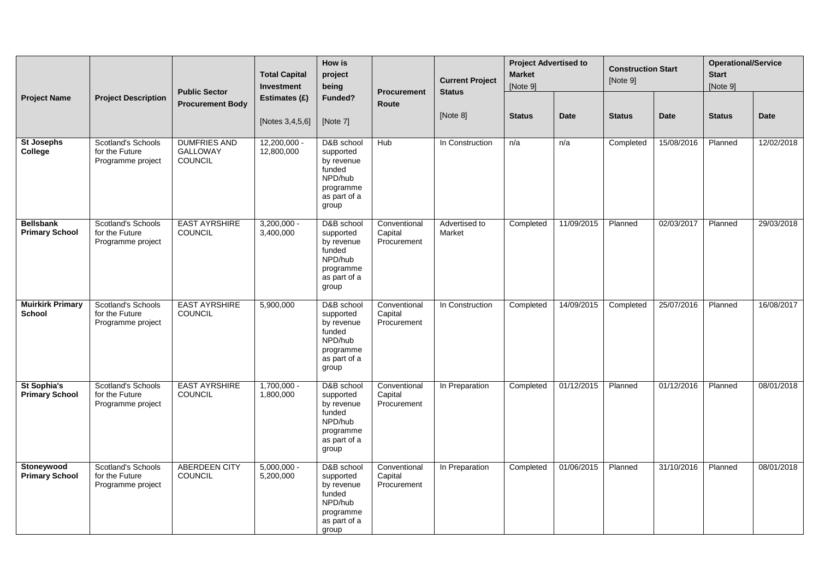| <b>Project Name</b>                         |                                                                  | <b>Public Sector</b>                              | <b>Total Capital</b><br>Investment  | How is<br>project<br>being                                                                       | <b>Procurement</b>                     | <b>Current Project</b><br><b>Status</b> | <b>Project Advertised to</b><br><b>Market</b><br>[Note 9] |             | <b>Construction Start</b><br>[Note 9] |             | <b>Operational/Service</b><br><b>Start</b><br>[Note 9] |             |
|---------------------------------------------|------------------------------------------------------------------|---------------------------------------------------|-------------------------------------|--------------------------------------------------------------------------------------------------|----------------------------------------|-----------------------------------------|-----------------------------------------------------------|-------------|---------------------------------------|-------------|--------------------------------------------------------|-------------|
|                                             | <b>Project Description</b>                                       | <b>Procurement Body</b>                           | Estimates (£)<br>[Notes $3,4,5,6$ ] | Funded?<br>[Note 7]                                                                              | <b>Route</b>                           | [Note 8]                                | <b>Status</b>                                             | <b>Date</b> | <b>Status</b>                         | <b>Date</b> | <b>Status</b>                                          | <b>Date</b> |
| <b>St Josephs</b><br>College                | Scotland's Schools<br>for the Future<br>Programme project        | <b>DUMFRIES AND</b><br><b>GALLOWAY</b><br>COUNCIL | $12,200,000 -$<br>12,800,000        | D&B school<br>supported<br>by revenue<br>funded<br>NPD/hub<br>programme<br>as part of a<br>group | Hub                                    | In Construction                         | n/a                                                       | n/a         | Completed                             | 15/08/2016  | Planned                                                | 12/02/2018  |
| <b>Bellsbank</b><br><b>Primary School</b>   | <b>Scotland's Schools</b><br>for the Future<br>Programme project | <b>EAST AYRSHIRE</b><br><b>COUNCIL</b>            | $3,200,000 -$<br>3,400,000          | D&B school<br>supported<br>by revenue<br>funded<br>NPD/hub<br>programme<br>as part of a<br>group | Conventional<br>Capital<br>Procurement | Advertised to<br>Market                 | Completed                                                 | 11/09/2015  | Planned                               | 02/03/2017  | Planned                                                | 29/03/2018  |
| <b>Muirkirk Primary</b><br><b>School</b>    | Scotland's Schools<br>for the Future<br>Programme project        | <b>EAST AYRSHIRE</b><br><b>COUNCIL</b>            | 5,900,000                           | D&B school<br>supported<br>by revenue<br>funded<br>NPD/hub<br>programme<br>as part of a<br>group | Conventional<br>Capital<br>Procurement | In Construction                         | Completed                                                 | 14/09/2015  | Completed                             | 25/07/2016  | Planned                                                | 16/08/2017  |
| <b>St Sophia's</b><br><b>Primary School</b> | Scotland's Schools<br>for the Future<br>Programme project        | <b>EAST AYRSHIRE</b><br><b>COUNCIL</b>            | $1,700,000 -$<br>1,800,000          | D&B school<br>supported<br>by revenue<br>funded<br>NPD/hub<br>programme<br>as part of a<br>group | Conventional<br>Capital<br>Procurement | In Preparation                          | Completed                                                 | 01/12/2015  | Planned                               | 01/12/2016  | Planned                                                | 08/01/2018  |
| Stoneywood<br><b>Primary School</b>         | <b>Scotland's Schools</b><br>for the Future<br>Programme project | <b>ABERDEEN CITY</b><br><b>COUNCIL</b>            | $5,000,000 -$<br>5,200,000          | D&B school<br>supported<br>by revenue<br>funded<br>NPD/hub<br>programme<br>as part of a<br>group | Conventional<br>Capital<br>Procurement | In Preparation                          | Completed                                                 | 01/06/2015  | Planned                               | 31/10/2016  | Planned                                                | 08/01/2018  |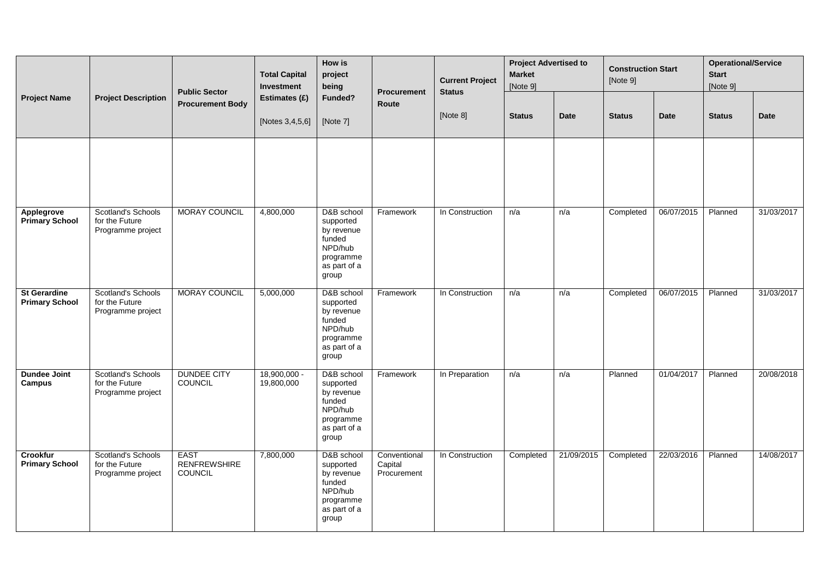| <b>Project Name</b>                          |                                                           | <b>Public Sector</b>                          | <b>Total Capital</b><br>Investment | How is<br>project<br>being                                                                       | Procurement                            | <b>Current Project</b><br><b>Status</b> | <b>Project Advertised to</b><br><b>Market</b><br>[Note 9] |             | <b>Construction Start</b><br>[Note 9] |             | <b>Operational/Service</b><br><b>Start</b><br>[Note 9] |             |
|----------------------------------------------|-----------------------------------------------------------|-----------------------------------------------|------------------------------------|--------------------------------------------------------------------------------------------------|----------------------------------------|-----------------------------------------|-----------------------------------------------------------|-------------|---------------------------------------|-------------|--------------------------------------------------------|-------------|
|                                              | <b>Project Description</b>                                | <b>Procurement Body</b>                       | Estimates (£)<br>[Notes 3,4,5,6]   | Funded?<br>[Note 7]                                                                              | Route                                  | [Note 8]                                | <b>Status</b>                                             | <b>Date</b> | <b>Status</b>                         | <b>Date</b> | <b>Status</b>                                          | <b>Date</b> |
|                                              |                                                           |                                               |                                    |                                                                                                  |                                        |                                         |                                                           |             |                                       |             |                                                        |             |
| Applegrove<br><b>Primary School</b>          | Scotland's Schools<br>for the Future<br>Programme project | MORAY COUNCIL                                 | 4,800,000                          | D&B school<br>supported<br>by revenue<br>funded<br>NPD/hub<br>programme<br>as part of a<br>group | Framework                              | In Construction                         | n/a                                                       | n/a         | Completed                             | 06/07/2015  | Planned                                                | 31/03/2017  |
| <b>St Gerardine</b><br><b>Primary School</b> | Scotland's Schools<br>for the Future<br>Programme project | <b>MORAY COUNCIL</b>                          | 5,000,000                          | D&B school<br>supported<br>by revenue<br>funded<br>NPD/hub<br>programme<br>as part of a<br>group | Framework                              | In Construction                         | n/a                                                       | n/a         | Completed                             | 06/07/2015  | Planned                                                | 31/03/2017  |
| <b>Dundee Joint</b><br>Campus                | Scotland's Schools<br>for the Future<br>Programme project | <b>DUNDEE CITY</b><br>COUNCIL                 | $18,900,000 -$<br>19,800,000       | D&B school<br>supported<br>by revenue<br>funded<br>NPD/hub<br>programme<br>as part of a<br>group | Framework                              | In Preparation                          | n/a                                                       | n/a         | Planned                               | 01/04/2017  | Planned                                                | 20/08/2018  |
| <b>Crookfur</b><br><b>Primary School</b>     | Scotland's Schools<br>for the Future<br>Programme project | <b>EAST</b><br><b>RENFREWSHIRE</b><br>COUNCIL | 7,800,000                          | D&B school<br>supported<br>by revenue<br>funded<br>NPD/hub<br>programme<br>as part of a<br>group | Conventional<br>Capital<br>Procurement | In Construction                         | Completed                                                 | 21/09/2015  | Completed                             | 22/03/2016  | Planned                                                | 14/08/2017  |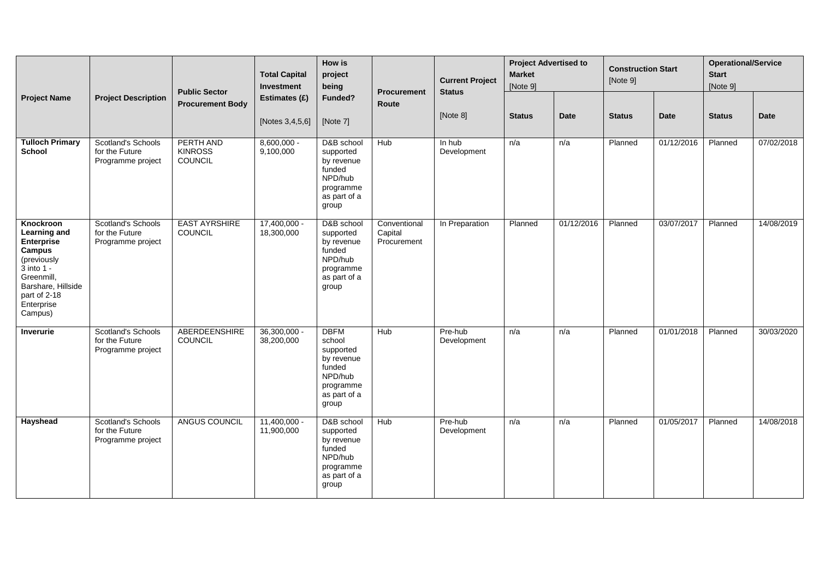| <b>Project Name</b>                                                                                                                                                                       |                                                                  | <b>Public Sector</b>                          | <b>Total Capital</b><br>Investment | How is<br>project<br>being                                                                                  | <b>Procurement</b>                     | <b>Current Project</b><br><b>Status</b> | <b>Project Advertised to</b><br><b>Market</b><br>[Note 9] |             | <b>Construction Start</b><br>[Note 9] |             | <b>Operational/Service</b><br><b>Start</b><br>[Note 9] |             |
|-------------------------------------------------------------------------------------------------------------------------------------------------------------------------------------------|------------------------------------------------------------------|-----------------------------------------------|------------------------------------|-------------------------------------------------------------------------------------------------------------|----------------------------------------|-----------------------------------------|-----------------------------------------------------------|-------------|---------------------------------------|-------------|--------------------------------------------------------|-------------|
|                                                                                                                                                                                           | <b>Project Description</b>                                       | <b>Procurement Body</b>                       | Estimates (£)<br>[Notes 3,4,5,6]   | Funded?<br>[Note 7]                                                                                         | Route                                  | [Note 8]                                | <b>Status</b>                                             | <b>Date</b> | <b>Status</b>                         | <b>Date</b> | <b>Status</b>                                          | <b>Date</b> |
| <b>Tulloch Primary</b><br><b>School</b>                                                                                                                                                   | <b>Scotland's Schools</b><br>for the Future<br>Programme project | PERTH AND<br><b>KINROSS</b><br><b>COUNCIL</b> | $8,600,000 -$<br>9,100,000         | D&B school<br>supported<br>by revenue<br>funded<br>NPD/hub<br>programme<br>as part of a<br>group            | <b>Hub</b>                             | In hub<br>Development                   | n/a                                                       | n/a         | Planned                               | 01/12/2016  | Planned                                                | 07/02/2018  |
| <b>Knockroon</b><br><b>Learning and</b><br>Enterprise<br><b>Campus</b><br>(previously<br>$\ddot{3}$ into 1 -<br>Greenmill,<br>Barshare, Hillside<br>part of 2-18<br>Enterprise<br>Campus) | <b>Scotland's Schools</b><br>for the Future<br>Programme project | <b>EAST AYRSHIRE</b><br><b>COUNCIL</b>        | $17,400,000 -$<br>18,300,000       | D&B school<br>supported<br>by revenue<br>funded<br>NPD/hub<br>programme<br>as part of a<br>group            | Conventional<br>Capital<br>Procurement | In Preparation                          | Planned                                                   | 01/12/2016  | Planned                               | 03/07/2017  | Planned                                                | 14/08/2019  |
| <b>Inverurie</b>                                                                                                                                                                          | <b>Scotland's Schools</b><br>for the Future<br>Programme project | ABERDEENSHIRE<br>COUNCIL                      | $36,300,000 -$<br>38,200,000       | <b>DBFM</b><br>school<br>supported<br>by revenue<br>funded<br>NPD/hub<br>programme<br>as part of a<br>group | <b>Hub</b>                             | Pre-hub<br>Development                  | n/a                                                       | n/a         | Planned                               | 01/01/2018  | Planned                                                | 30/03/2020  |
| Hayshead                                                                                                                                                                                  | <b>Scotland's Schools</b><br>for the Future<br>Programme project | ANGUS COUNCIL                                 | $11,400,000 -$<br>11,900,000       | D&B school<br>supported<br>by revenue<br>funded<br>NPD/hub<br>programme<br>as part of a<br>group            | Hub                                    | Pre-hub<br>Development                  | n/a                                                       | n/a         | Planned                               | 01/05/2017  | Planned                                                | 14/08/2018  |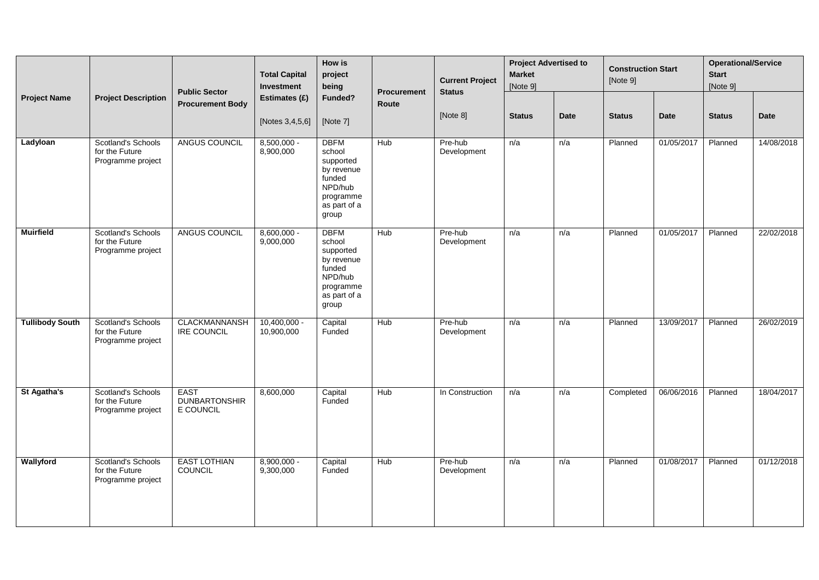|                        |                                                                  | <b>Public Sector</b>                             | <b>Total Capital</b><br>Investment | How is<br>project<br>being                                                                                  | <b>Current Project</b><br><b>Status</b><br>Procurement |                        | <b>Project Advertised to</b><br><b>Market</b><br>[Note 9] |             | <b>Construction Start</b><br>[Note 9] |             | <b>Operational/Service</b><br><b>Start</b><br>[Note 9] |             |
|------------------------|------------------------------------------------------------------|--------------------------------------------------|------------------------------------|-------------------------------------------------------------------------------------------------------------|--------------------------------------------------------|------------------------|-----------------------------------------------------------|-------------|---------------------------------------|-------------|--------------------------------------------------------|-------------|
| <b>Project Name</b>    | <b>Project Description</b>                                       | <b>Procurement Body</b>                          | Estimates (£)                      | Funded?                                                                                                     | Route                                                  |                        |                                                           |             |                                       |             |                                                        |             |
|                        |                                                                  |                                                  | [Notes 3,4,5,6]                    | [Note 7]                                                                                                    |                                                        | [Note 8]               | <b>Status</b>                                             | <b>Date</b> | <b>Status</b>                         | <b>Date</b> | <b>Status</b>                                          | <b>Date</b> |
| Ladyloan               | Scotland's Schools<br>for the Future<br>Programme project        | ANGUS COUNCIL                                    | $8,500,000 -$<br>8,900,000         | <b>DBFM</b><br>school<br>supported<br>by revenue<br>funded<br>NPD/hub<br>programme<br>as part of a<br>group | Hub                                                    | Pre-hub<br>Development | n/a                                                       | n/a         | Planned                               | 01/05/2017  | Planned                                                | 14/08/2018  |
| <b>Muirfield</b>       | <b>Scotland's Schools</b><br>for the Future<br>Programme project | ANGUS COUNCIL                                    | $8,600,000 -$<br>9,000,000         | <b>DBFM</b><br>school<br>supported<br>by revenue<br>funded<br>NPD/hub<br>programme<br>as part of a<br>group | Hub                                                    | Pre-hub<br>Development | n/a                                                       | n/a         | Planned                               | 01/05/2017  | Planned                                                | 22/02/2018  |
| <b>Tullibody South</b> | <b>Scotland's Schools</b><br>for the Future<br>Programme project | <b>CLACKMANNANSH</b><br><b>IRE COUNCIL</b>       | $10,400,000 -$<br>10,900,000       | Capital<br>Funded                                                                                           | Hub                                                    | Pre-hub<br>Development | n/a                                                       | n/a         | Planned                               | 13/09/2017  | Planned                                                | 26/02/2019  |
| St Agatha's            | Scotland's Schools<br>for the Future<br>Programme project        | <b>EAST</b><br><b>DUNBARTONSHIR</b><br>E COUNCIL | 8,600,000                          | Capital<br>Funded                                                                                           | <b>Hub</b>                                             | In Construction        | n/a                                                       | n/a         | Completed                             | 06/06/2016  | Planned                                                | 18/04/2017  |
| Wallyford              | <b>Scotland's Schools</b><br>for the Future<br>Programme project | <b>EAST LOTHIAN</b><br>COUNCIL                   | $8,900,000 -$<br>9,300,000         | Capital<br>Funded                                                                                           | Hub                                                    | Pre-hub<br>Development | n/a                                                       | n/a         | Planned                               | 01/08/2017  | Planned                                                | 01/12/2018  |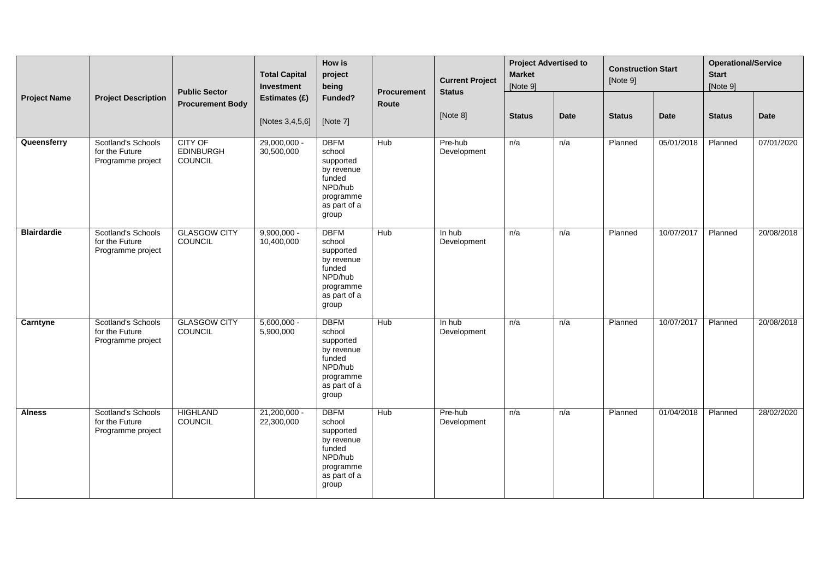|                     | <b>Total Capital</b><br>Investment<br><b>Public Sector</b>       | How is<br>project<br>being<br><b>Procurement</b> | <b>Current Project</b><br><b>Status</b> | <b>Project Advertised to</b><br><b>Market</b><br>[Note 9]                                                   |            | <b>Construction Start</b><br>[Note 9] |               | <b>Operational/Service</b><br><b>Start</b><br>[Note 9] |               |             |               |             |
|---------------------|------------------------------------------------------------------|--------------------------------------------------|-----------------------------------------|-------------------------------------------------------------------------------------------------------------|------------|---------------------------------------|---------------|--------------------------------------------------------|---------------|-------------|---------------|-------------|
| <b>Project Name</b> | <b>Project Description</b>                                       | <b>Procurement Body</b>                          | Estimates (£)<br>[Notes 3,4,5,6]        | Funded?<br>[Note 7]                                                                                         | Route      | [Note 8]                              | <b>Status</b> | <b>Date</b>                                            | <b>Status</b> | <b>Date</b> | <b>Status</b> | <b>Date</b> |
| Queensferry         | Scotland's Schools<br>for the Future<br>Programme project        | <b>CITY OF</b><br><b>EDINBURGH</b><br>COUNCIL    | $29,000,000 -$<br>30,500,000            | <b>DBFM</b><br>school<br>supported<br>by revenue<br>funded<br>NPD/hub<br>programme<br>as part of a<br>group | <b>Hub</b> | Pre-hub<br>Development                | n/a           | n/a                                                    | Planned       | 05/01/2018  | Planned       | 07/01/2020  |
| <b>Blairdardie</b>  | Scotland's Schools<br>for the Future<br>Programme project        | <b>GLASGOW CITY</b><br>COUNCIL                   | $9,900,000 -$<br>10,400,000             | <b>DBFM</b><br>school<br>supported<br>by revenue<br>funded<br>NPD/hub<br>programme<br>as part of a<br>group | Hub        | $\overline{\ln$ hub<br>Development    | n/a           | n/a                                                    | Planned       | 10/07/2017  | Planned       | 20/08/2018  |
| Carntyne            | Scotland's Schools<br>for the Future<br>Programme project        | <b>GLASGOW CITY</b><br>COUNCIL                   | $5,600,000 -$<br>5,900,000              | <b>DBFM</b><br>school<br>supported<br>by revenue<br>funded<br>NPD/hub<br>programme<br>as part of a<br>group | Hub        | In hub<br>Development                 | n/a           | n/a                                                    | Planned       | 10/07/2017  | Planned       | 20/08/2018  |
| <b>Alness</b>       | <b>Scotland's Schools</b><br>for the Future<br>Programme project | <b>HIGHLAND</b><br>COUNCIL                       | 21,200,000 -<br>22,300,000              | <b>DBFM</b><br>school<br>supported<br>by revenue<br>funded<br>NPD/hub<br>programme<br>as part of a<br>group | Hub        | Pre-hub<br>Development                | n/a           | n/a                                                    | Planned       | 01/04/2018  | Planned       | 28/02/2020  |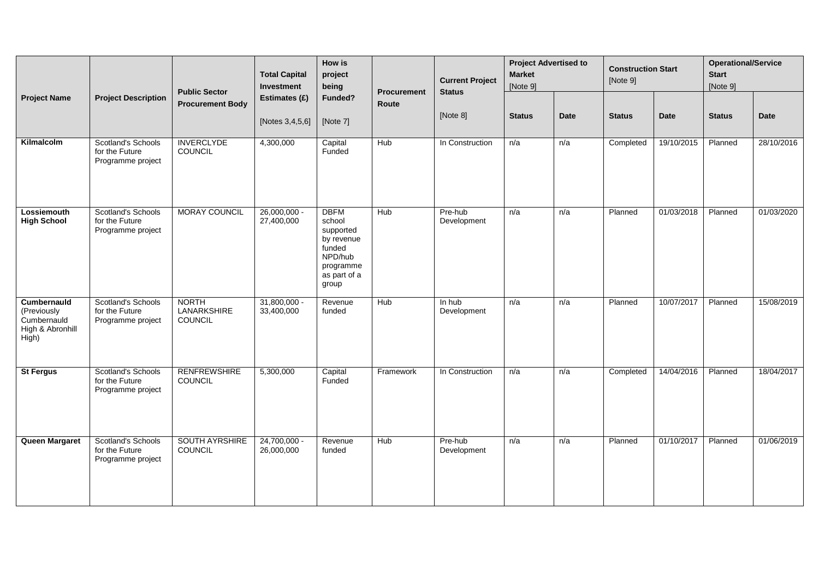|                                                                        |                                                                  | <b>Public Sector</b>                          | <b>Total Capital</b><br>Investment | <b>How is</b><br>project<br>being                                                                           | <b>Current Project</b><br>Procurement<br><b>Status</b> |                        | <b>Project Advertised to</b><br><b>Market</b><br>[Note 9] |             | <b>Construction Start</b><br>[Note 9] |             | <b>Operational/Service</b><br><b>Start</b><br>[Note 9] |             |
|------------------------------------------------------------------------|------------------------------------------------------------------|-----------------------------------------------|------------------------------------|-------------------------------------------------------------------------------------------------------------|--------------------------------------------------------|------------------------|-----------------------------------------------------------|-------------|---------------------------------------|-------------|--------------------------------------------------------|-------------|
| <b>Project Name</b>                                                    | <b>Project Description</b>                                       | <b>Procurement Body</b>                       | Estimates (£)<br>[Notes 3,4,5,6]   | Funded?<br>[Note 7]                                                                                         | Route                                                  | [Note 8]               | <b>Status</b>                                             | <b>Date</b> | <b>Status</b>                         | <b>Date</b> | <b>Status</b>                                          | <b>Date</b> |
| Kilmalcolm                                                             | <b>Scotland's Schools</b><br>for the Future<br>Programme project | <b>INVERCLYDE</b><br>COUNCIL                  | 4,300,000                          | Capital<br>Funded                                                                                           | <b>Hub</b>                                             | In Construction        | n/a                                                       | n/a         | Completed                             | 19/10/2015  | Planned                                                | 28/10/2016  |
| Lossiemouth<br><b>High School</b>                                      | Scotland's Schools<br>for the Future<br>Programme project        | <b>MORAY COUNCIL</b>                          | $26,000,000 -$<br>27,400,000       | <b>DBFM</b><br>school<br>supported<br>by revenue<br>funded<br>NPD/hub<br>programme<br>as part of a<br>group | Hub                                                    | Pre-hub<br>Development | n/a                                                       | n/a         | Planned                               | 01/03/2018  | Planned                                                | 01/03/2020  |
| Cumbernauld<br>(Previously<br>Cumbernauld<br>High & Abronhill<br>High) | <b>Scotland's Schools</b><br>for the Future<br>Programme project | <b>NORTH</b><br><b>LANARKSHIRE</b><br>COUNCIL | $31,800,000 -$<br>33,400,000       | Revenue<br>funded                                                                                           | <b>Hub</b>                                             | In hub<br>Development  | n/a                                                       | n/a         | Planned                               | 10/07/2017  | Planned                                                | 15/08/2019  |
| <b>St Fergus</b>                                                       | Scotland's Schools<br>for the Future<br>Programme project        | <b>RENFREWSHIRE</b><br><b>COUNCIL</b>         | 5,300,000                          | Capital<br>Funded                                                                                           | Framework                                              | In Construction        | n/a                                                       | n/a         | Completed                             | 14/04/2016  | Planned                                                | 18/04/2017  |
| Queen Margaret                                                         | Scotland's Schools<br>for the Future<br>Programme project        | <b>SOUTH AYRSHIRE</b><br>COUNCIL              | $24,700,000 -$<br>26,000,000       | Revenue<br>funded                                                                                           | Hub                                                    | Pre-hub<br>Development | n/a                                                       | n/a         | Planned                               | 01/10/2017  | Planned                                                | 01/06/2019  |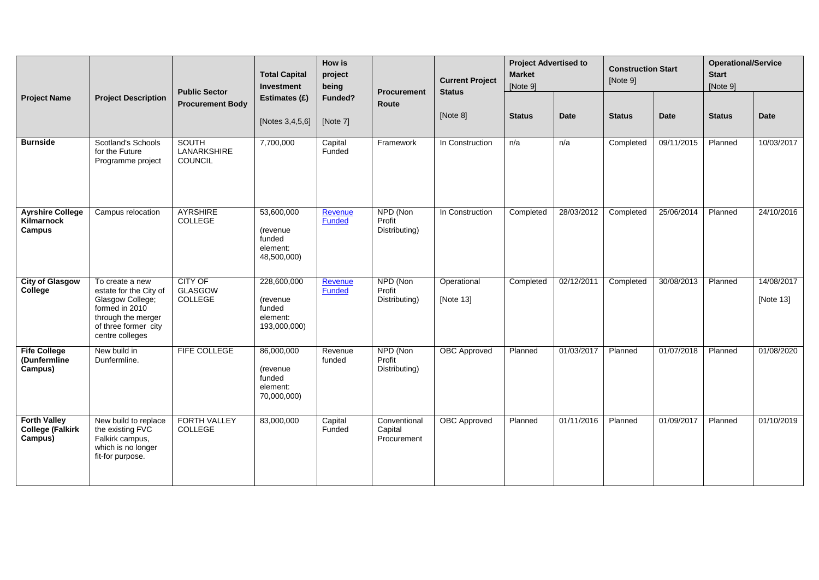|                                                           |                                                                                                                                                  | <b>Public Sector</b>                   | <b>Total Capital</b><br>Investment                                  | How is<br>project<br>being | <b>Procurement</b>                     | <b>Current Project</b>   |               | <b>Status</b> |               | <b>Project Advertised to</b><br><b>Market</b><br>[Note 9] |               | <b>Construction Start</b> | <b>Operational/Service</b><br><b>Start</b><br>[Note 9] |  |
|-----------------------------------------------------------|--------------------------------------------------------------------------------------------------------------------------------------------------|----------------------------------------|---------------------------------------------------------------------|----------------------------|----------------------------------------|--------------------------|---------------|---------------|---------------|-----------------------------------------------------------|---------------|---------------------------|--------------------------------------------------------|--|
| <b>Project Name</b>                                       | <b>Project Description</b>                                                                                                                       | <b>Procurement Body</b>                | Estimates (£)<br>[Notes 3,4,5,6]                                    | Funded?<br>[Note 7]        | Route                                  | [Note 8]                 | <b>Status</b> | Date          | <b>Status</b> | Date                                                      | <b>Status</b> | Date                      |                                                        |  |
| <b>Burnside</b>                                           | <b>Scotland's Schools</b><br>for the Future<br>Programme project                                                                                 | <b>SOUTH</b><br>LANARKSHIRE<br>COUNCIL | 7,700,000                                                           | Capital<br>Funded          | Framework                              | In Construction          | n/a           | n/a           | Completed     | 09/11/2015                                                | Planned       | 10/03/2017                |                                                        |  |
| <b>Ayrshire College</b><br>Kilmarnock<br>Campus           | Campus relocation                                                                                                                                | <b>AYRSHIRE</b><br>COLLEGE             | 53,600,000<br>(revenue<br>funded<br>element:<br>48,500,000)         | Revenue<br>Funded          | NPD (Non<br>Profit<br>Distributing)    | In Construction          | Completed     | 28/03/2012    | Completed     | 25/06/2014                                                | Planned       | 24/10/2016                |                                                        |  |
| <b>City of Glasgow</b><br>College                         | To create a new<br>estate for the City of<br>Glasgow College;<br>formed in 2010<br>through the merger<br>of three former city<br>centre colleges | <b>CITY OF</b><br>GLASGOW<br>COLLEGE   | 228,600,000<br>(revenue<br>funded<br>element:<br>193,000,000)       | Revenue<br><b>Funded</b>   | NPD (Non<br>Profit<br>Distributing)    | Operational<br>[Note 13] | Completed     | 02/12/2011    | Completed     | 30/08/2013                                                | Planned       | 14/08/2017<br>[Note 13]   |                                                        |  |
| <b>Fife College</b><br>(Dunfermline<br>Campus)            | New build in<br>Dunfermline.                                                                                                                     | FIFE COLLEGE                           | 86,000,000<br><i>(revenue)</i><br>funded<br>element:<br>70,000,000) | Revenue<br>funded          | NPD (Non<br>Profit<br>Distributing)    | <b>OBC</b> Approved      | Planned       | 01/03/2017    | Planned       | 01/07/2018                                                | Planned       | 01/08/2020                |                                                        |  |
| <b>Forth Valley</b><br><b>College (Falkirk</b><br>Campus) | New build to replace<br>the existing FVC<br>Falkirk campus,<br>which is no longer<br>fit-for purpose.                                            | <b>FORTH VALLEY</b><br>COLLEGE         | 83,000,000                                                          | Capital<br>Funded          | Conventional<br>Capital<br>Procurement | <b>OBC</b> Approved      | Planned       | 01/11/2016    | Planned       | 01/09/2017                                                | Planned       | 01/10/2019                |                                                        |  |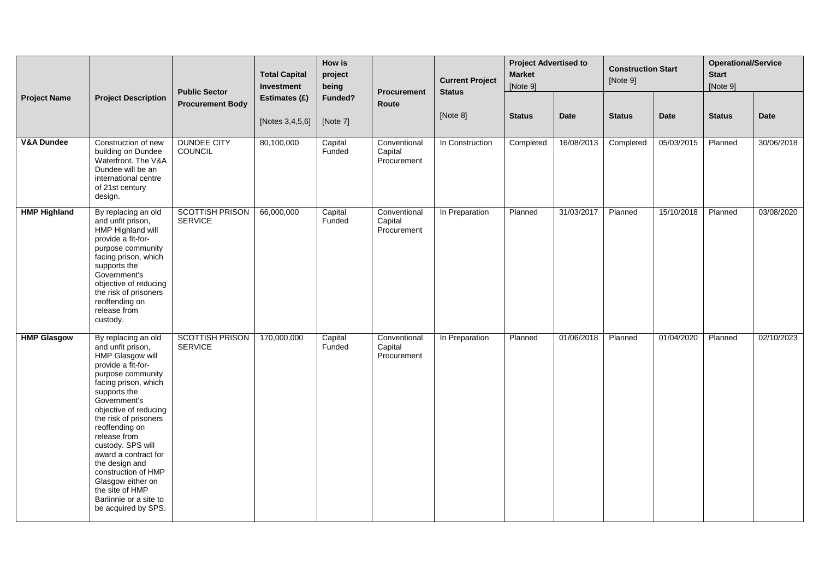|                       |                                                                                                                                                                                                                                                                                                                                                                                                                                    | <b>Public Sector</b>                     | <b>Total Capital</b><br>Investment | How is<br>project<br>being | Procurement<br>Route                   | <b>Current Project</b><br><b>Status</b> | <b>Project Advertised to</b><br><b>Market</b><br>[Note 9] |             | <b>Construction Start</b><br>[Note 9] |            | <b>Operational/Service</b><br><b>Start</b><br>[Note 9] |             |
|-----------------------|------------------------------------------------------------------------------------------------------------------------------------------------------------------------------------------------------------------------------------------------------------------------------------------------------------------------------------------------------------------------------------------------------------------------------------|------------------------------------------|------------------------------------|----------------------------|----------------------------------------|-----------------------------------------|-----------------------------------------------------------|-------------|---------------------------------------|------------|--------------------------------------------------------|-------------|
| <b>Project Name</b>   | <b>Project Description</b>                                                                                                                                                                                                                                                                                                                                                                                                         | <b>Procurement Body</b>                  | Estimates (£)<br>[Notes 3,4,5,6]   | Funded?<br>[Note 7]        |                                        | [Note 8]                                | <b>Status</b>                                             | <b>Date</b> | <b>Status</b>                         | Date       | <b>Status</b>                                          | <b>Date</b> |
| <b>V&amp;A Dundee</b> | Construction of new<br>building on Dundee<br>Waterfront. The V&A<br>Dundee will be an<br>international centre<br>of 21st century<br>design.                                                                                                                                                                                                                                                                                        | <b>DUNDEE CITY</b><br>COUNCIL            | 80,100,000                         | Capital<br>Funded          | Conventional<br>Capital<br>Procurement | In Construction                         | Completed                                                 | 16/08/2013  | Completed                             | 05/03/2015 | Planned                                                | 30/06/2018  |
| <b>HMP Highland</b>   | By replacing an old<br>and unfit prison,<br>HMP Highland will<br>provide a fit-for-<br>purpose community<br>facing prison, which<br>supports the<br>Government's<br>objective of reducing<br>the risk of prisoners<br>reoffending on<br>release from<br>custody.                                                                                                                                                                   | <b>SCOTTISH PRISON</b><br><b>SERVICE</b> | 66,000,000                         | Capital<br>Funded          | Conventional<br>Capital<br>Procurement | In Preparation                          | Planned                                                   | 31/03/2017  | Planned                               | 15/10/2018 | Planned                                                | 03/08/2020  |
| <b>HMP Glasgow</b>    | By replacing an old<br>and unfit prison,<br>HMP Glasgow will<br>provide a fit-for-<br>purpose community<br>facing prison, which<br>supports the<br>Government's<br>objective of reducing<br>the risk of prisoners<br>reoffending on<br>release from<br>custody. SPS will<br>award a contract for<br>the design and<br>construction of HMP<br>Glasgow either on<br>the site of HMP<br>Barlinnie or a site to<br>be acquired by SPS. | <b>SCOTTISH PRISON</b><br><b>SERVICE</b> | 170,000,000                        | Capital<br>Funded          | Conventional<br>Capital<br>Procurement | In Preparation                          | Planned                                                   | 01/06/2018  | Planned                               | 01/04/2020 | Planned                                                | 02/10/2023  |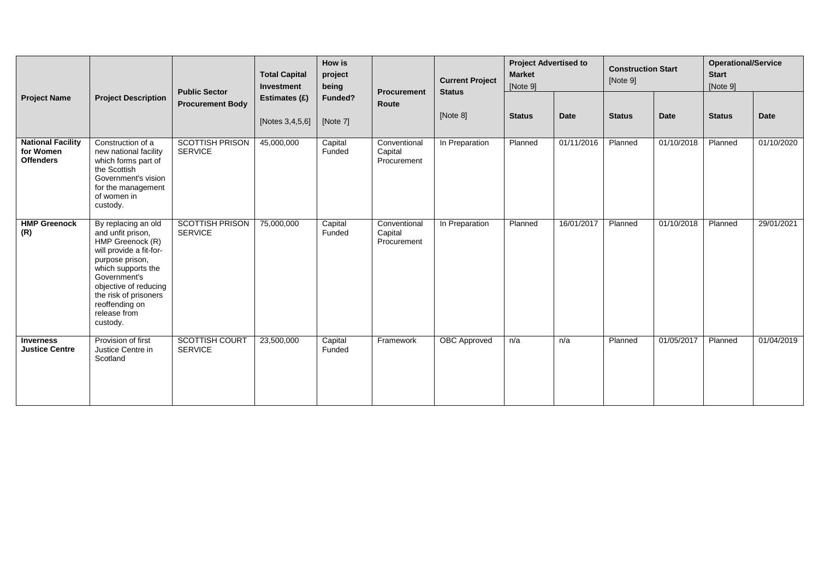|                                                           |                                                                                                                                                                                                                                                  | <b>Public Sector</b>                     | <b>Total Capital</b><br>Investment | How is<br>project<br>being | <b>Procurement</b><br>Funded?<br><b>Route</b> | <b>Current Project</b><br><b>Status</b> | <b>Project Advertised to</b><br><b>Market</b><br>[Note 9] |             | <b>Construction Start</b><br>[Note 9] |             | <b>Operational/Service</b><br><b>Start</b><br>[Note 9] |             |
|-----------------------------------------------------------|--------------------------------------------------------------------------------------------------------------------------------------------------------------------------------------------------------------------------------------------------|------------------------------------------|------------------------------------|----------------------------|-----------------------------------------------|-----------------------------------------|-----------------------------------------------------------|-------------|---------------------------------------|-------------|--------------------------------------------------------|-------------|
| <b>Project Name</b>                                       | <b>Project Description</b>                                                                                                                                                                                                                       | <b>Procurement Body</b>                  | Estimates (£)<br>[Notes 3,4,5,6]   | [Note 7]                   |                                               | [Note 8]                                | <b>Status</b>                                             | <b>Date</b> | <b>Status</b>                         | <b>Date</b> | <b>Status</b>                                          | <b>Date</b> |
| <b>National Facility</b><br>for Women<br><b>Offenders</b> | Construction of a<br>new national facility<br>which forms part of<br>the Scottish<br>Government's vision<br>for the management<br>of women in<br>custody.                                                                                        | <b>SCOTTISH PRISON</b><br><b>SERVICE</b> | 45,000,000                         | Capital<br>Funded          | Conventional<br>Capital<br>Procurement        | In Preparation                          | Planned                                                   | 01/11/2016  | Planned                               | 01/10/2018  | Planned                                                | 01/10/2020  |
| <b>HMP Greenock</b><br>(R)                                | By replacing an old<br>and unfit prison,<br>HMP Greenock (R)<br>will provide a fit-for-<br>purpose prison,<br>which supports the<br>Government's<br>objective of reducing<br>the risk of prisoners<br>reoffending on<br>release from<br>custody. | <b>SCOTTISH PRISON</b><br><b>SERVICE</b> | 75,000,000                         | Capital<br>Funded          | Conventional<br>Capital<br>Procurement        | In Preparation                          | Planned                                                   | 16/01/2017  | Planned                               | 01/10/2018  | Planned                                                | 29/01/2021  |
| <b>Inverness</b><br><b>Justice Centre</b>                 | Provision of first<br>Justice Centre in<br>Scotland                                                                                                                                                                                              | <b>SCOTTISH COURT</b><br><b>SERVICE</b>  | 23,500,000                         | Capital<br>Funded          | Framework                                     | <b>OBC</b> Approved                     | n/a                                                       | n/a         | Planned                               | 01/05/2017  | Planned                                                | 01/04/2019  |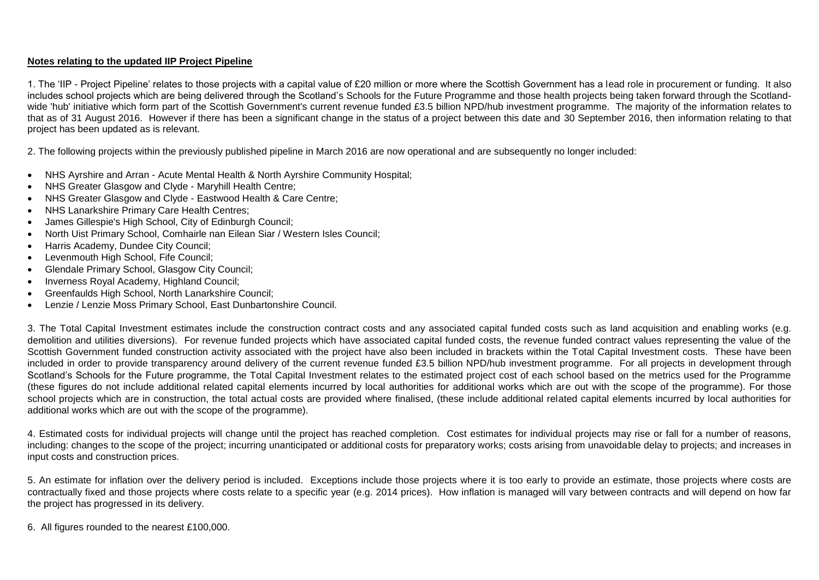#### **Notes relating to the updated IIP Project Pipeline**

1. The 'IIP - Project Pipeline' relates to those projects with a capital value of £20 million or more where the Scottish Government has a lead role in procurement or funding. It also includes school projects which are being delivered through the Scotland's Schools for the Future Programme and those health projects being taken forward through the Scotlandwide 'hub' initiative which form part of the Scottish Government's current revenue funded £3.5 billion NPD/hub investment programme. The majority of the information relates to that as of 31 August 2016. However if there has been a significant change in the status of a project between this date and 30 September 2016, then information relating to that project has been updated as is relevant.

2. The following projects within the previously published pipeline in March 2016 are now operational and are subsequently no longer included:

- NHS Ayrshire and Arran Acute Mental Health & North Ayrshire Community Hospital;
- NHS Greater Glasgow and Clyde Maryhill Health Centre;
- NHS Greater Glasgow and Clyde Eastwood Health & Care Centre;
- NHS Lanarkshire Primary Care Health Centres;
- James Gillespie's High School, City of Edinburgh Council;
- North Uist Primary School, Comhairle nan Eilean Siar / Western Isles Council;
- Harris Academy, Dundee City Council:
- Levenmouth High School, Fife Council;
- Glendale Primary School, Glasgow City Council;
- Inverness Royal Academy, Highland Council;
- Greenfaulds High School, North Lanarkshire Council;
- Lenzie / Lenzie Moss Primary School, East Dunbartonshire Council.

3. The Total Capital Investment estimates include the construction contract costs and any associated capital funded costs such as land acquisition and enabling works (e.g. demolition and utilities diversions). For revenue funded projects which have associated capital funded costs, the revenue funded contract values representing the value of the Scottish Government funded construction activity associated with the project have also been included in brackets within the Total Capital Investment costs. These have been included in order to provide transparency around delivery of the current revenue funded £3.5 billion NPD/hub investment programme. For all projects in development through Scotland's Schools for the Future programme, the Total Capital Investment relates to the estimated project cost of each school based on the metrics used for the Programme (these figures do not include additional related capital elements incurred by local authorities for additional works which are out with the scope of the programme). For those school projects which are in construction, the total actual costs are provided where finalised, (these include additional related capital elements incurred by local authorities for additional works which are out with the scope of the programme).

4. Estimated costs for individual projects will change until the project has reached completion. Cost estimates for individual projects may rise or fall for a number of reasons, including: changes to the scope of the project; incurring unanticipated or additional costs for preparatory works; costs arising from unavoidable delay to projects; and increases in input costs and construction prices.

5. An estimate for inflation over the delivery period is included. Exceptions include those projects where it is too early to provide an estimate, those projects where costs are contractually fixed and those projects where costs relate to a specific year (e.g. 2014 prices). How inflation is managed will vary between contracts and will depend on how far the project has progressed in its delivery.

6. All figures rounded to the nearest £100,000.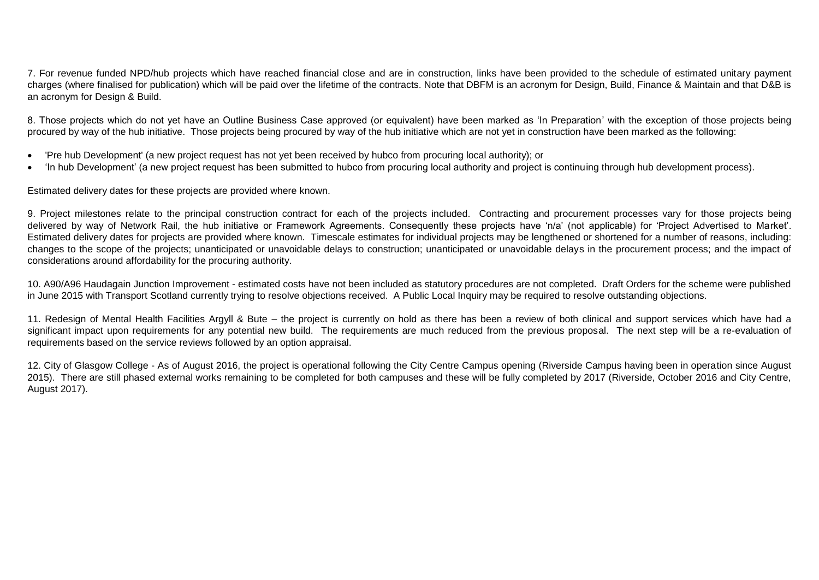7. For revenue funded NPD/hub projects which have reached financial close and are in construction, links have been provided to the schedule of estimated unitary payment charges (where finalised for publication) which will be paid over the lifetime of the contracts. Note that DBFM is an acronym for Design, Build, Finance & Maintain and that D&B is an acronym for Design & Build.

8. Those projects which do not yet have an Outline Business Case approved (or equivalent) have been marked as 'In Preparation' with the exception of those projects being procured by way of the hub initiative. Those projects being procured by way of the hub initiative which are not yet in construction have been marked as the following:

- 'Pre hub Development' (a new project request has not yet been received by hubco from procuring local authority); or
- 'In hub Development' (a new project request has been submitted to hubco from procuring local authority and project is continuing through hub development process).

Estimated delivery dates for these projects are provided where known.

9. Project milestones relate to the principal construction contract for each of the projects included. Contracting and procurement processes vary for those projects being delivered by way of Network Rail, the hub initiative or Framework Agreements. Consequently these projects have 'n/a' (not applicable) for 'Project Advertised to Market'. Estimated delivery dates for projects are provided where known. Timescale estimates for individual projects may be lengthened or shortened for a number of reasons, including: changes to the scope of the projects; unanticipated or unavoidable delays to construction; unanticipated or unavoidable delays in the procurement process; and the impact of considerations around affordability for the procuring authority.

10. A90/A96 Haudagain Junction Improvement - estimated costs have not been included as statutory procedures are not completed. Draft Orders for the scheme were published in June 2015 with Transport Scotland currently trying to resolve objections received. A Public Local Inquiry may be required to resolve outstanding objections.

11. Redesign of Mental Health Facilities Argyll & Bute – the project is currently on hold as there has been a review of both clinical and support services which have had a significant impact upon requirements for any potential new build. The requirements are much reduced from the previous proposal. The next step will be a re-evaluation of requirements based on the service reviews followed by an option appraisal.

12. City of Glasgow College - As of August 2016, the project is operational following the City Centre Campus opening (Riverside Campus having been in operation since August 2015). There are still phased external works remaining to be completed for both campuses and these will be fully completed by 2017 (Riverside, October 2016 and City Centre, August 2017).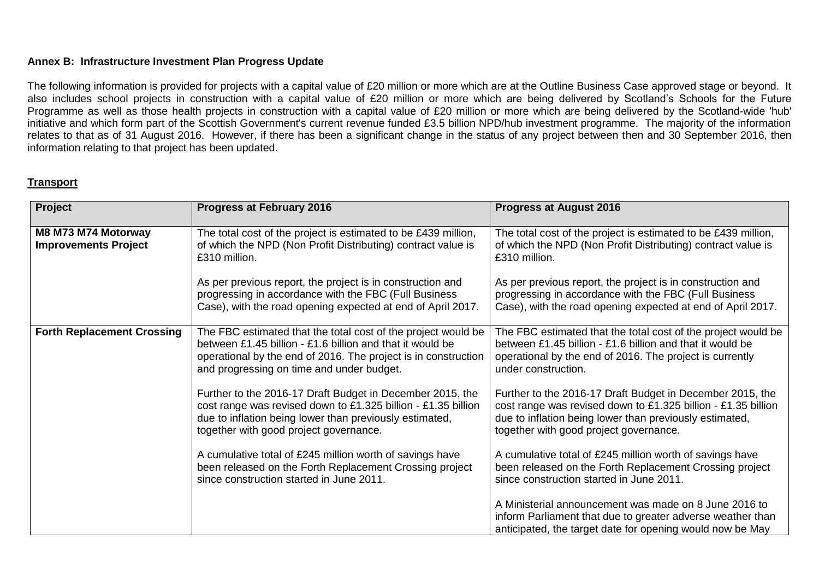#### **Annex B: Infrastructure Investment Plan Progress Update**

The following information is provided for projects with a capital value of £20 million or more which are at the Outline Business Case approved stage or beyond. It also includes school projects in construction with a capital value of £20 million or more which are being delivered by Scotland's Schools for the Future Programme as well as those health projects in construction with a capital value of £20 million or more which are being delivered by the Scotland-wide 'hub' initiative and which form part of the Scottish Government's current revenue funded £3.5 billion NPD/hub investment programme. The majority of the information relates to that as of 31 August 2016. However, if there has been a significant change in the status of any project between then and 30 September 2016, then information relating to that project has been updated.

#### **Transport**

| Project                                            | <b>Progress at February 2016</b>                                                                                                                                                                                                          | <b>Progress at August 2016</b>                                                                                                                                                                                                  |
|----------------------------------------------------|-------------------------------------------------------------------------------------------------------------------------------------------------------------------------------------------------------------------------------------------|---------------------------------------------------------------------------------------------------------------------------------------------------------------------------------------------------------------------------------|
| M8 M73 M74 Motorway<br><b>Improvements Project</b> | The total cost of the project is estimated to be £439 million,<br>of which the NPD (Non Profit Distributing) contract value is<br>£310 million.                                                                                           | The total cost of the project is estimated to be £439 million,<br>of which the NPD (Non Profit Distributing) contract value is<br>£310 million.                                                                                 |
|                                                    | As per previous report, the project is in construction and<br>progressing in accordance with the FBC (Full Business<br>Case), with the road opening expected at end of April 2017.                                                        | As per previous report, the project is in construction and<br>progressing in accordance with the FBC (Full Business<br>Case), with the road opening expected at end of April 2017.                                              |
| <b>Forth Replacement Crossing</b>                  | The FBC estimated that the total cost of the project would be<br>between £1.45 billion - £1.6 billion and that it would be<br>operational by the end of 2016. The project is in construction<br>and progressing on time and under budget. | The FBC estimated that the total cost of the project would be<br>between £1.45 billion - £1.6 billion and that it would be<br>operational by the end of 2016. The project is currently<br>under construction.                   |
|                                                    | Further to the 2016-17 Draft Budget in December 2015, the<br>cost range was revised down to £1.325 billion - £1.35 billion<br>due to inflation being lower than previously estimated,<br>together with good project governance.           | Further to the 2016-17 Draft Budget in December 2015, the<br>cost range was revised down to £1.325 billion - £1.35 billion<br>due to inflation being lower than previously estimated,<br>together with good project governance. |
|                                                    | A cumulative total of £245 million worth of savings have<br>been released on the Forth Replacement Crossing project<br>since construction started in June 2011.                                                                           | A cumulative total of £245 million worth of savings have<br>been released on the Forth Replacement Crossing project<br>since construction started in June 2011.                                                                 |
|                                                    |                                                                                                                                                                                                                                           | A Ministerial announcement was made on 8 June 2016 to<br>inform Parliament that due to greater adverse weather than<br>anticipated, the target date for opening would now be May                                                |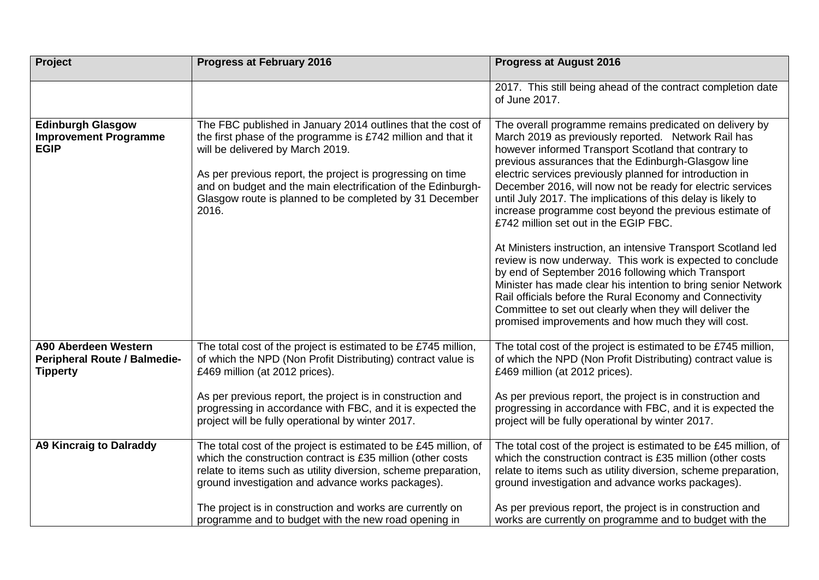| <b>Project</b>                                                                 | <b>Progress at February 2016</b>                                                                                                                                                                                                                                                                                                                                            | <b>Progress at August 2016</b>                                                                                                                                                                                                                                                                                                                                                                                                                                                                                                                                                                                                                                                                                                                                                                                                                                                                                                                                |
|--------------------------------------------------------------------------------|-----------------------------------------------------------------------------------------------------------------------------------------------------------------------------------------------------------------------------------------------------------------------------------------------------------------------------------------------------------------------------|---------------------------------------------------------------------------------------------------------------------------------------------------------------------------------------------------------------------------------------------------------------------------------------------------------------------------------------------------------------------------------------------------------------------------------------------------------------------------------------------------------------------------------------------------------------------------------------------------------------------------------------------------------------------------------------------------------------------------------------------------------------------------------------------------------------------------------------------------------------------------------------------------------------------------------------------------------------|
|                                                                                |                                                                                                                                                                                                                                                                                                                                                                             | 2017. This still being ahead of the contract completion date<br>of June 2017.                                                                                                                                                                                                                                                                                                                                                                                                                                                                                                                                                                                                                                                                                                                                                                                                                                                                                 |
| <b>Edinburgh Glasgow</b><br><b>Improvement Programme</b><br><b>EGIP</b>        | The FBC published in January 2014 outlines that the cost of<br>the first phase of the programme is £742 million and that it<br>will be delivered by March 2019.<br>As per previous report, the project is progressing on time<br>and on budget and the main electrification of the Edinburgh-<br>Glasgow route is planned to be completed by 31 December<br>2016.           | The overall programme remains predicated on delivery by<br>March 2019 as previously reported. Network Rail has<br>however informed Transport Scotland that contrary to<br>previous assurances that the Edinburgh-Glasgow line<br>electric services previously planned for introduction in<br>December 2016, will now not be ready for electric services<br>until July 2017. The implications of this delay is likely to<br>increase programme cost beyond the previous estimate of<br>£742 million set out in the EGIP FBC.<br>At Ministers instruction, an intensive Transport Scotland led<br>review is now underway. This work is expected to conclude<br>by end of September 2016 following which Transport<br>Minister has made clear his intention to bring senior Network<br>Rail officials before the Rural Economy and Connectivity<br>Committee to set out clearly when they will deliver the<br>promised improvements and how much they will cost. |
| A90 Aberdeen Western<br><b>Peripheral Route / Balmedie-</b><br><b>Tipperty</b> | The total cost of the project is estimated to be £745 million,<br>of which the NPD (Non Profit Distributing) contract value is<br>£469 million (at 2012 prices).                                                                                                                                                                                                            | The total cost of the project is estimated to be £745 million,<br>of which the NPD (Non Profit Distributing) contract value is<br>£469 million (at 2012 prices).                                                                                                                                                                                                                                                                                                                                                                                                                                                                                                                                                                                                                                                                                                                                                                                              |
|                                                                                | As per previous report, the project is in construction and<br>progressing in accordance with FBC, and it is expected the<br>project will be fully operational by winter 2017.                                                                                                                                                                                               | As per previous report, the project is in construction and<br>progressing in accordance with FBC, and it is expected the<br>project will be fully operational by winter 2017.                                                                                                                                                                                                                                                                                                                                                                                                                                                                                                                                                                                                                                                                                                                                                                                 |
| <b>A9 Kincraig to Dalraddy</b>                                                 | The total cost of the project is estimated to be £45 million, of<br>which the construction contract is £35 million (other costs<br>relate to items such as utility diversion, scheme preparation,<br>ground investigation and advance works packages).<br>The project is in construction and works are currently on<br>programme and to budget with the new road opening in | The total cost of the project is estimated to be £45 million, of<br>which the construction contract is £35 million (other costs<br>relate to items such as utility diversion, scheme preparation,<br>ground investigation and advance works packages).<br>As per previous report, the project is in construction and<br>works are currently on programme and to budget with the                                                                                                                                                                                                                                                                                                                                                                                                                                                                                                                                                                               |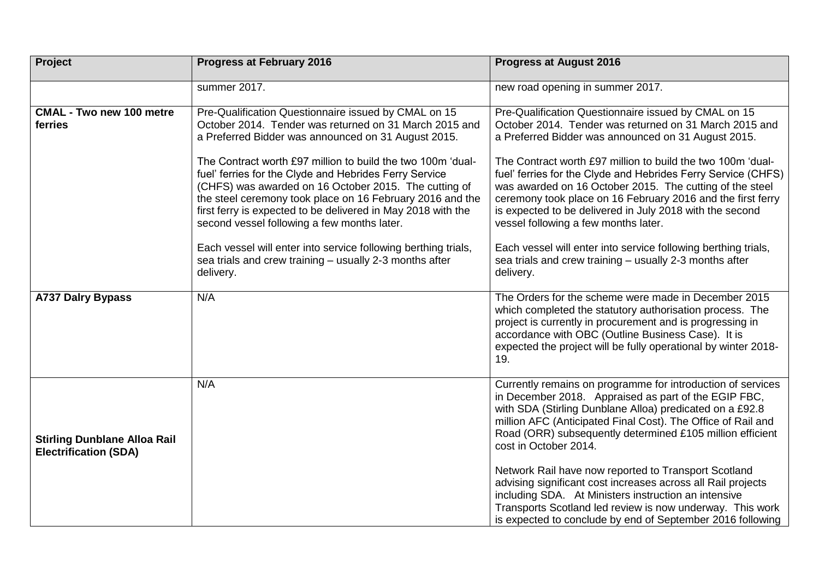| Project                                                             | <b>Progress at February 2016</b>                                                                                                                                                                                                                                                                                                                                                                                                                                                                                                                                                                                                                                              | <b>Progress at August 2016</b>                                                                                                                                                                                                                                                                                                                                                                                                                                                                                                                                                                                                                                                 |
|---------------------------------------------------------------------|-------------------------------------------------------------------------------------------------------------------------------------------------------------------------------------------------------------------------------------------------------------------------------------------------------------------------------------------------------------------------------------------------------------------------------------------------------------------------------------------------------------------------------------------------------------------------------------------------------------------------------------------------------------------------------|--------------------------------------------------------------------------------------------------------------------------------------------------------------------------------------------------------------------------------------------------------------------------------------------------------------------------------------------------------------------------------------------------------------------------------------------------------------------------------------------------------------------------------------------------------------------------------------------------------------------------------------------------------------------------------|
|                                                                     | summer 2017.                                                                                                                                                                                                                                                                                                                                                                                                                                                                                                                                                                                                                                                                  | new road opening in summer 2017.                                                                                                                                                                                                                                                                                                                                                                                                                                                                                                                                                                                                                                               |
| <b>CMAL - Two new 100 metre</b><br>ferries                          | Pre-Qualification Questionnaire issued by CMAL on 15<br>October 2014. Tender was returned on 31 March 2015 and<br>a Preferred Bidder was announced on 31 August 2015.<br>The Contract worth £97 million to build the two 100m 'dual-<br>fuel' ferries for the Clyde and Hebrides Ferry Service<br>(CHFS) was awarded on 16 October 2015. The cutting of<br>the steel ceremony took place on 16 February 2016 and the<br>first ferry is expected to be delivered in May 2018 with the<br>second vessel following a few months later.<br>Each vessel will enter into service following berthing trials,<br>sea trials and crew training - usually 2-3 months after<br>delivery. | Pre-Qualification Questionnaire issued by CMAL on 15<br>October 2014. Tender was returned on 31 March 2015 and<br>a Preferred Bidder was announced on 31 August 2015.<br>The Contract worth £97 million to build the two 100m 'dual-<br>fuel' ferries for the Clyde and Hebrides Ferry Service (CHFS)<br>was awarded on 16 October 2015. The cutting of the steel<br>ceremony took place on 16 February 2016 and the first ferry<br>is expected to be delivered in July 2018 with the second<br>vessel following a few months later.<br>Each vessel will enter into service following berthing trials,<br>sea trials and crew training - usually 2-3 months after<br>delivery. |
| <b>A737 Dalry Bypass</b>                                            | N/A                                                                                                                                                                                                                                                                                                                                                                                                                                                                                                                                                                                                                                                                           | The Orders for the scheme were made in December 2015<br>which completed the statutory authorisation process. The<br>project is currently in procurement and is progressing in<br>accordance with OBC (Outline Business Case). It is<br>expected the project will be fully operational by winter 2018-<br>19.                                                                                                                                                                                                                                                                                                                                                                   |
| <b>Stirling Dunblane Alloa Rail</b><br><b>Electrification (SDA)</b> | N/A                                                                                                                                                                                                                                                                                                                                                                                                                                                                                                                                                                                                                                                                           | Currently remains on programme for introduction of services<br>in December 2018. Appraised as part of the EGIP FBC,<br>with SDA (Stirling Dunblane Alloa) predicated on a £92.8<br>million AFC (Anticipated Final Cost). The Office of Rail and<br>Road (ORR) subsequently determined £105 million efficient<br>cost in October 2014.<br>Network Rail have now reported to Transport Scotland<br>advising significant cost increases across all Rail projects<br>including SDA. At Ministers instruction an intensive<br>Transports Scotland led review is now underway. This work<br>is expected to conclude by end of September 2016 following                               |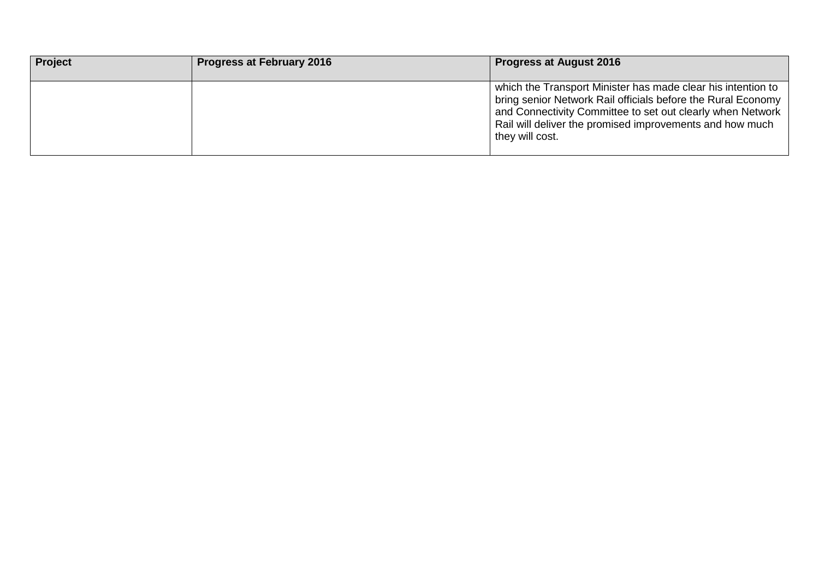| <b>Project</b> | <b>Progress at February 2016</b> | <b>Progress at August 2016</b>                                                                                                                                                                                                                                            |
|----------------|----------------------------------|---------------------------------------------------------------------------------------------------------------------------------------------------------------------------------------------------------------------------------------------------------------------------|
|                |                                  | which the Transport Minister has made clear his intention to<br>bring senior Network Rail officials before the Rural Economy<br>and Connectivity Committee to set out clearly when Network<br>Rail will deliver the promised improvements and how much<br>they will cost. |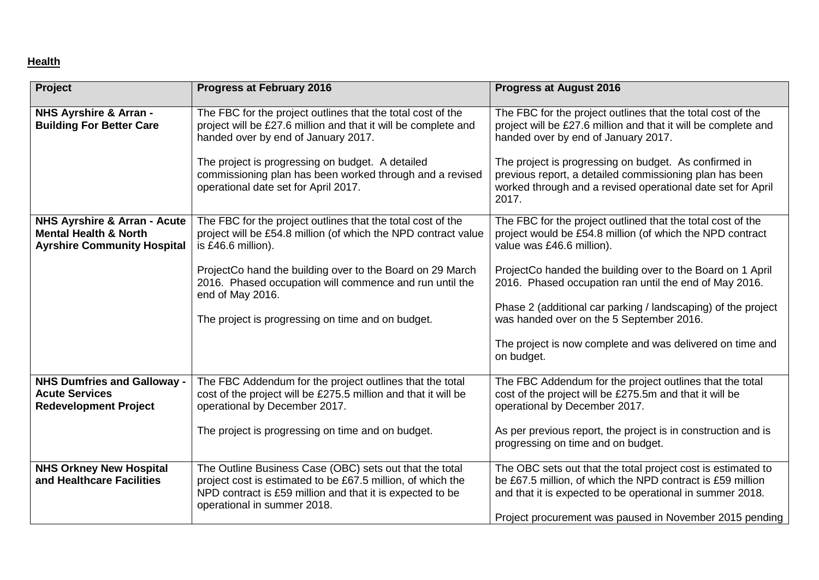# **Health**

| Project                                                                                                           | <b>Progress at February 2016</b>                                                                                                                                                                                   | <b>Progress at August 2016</b>                                                                                                                                                                                                                     |
|-------------------------------------------------------------------------------------------------------------------|--------------------------------------------------------------------------------------------------------------------------------------------------------------------------------------------------------------------|----------------------------------------------------------------------------------------------------------------------------------------------------------------------------------------------------------------------------------------------------|
| NHS Ayrshire & Arran -<br><b>Building For Better Care</b>                                                         | The FBC for the project outlines that the total cost of the<br>project will be £27.6 million and that it will be complete and<br>handed over by end of January 2017.                                               | The FBC for the project outlines that the total cost of the<br>project will be £27.6 million and that it will be complete and<br>handed over by end of January 2017.                                                                               |
|                                                                                                                   | The project is progressing on budget. A detailed<br>commissioning plan has been worked through and a revised<br>operational date set for April 2017.                                                               | The project is progressing on budget. As confirmed in<br>previous report, a detailed commissioning plan has been<br>worked through and a revised operational date set for April<br>2017.                                                           |
| <b>NHS Ayrshire &amp; Arran - Acute</b><br><b>Mental Health &amp; North</b><br><b>Ayrshire Community Hospital</b> | The FBC for the project outlines that the total cost of the<br>project will be £54.8 million (of which the NPD contract value<br>is £46.6 million).                                                                | The FBC for the project outlined that the total cost of the<br>project would be £54.8 million (of which the NPD contract<br>value was £46.6 million).                                                                                              |
|                                                                                                                   | ProjectCo hand the building over to the Board on 29 March<br>2016. Phased occupation will commence and run until the<br>end of May 2016.                                                                           | ProjectCo handed the building over to the Board on 1 April<br>2016. Phased occupation ran until the end of May 2016.                                                                                                                               |
|                                                                                                                   | The project is progressing on time and on budget.                                                                                                                                                                  | Phase 2 (additional car parking / landscaping) of the project<br>was handed over on the 5 September 2016.                                                                                                                                          |
|                                                                                                                   |                                                                                                                                                                                                                    | The project is now complete and was delivered on time and<br>on budget.                                                                                                                                                                            |
| <b>NHS Dumfries and Galloway -</b><br><b>Acute Services</b><br><b>Redevelopment Project</b>                       | The FBC Addendum for the project outlines that the total<br>cost of the project will be £275.5 million and that it will be<br>operational by December 2017.                                                        | The FBC Addendum for the project outlines that the total<br>cost of the project will be £275.5m and that it will be<br>operational by December 2017.                                                                                               |
|                                                                                                                   | The project is progressing on time and on budget.                                                                                                                                                                  | As per previous report, the project is in construction and is<br>progressing on time and on budget.                                                                                                                                                |
| <b>NHS Orkney New Hospital</b><br>and Healthcare Facilities                                                       | The Outline Business Case (OBC) sets out that the total<br>project cost is estimated to be £67.5 million, of which the<br>NPD contract is £59 million and that it is expected to be<br>operational in summer 2018. | The OBC sets out that the total project cost is estimated to<br>be £67.5 million, of which the NPD contract is £59 million<br>and that it is expected to be operational in summer 2018.<br>Project procurement was paused in November 2015 pending |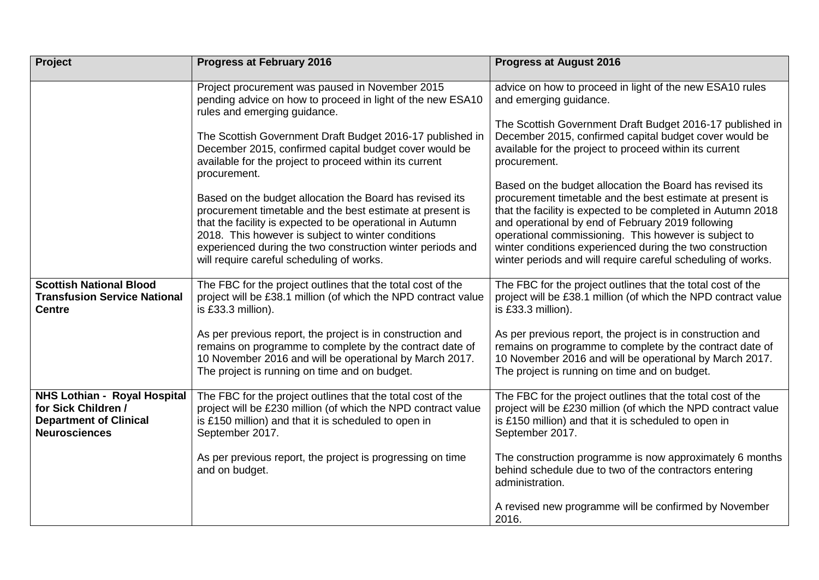| <b>Project</b>                                                                                                      | <b>Progress at February 2016</b>                                                                                                                                                                                                                                                                                                                    | <b>Progress at August 2016</b>                                                                                                                                                                                                                                                                                                                                                                                                   |
|---------------------------------------------------------------------------------------------------------------------|-----------------------------------------------------------------------------------------------------------------------------------------------------------------------------------------------------------------------------------------------------------------------------------------------------------------------------------------------------|----------------------------------------------------------------------------------------------------------------------------------------------------------------------------------------------------------------------------------------------------------------------------------------------------------------------------------------------------------------------------------------------------------------------------------|
|                                                                                                                     | Project procurement was paused in November 2015<br>pending advice on how to proceed in light of the new ESA10<br>rules and emerging guidance.                                                                                                                                                                                                       | advice on how to proceed in light of the new ESA10 rules<br>and emerging guidance.<br>The Scottish Government Draft Budget 2016-17 published in                                                                                                                                                                                                                                                                                  |
|                                                                                                                     | The Scottish Government Draft Budget 2016-17 published in<br>December 2015, confirmed capital budget cover would be<br>available for the project to proceed within its current<br>procurement.                                                                                                                                                      | December 2015, confirmed capital budget cover would be<br>available for the project to proceed within its current<br>procurement.                                                                                                                                                                                                                                                                                                |
|                                                                                                                     | Based on the budget allocation the Board has revised its<br>procurement timetable and the best estimate at present is<br>that the facility is expected to be operational in Autumn<br>2018. This however is subject to winter conditions<br>experienced during the two construction winter periods and<br>will require careful scheduling of works. | Based on the budget allocation the Board has revised its<br>procurement timetable and the best estimate at present is<br>that the facility is expected to be completed in Autumn 2018<br>and operational by end of February 2019 following<br>operational commissioning. This however is subject to<br>winter conditions experienced during the two construction<br>winter periods and will require careful scheduling of works. |
| <b>Scottish National Blood</b><br><b>Transfusion Service National</b><br><b>Centre</b>                              | The FBC for the project outlines that the total cost of the<br>project will be £38.1 million (of which the NPD contract value<br>is £33.3 million).                                                                                                                                                                                                 | The FBC for the project outlines that the total cost of the<br>project will be £38.1 million (of which the NPD contract value<br>is £33.3 million).                                                                                                                                                                                                                                                                              |
|                                                                                                                     | As per previous report, the project is in construction and<br>remains on programme to complete by the contract date of<br>10 November 2016 and will be operational by March 2017.<br>The project is running on time and on budget.                                                                                                                  | As per previous report, the project is in construction and<br>remains on programme to complete by the contract date of<br>10 November 2016 and will be operational by March 2017.<br>The project is running on time and on budget.                                                                                                                                                                                               |
| <b>NHS Lothian - Royal Hospital</b><br>for Sick Children /<br><b>Department of Clinical</b><br><b>Neurosciences</b> | The FBC for the project outlines that the total cost of the<br>project will be £230 million (of which the NPD contract value<br>is £150 million) and that it is scheduled to open in<br>September 2017.                                                                                                                                             | The FBC for the project outlines that the total cost of the<br>project will be £230 million (of which the NPD contract value<br>is £150 million) and that it is scheduled to open in<br>September 2017.                                                                                                                                                                                                                          |
|                                                                                                                     | As per previous report, the project is progressing on time<br>and on budget.                                                                                                                                                                                                                                                                        | The construction programme is now approximately 6 months<br>behind schedule due to two of the contractors entering<br>administration.                                                                                                                                                                                                                                                                                            |
|                                                                                                                     |                                                                                                                                                                                                                                                                                                                                                     | A revised new programme will be confirmed by November<br>2016.                                                                                                                                                                                                                                                                                                                                                                   |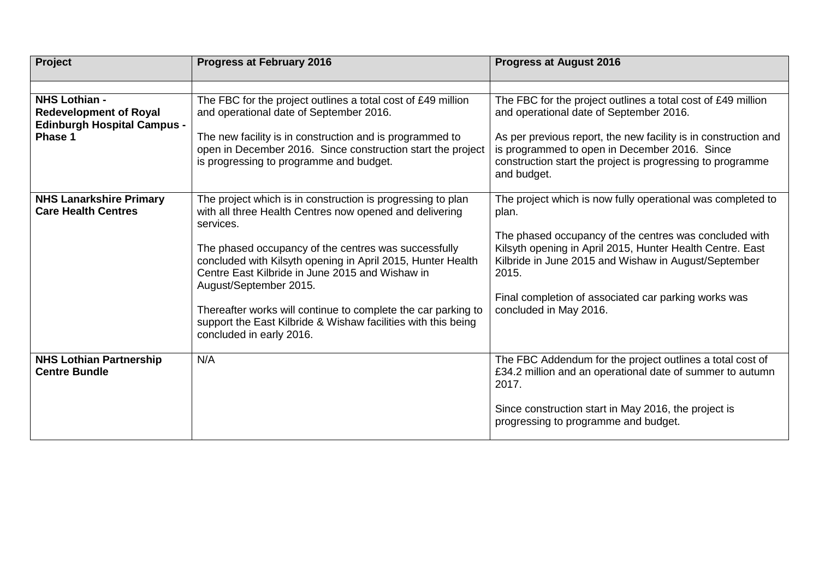| Project                                                                                                | <b>Progress at February 2016</b>                                                                                                                                                                 | <b>Progress at August 2016</b>                                                                                                                                                       |
|--------------------------------------------------------------------------------------------------------|--------------------------------------------------------------------------------------------------------------------------------------------------------------------------------------------------|--------------------------------------------------------------------------------------------------------------------------------------------------------------------------------------|
|                                                                                                        |                                                                                                                                                                                                  |                                                                                                                                                                                      |
| <b>NHS Lothian -</b><br><b>Redevelopment of Royal</b><br><b>Edinburgh Hospital Campus -</b><br>Phase 1 | The FBC for the project outlines a total cost of £49 million<br>and operational date of September 2016.<br>The new facility is in construction and is programmed to                              | The FBC for the project outlines a total cost of £49 million<br>and operational date of September 2016.<br>As per previous report, the new facility is in construction and           |
|                                                                                                        | open in December 2016. Since construction start the project<br>is progressing to programme and budget.                                                                                           | is programmed to open in December 2016. Since<br>construction start the project is progressing to programme<br>and budget.                                                           |
| <b>NHS Lanarkshire Primary</b><br><b>Care Health Centres</b>                                           | The project which is in construction is progressing to plan<br>with all three Health Centres now opened and delivering<br>services.                                                              | The project which is now fully operational was completed to<br>plan.                                                                                                                 |
|                                                                                                        | The phased occupancy of the centres was successfully<br>concluded with Kilsyth opening in April 2015, Hunter Health<br>Centre East Kilbride in June 2015 and Wishaw in<br>August/September 2015. | The phased occupancy of the centres was concluded with<br>Kilsyth opening in April 2015, Hunter Health Centre. East<br>Kilbride in June 2015 and Wishaw in August/September<br>2015. |
|                                                                                                        | Thereafter works will continue to complete the car parking to<br>support the East Kilbride & Wishaw facilities with this being<br>concluded in early 2016.                                       | Final completion of associated car parking works was<br>concluded in May 2016.                                                                                                       |
| <b>NHS Lothian Partnership</b><br><b>Centre Bundle</b>                                                 | N/A                                                                                                                                                                                              | The FBC Addendum for the project outlines a total cost of<br>£34.2 million and an operational date of summer to autumn<br>2017.                                                      |
|                                                                                                        |                                                                                                                                                                                                  | Since construction start in May 2016, the project is<br>progressing to programme and budget.                                                                                         |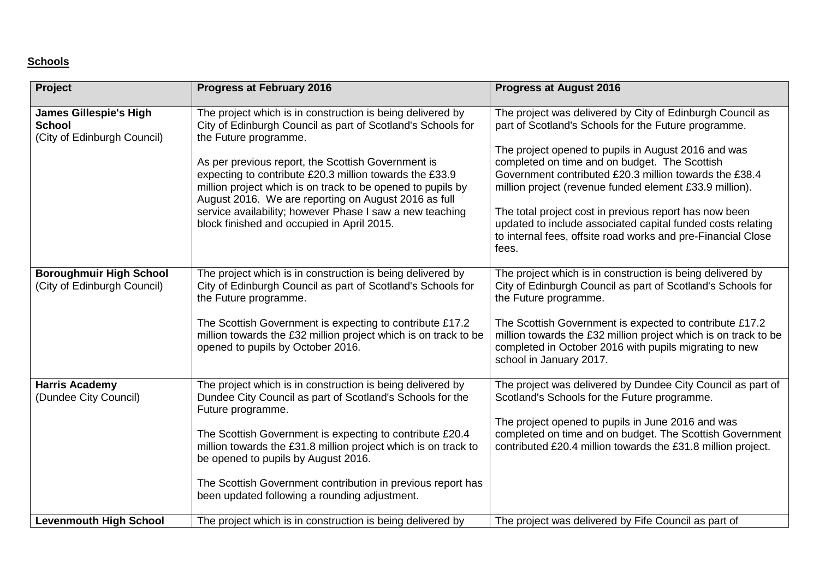# **Schools**

| <b>Project</b>                                                                | <b>Progress at February 2016</b>                                                                                                                                                                                                                                                                                                                                                                                                                                                                     | <b>Progress at August 2016</b>                                                                                                                                                                                                                                                                                                                                                                                                                                                                                                                   |
|-------------------------------------------------------------------------------|------------------------------------------------------------------------------------------------------------------------------------------------------------------------------------------------------------------------------------------------------------------------------------------------------------------------------------------------------------------------------------------------------------------------------------------------------------------------------------------------------|--------------------------------------------------------------------------------------------------------------------------------------------------------------------------------------------------------------------------------------------------------------------------------------------------------------------------------------------------------------------------------------------------------------------------------------------------------------------------------------------------------------------------------------------------|
| <b>James Gillespie's High</b><br><b>School</b><br>(City of Edinburgh Council) | The project which is in construction is being delivered by<br>City of Edinburgh Council as part of Scotland's Schools for<br>the Future programme.<br>As per previous report, the Scottish Government is<br>expecting to contribute £20.3 million towards the £33.9<br>million project which is on track to be opened to pupils by<br>August 2016. We are reporting on August 2016 as full<br>service availability; however Phase I saw a new teaching<br>block finished and occupied in April 2015. | The project was delivered by City of Edinburgh Council as<br>part of Scotland's Schools for the Future programme.<br>The project opened to pupils in August 2016 and was<br>completed on time and on budget. The Scottish<br>Government contributed £20.3 million towards the £38.4<br>million project (revenue funded element £33.9 million).<br>The total project cost in previous report has now been<br>updated to include associated capital funded costs relating<br>to internal fees, offsite road works and pre-Financial Close<br>fees. |
| <b>Boroughmuir High School</b><br>(City of Edinburgh Council)                 | The project which is in construction is being delivered by<br>City of Edinburgh Council as part of Scotland's Schools for<br>the Future programme.<br>The Scottish Government is expecting to contribute £17.2<br>million towards the £32 million project which is on track to be<br>opened to pupils by October 2016.                                                                                                                                                                               | The project which is in construction is being delivered by<br>City of Edinburgh Council as part of Scotland's Schools for<br>the Future programme.<br>The Scottish Government is expected to contribute £17.2<br>million towards the £32 million project which is on track to be<br>completed in October 2016 with pupils migrating to new<br>school in January 2017.                                                                                                                                                                            |
| <b>Harris Academy</b><br>(Dundee City Council)                                | The project which is in construction is being delivered by<br>Dundee City Council as part of Scotland's Schools for the<br>Future programme.<br>The Scottish Government is expecting to contribute £20.4<br>million towards the £31.8 million project which is on track to<br>be opened to pupils by August 2016.<br>The Scottish Government contribution in previous report has<br>been updated following a rounding adjustment.                                                                    | The project was delivered by Dundee City Council as part of<br>Scotland's Schools for the Future programme.<br>The project opened to pupils in June 2016 and was<br>completed on time and on budget. The Scottish Government<br>contributed £20.4 million towards the £31.8 million project.                                                                                                                                                                                                                                                     |
| <b>Levenmouth High School</b>                                                 | The project which is in construction is being delivered by                                                                                                                                                                                                                                                                                                                                                                                                                                           | The project was delivered by Fife Council as part of                                                                                                                                                                                                                                                                                                                                                                                                                                                                                             |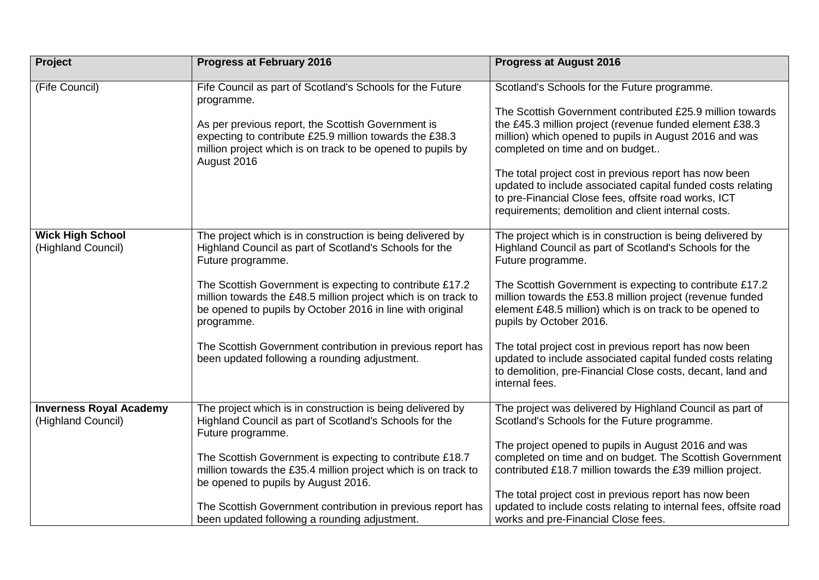| Project                                              | <b>Progress at February 2016</b>                                                                                                                                                                      | <b>Progress at August 2016</b>                                                                                                                                                                                                                                              |
|------------------------------------------------------|-------------------------------------------------------------------------------------------------------------------------------------------------------------------------------------------------------|-----------------------------------------------------------------------------------------------------------------------------------------------------------------------------------------------------------------------------------------------------------------------------|
| (Fife Council)                                       | Fife Council as part of Scotland's Schools for the Future<br>programme.                                                                                                                               | Scotland's Schools for the Future programme.                                                                                                                                                                                                                                |
|                                                      | As per previous report, the Scottish Government is<br>expecting to contribute £25.9 million towards the £38.3<br>million project which is on track to be opened to pupils by<br>August 2016           | The Scottish Government contributed £25.9 million towards<br>the £45.3 million project (revenue funded element £38.3<br>million) which opened to pupils in August 2016 and was<br>completed on time and on budget<br>The total project cost in previous report has now been |
|                                                      |                                                                                                                                                                                                       | updated to include associated capital funded costs relating<br>to pre-Financial Close fees, offsite road works, ICT<br>requirements; demolition and client internal costs.                                                                                                  |
| <b>Wick High School</b><br>(Highland Council)        | The project which is in construction is being delivered by<br>Highland Council as part of Scotland's Schools for the<br>Future programme.                                                             | The project which is in construction is being delivered by<br>Highland Council as part of Scotland's Schools for the<br>Future programme.                                                                                                                                   |
|                                                      | The Scottish Government is expecting to contribute £17.2<br>million towards the £48.5 million project which is on track to<br>be opened to pupils by October 2016 in line with original<br>programme. | The Scottish Government is expecting to contribute £17.2<br>million towards the £53.8 million project (revenue funded<br>element £48.5 million) which is on track to be opened to<br>pupils by October 2016.                                                                |
|                                                      | The Scottish Government contribution in previous report has<br>been updated following a rounding adjustment.                                                                                          | The total project cost in previous report has now been<br>updated to include associated capital funded costs relating<br>to demolition, pre-Financial Close costs, decant, land and<br>internal fees.                                                                       |
| <b>Inverness Royal Academy</b><br>(Highland Council) | The project which is in construction is being delivered by<br>Highland Council as part of Scotland's Schools for the<br>Future programme.                                                             | The project was delivered by Highland Council as part of<br>Scotland's Schools for the Future programme.                                                                                                                                                                    |
|                                                      | The Scottish Government is expecting to contribute £18.7<br>million towards the £35.4 million project which is on track to<br>be opened to pupils by August 2016.                                     | The project opened to pupils in August 2016 and was<br>completed on time and on budget. The Scottish Government<br>contributed £18.7 million towards the £39 million project.                                                                                               |
|                                                      | The Scottish Government contribution in previous report has<br>been updated following a rounding adjustment.                                                                                          | The total project cost in previous report has now been<br>updated to include costs relating to internal fees, offsite road<br>works and pre-Financial Close fees.                                                                                                           |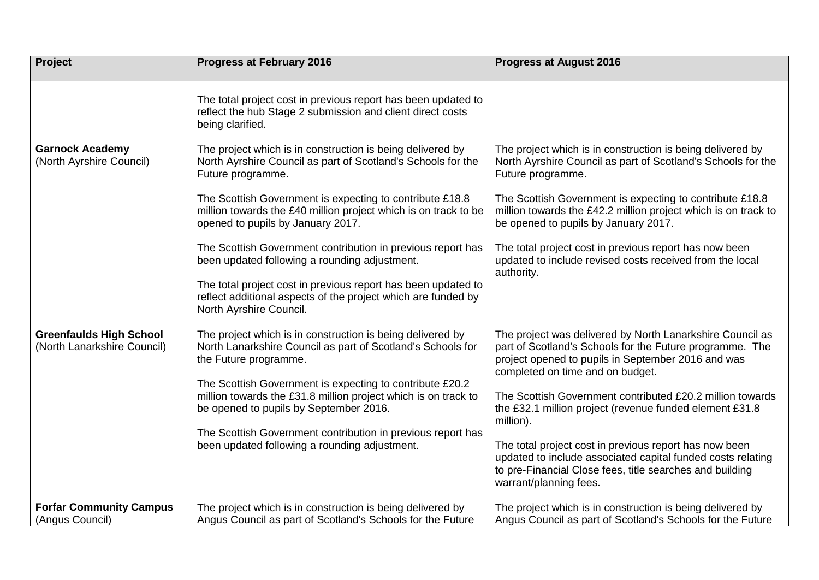| Project                                                       | <b>Progress at February 2016</b>                                                                                                                                                                                                                                                                                                                                                                                                                                                                                                                                                                 | <b>Progress at August 2016</b>                                                                                                                                                                                                                                                                                                                                                                                                                                                                                                                                      |
|---------------------------------------------------------------|--------------------------------------------------------------------------------------------------------------------------------------------------------------------------------------------------------------------------------------------------------------------------------------------------------------------------------------------------------------------------------------------------------------------------------------------------------------------------------------------------------------------------------------------------------------------------------------------------|---------------------------------------------------------------------------------------------------------------------------------------------------------------------------------------------------------------------------------------------------------------------------------------------------------------------------------------------------------------------------------------------------------------------------------------------------------------------------------------------------------------------------------------------------------------------|
|                                                               | The total project cost in previous report has been updated to<br>reflect the hub Stage 2 submission and client direct costs<br>being clarified.                                                                                                                                                                                                                                                                                                                                                                                                                                                  |                                                                                                                                                                                                                                                                                                                                                                                                                                                                                                                                                                     |
| <b>Garnock Academy</b><br>(North Ayrshire Council)            | The project which is in construction is being delivered by<br>North Ayrshire Council as part of Scotland's Schools for the<br>Future programme.<br>The Scottish Government is expecting to contribute £18.8<br>million towards the £40 million project which is on track to be<br>opened to pupils by January 2017.<br>The Scottish Government contribution in previous report has<br>been updated following a rounding adjustment.<br>The total project cost in previous report has been updated to<br>reflect additional aspects of the project which are funded by<br>North Ayrshire Council. | The project which is in construction is being delivered by<br>North Ayrshire Council as part of Scotland's Schools for the<br>Future programme.<br>The Scottish Government is expecting to contribute £18.8<br>million towards the £42.2 million project which is on track to<br>be opened to pupils by January 2017.<br>The total project cost in previous report has now been<br>updated to include revised costs received from the local<br>authority.                                                                                                           |
| <b>Greenfaulds High School</b><br>(North Lanarkshire Council) | The project which is in construction is being delivered by<br>North Lanarkshire Council as part of Scotland's Schools for<br>the Future programme.<br>The Scottish Government is expecting to contribute £20.2<br>million towards the £31.8 million project which is on track to<br>be opened to pupils by September 2016.<br>The Scottish Government contribution in previous report has<br>been updated following a rounding adjustment.                                                                                                                                                       | The project was delivered by North Lanarkshire Council as<br>part of Scotland's Schools for the Future programme. The<br>project opened to pupils in September 2016 and was<br>completed on time and on budget.<br>The Scottish Government contributed £20.2 million towards<br>the £32.1 million project (revenue funded element £31.8<br>million).<br>The total project cost in previous report has now been<br>updated to include associated capital funded costs relating<br>to pre-Financial Close fees, title searches and building<br>warrant/planning fees. |
| <b>Forfar Community Campus</b><br>(Angus Council)             | The project which is in construction is being delivered by<br>Angus Council as part of Scotland's Schools for the Future                                                                                                                                                                                                                                                                                                                                                                                                                                                                         | The project which is in construction is being delivered by<br>Angus Council as part of Scotland's Schools for the Future                                                                                                                                                                                                                                                                                                                                                                                                                                            |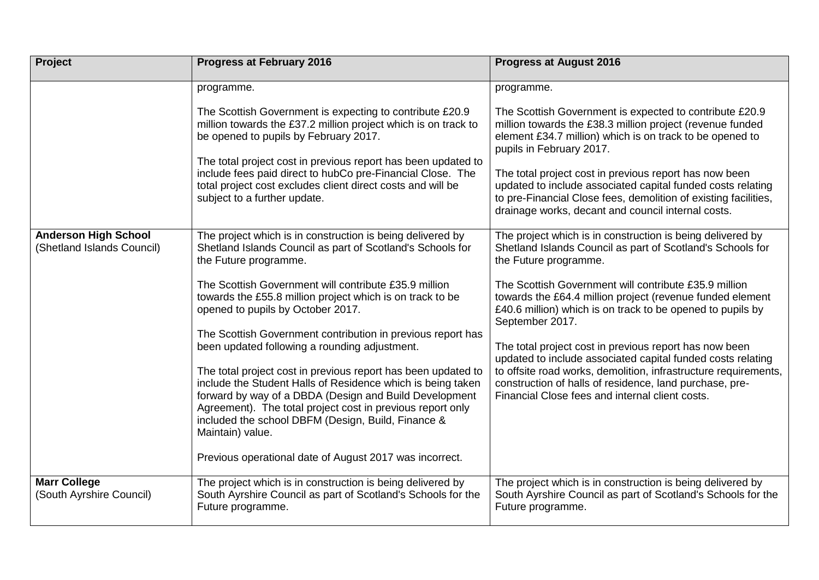| Project                                                   | <b>Progress at February 2016</b>                                                                                                                                                                                                                                                                                               | <b>Progress at August 2016</b>                                                                                                                                                                                                                                         |
|-----------------------------------------------------------|--------------------------------------------------------------------------------------------------------------------------------------------------------------------------------------------------------------------------------------------------------------------------------------------------------------------------------|------------------------------------------------------------------------------------------------------------------------------------------------------------------------------------------------------------------------------------------------------------------------|
|                                                           | programme.                                                                                                                                                                                                                                                                                                                     | programme.                                                                                                                                                                                                                                                             |
|                                                           | The Scottish Government is expecting to contribute £20.9<br>million towards the £37.2 million project which is on track to<br>be opened to pupils by February 2017.<br>The total project cost in previous report has been updated to<br>include fees paid direct to hubCo pre-Financial Close. The                             | The Scottish Government is expected to contribute £20.9<br>million towards the £38.3 million project (revenue funded<br>element £34.7 million) which is on track to be opened to<br>pupils in February 2017.<br>The total project cost in previous report has now been |
|                                                           | total project cost excludes client direct costs and will be<br>subject to a further update.                                                                                                                                                                                                                                    | updated to include associated capital funded costs relating<br>to pre-Financial Close fees, demolition of existing facilities,<br>drainage works, decant and council internal costs.                                                                                   |
| <b>Anderson High School</b><br>(Shetland Islands Council) | The project which is in construction is being delivered by<br>Shetland Islands Council as part of Scotland's Schools for<br>the Future programme.                                                                                                                                                                              | The project which is in construction is being delivered by<br>Shetland Islands Council as part of Scotland's Schools for<br>the Future programme.                                                                                                                      |
|                                                           | The Scottish Government will contribute £35.9 million<br>towards the £55.8 million project which is on track to be<br>opened to pupils by October 2017.<br>The Scottish Government contribution in previous report has                                                                                                         | The Scottish Government will contribute £35.9 million<br>towards the £64.4 million project (revenue funded element<br>£40.6 million) which is on track to be opened to pupils by<br>September 2017.                                                                    |
|                                                           | been updated following a rounding adjustment.                                                                                                                                                                                                                                                                                  | The total project cost in previous report has now been<br>updated to include associated capital funded costs relating                                                                                                                                                  |
|                                                           | The total project cost in previous report has been updated to<br>include the Student Halls of Residence which is being taken<br>forward by way of a DBDA (Design and Build Development<br>Agreement). The total project cost in previous report only<br>included the school DBFM (Design, Build, Finance &<br>Maintain) value. | to offsite road works, demolition, infrastructure requirements,<br>construction of halls of residence, land purchase, pre-<br>Financial Close fees and internal client costs.                                                                                          |
|                                                           | Previous operational date of August 2017 was incorrect.                                                                                                                                                                                                                                                                        |                                                                                                                                                                                                                                                                        |
| <b>Marr College</b><br>(South Ayrshire Council)           | The project which is in construction is being delivered by<br>South Ayrshire Council as part of Scotland's Schools for the<br>Future programme.                                                                                                                                                                                | The project which is in construction is being delivered by<br>South Ayrshire Council as part of Scotland's Schools for the<br>Future programme.                                                                                                                        |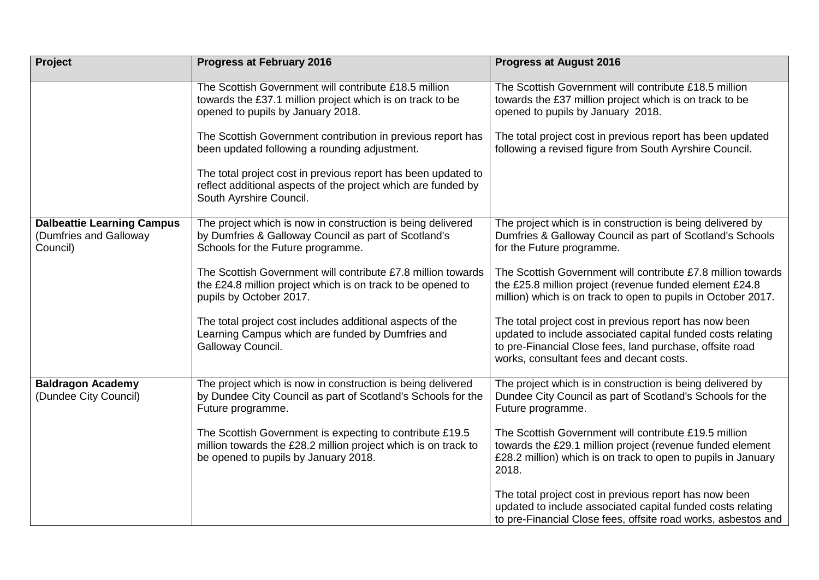| <b>Project</b>                                                          | <b>Progress at February 2016</b>                                                                                                                                   | <b>Progress at August 2016</b>                                                                                                                                                                                                |
|-------------------------------------------------------------------------|--------------------------------------------------------------------------------------------------------------------------------------------------------------------|-------------------------------------------------------------------------------------------------------------------------------------------------------------------------------------------------------------------------------|
|                                                                         | The Scottish Government will contribute £18.5 million<br>towards the £37.1 million project which is on track to be<br>opened to pupils by January 2018.            | The Scottish Government will contribute £18.5 million<br>towards the £37 million project which is on track to be<br>opened to pupils by January 2018.                                                                         |
|                                                                         | The Scottish Government contribution in previous report has<br>been updated following a rounding adjustment.                                                       | The total project cost in previous report has been updated<br>following a revised figure from South Ayrshire Council.                                                                                                         |
|                                                                         | The total project cost in previous report has been updated to<br>reflect additional aspects of the project which are funded by<br>South Ayrshire Council.          |                                                                                                                                                                                                                               |
| <b>Dalbeattie Learning Campus</b><br>(Dumfries and Galloway<br>Council) | The project which is now in construction is being delivered<br>by Dumfries & Galloway Council as part of Scotland's<br>Schools for the Future programme.           | The project which is in construction is being delivered by<br>Dumfries & Galloway Council as part of Scotland's Schools<br>for the Future programme.                                                                          |
|                                                                         | The Scottish Government will contribute £7.8 million towards<br>the £24.8 million project which is on track to be opened to<br>pupils by October 2017.             | The Scottish Government will contribute £7.8 million towards<br>the £25.8 million project (revenue funded element £24.8<br>million) which is on track to open to pupils in October 2017.                                      |
|                                                                         | The total project cost includes additional aspects of the<br>Learning Campus which are funded by Dumfries and<br>Galloway Council.                                 | The total project cost in previous report has now been<br>updated to include associated capital funded costs relating<br>to pre-Financial Close fees, land purchase, offsite road<br>works, consultant fees and decant costs. |
| <b>Baldragon Academy</b><br>(Dundee City Council)                       | The project which is now in construction is being delivered<br>by Dundee City Council as part of Scotland's Schools for the<br>Future programme.                   | The project which is in construction is being delivered by<br>Dundee City Council as part of Scotland's Schools for the<br>Future programme.                                                                                  |
|                                                                         | The Scottish Government is expecting to contribute £19.5<br>million towards the £28.2 million project which is on track to<br>be opened to pupils by January 2018. | The Scottish Government will contribute £19.5 million<br>towards the £29.1 million project (revenue funded element<br>£28.2 million) which is on track to open to pupils in January<br>2018.                                  |
|                                                                         |                                                                                                                                                                    | The total project cost in previous report has now been<br>updated to include associated capital funded costs relating<br>to pre-Financial Close fees, offsite road works, asbestos and                                        |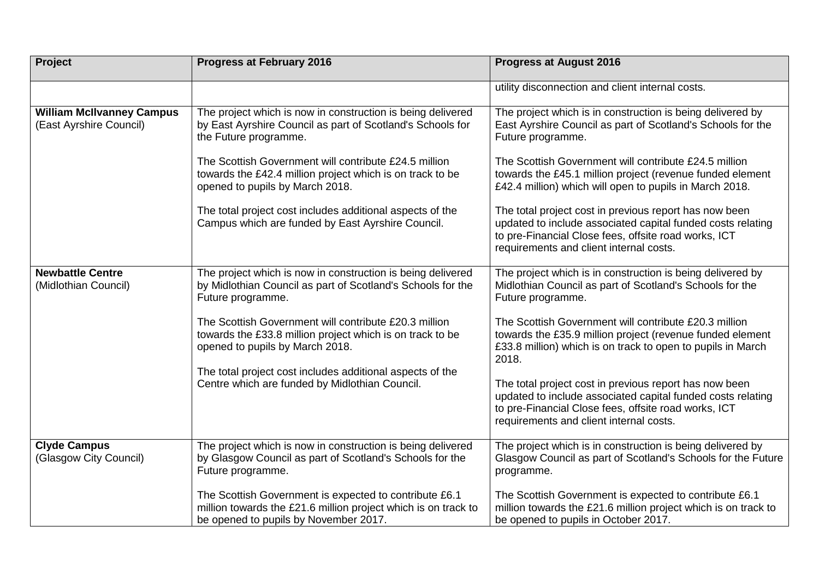| <b>Project</b>                                              | <b>Progress at February 2016</b>                                                                                                                                  | <b>Progress at August 2016</b>                                                                                                                                                                                           |
|-------------------------------------------------------------|-------------------------------------------------------------------------------------------------------------------------------------------------------------------|--------------------------------------------------------------------------------------------------------------------------------------------------------------------------------------------------------------------------|
|                                                             |                                                                                                                                                                   | utility disconnection and client internal costs.                                                                                                                                                                         |
| <b>William McIlvanney Campus</b><br>(East Ayrshire Council) | The project which is now in construction is being delivered<br>by East Ayrshire Council as part of Scotland's Schools for<br>the Future programme.                | The project which is in construction is being delivered by<br>East Ayrshire Council as part of Scotland's Schools for the<br>Future programme.                                                                           |
|                                                             | The Scottish Government will contribute £24.5 million<br>towards the £42.4 million project which is on track to be<br>opened to pupils by March 2018.             | The Scottish Government will contribute £24.5 million<br>towards the £45.1 million project (revenue funded element<br>£42.4 million) which will open to pupils in March 2018.                                            |
|                                                             | The total project cost includes additional aspects of the<br>Campus which are funded by East Ayrshire Council.                                                    | The total project cost in previous report has now been<br>updated to include associated capital funded costs relating<br>to pre-Financial Close fees, offsite road works, ICT<br>requirements and client internal costs. |
| <b>Newbattle Centre</b><br>(Midlothian Council)             | The project which is now in construction is being delivered<br>by Midlothian Council as part of Scotland's Schools for the<br>Future programme.                   | The project which is in construction is being delivered by<br>Midlothian Council as part of Scotland's Schools for the<br>Future programme.                                                                              |
|                                                             | The Scottish Government will contribute £20.3 million<br>towards the £33.8 million project which is on track to be<br>opened to pupils by March 2018.             | The Scottish Government will contribute £20.3 million<br>towards the £35.9 million project (revenue funded element<br>£33.8 million) which is on track to open to pupils in March<br>2018.                               |
|                                                             | The total project cost includes additional aspects of the<br>Centre which are funded by Midlothian Council.                                                       | The total project cost in previous report has now been<br>updated to include associated capital funded costs relating<br>to pre-Financial Close fees, offsite road works, ICT<br>requirements and client internal costs. |
| <b>Clyde Campus</b><br>(Glasgow City Council)               | The project which is now in construction is being delivered<br>by Glasgow Council as part of Scotland's Schools for the<br>Future programme.                      | The project which is in construction is being delivered by<br>Glasgow Council as part of Scotland's Schools for the Future<br>programme.                                                                                 |
|                                                             | The Scottish Government is expected to contribute £6.1<br>million towards the £21.6 million project which is on track to<br>be opened to pupils by November 2017. | The Scottish Government is expected to contribute £6.1<br>million towards the £21.6 million project which is on track to<br>be opened to pupils in October 2017.                                                         |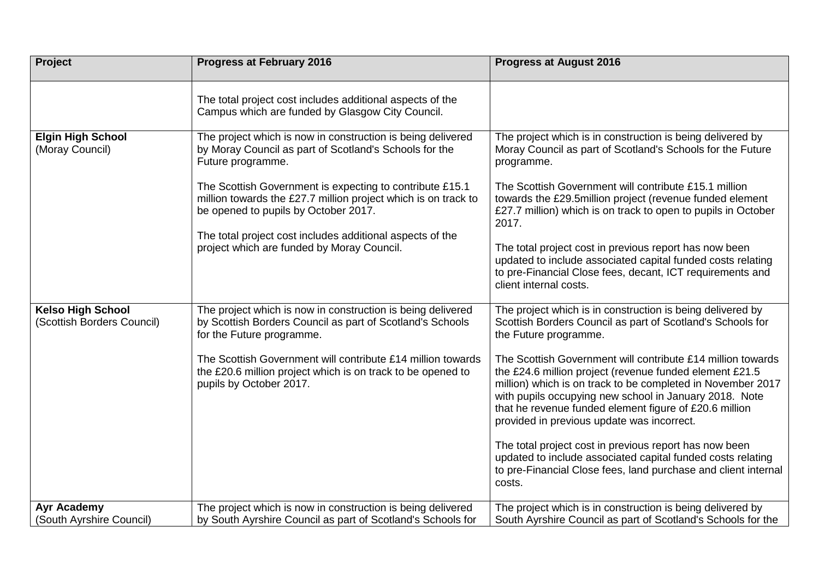| <b>Project</b>                                         | <b>Progress at February 2016</b>                                                                                                                                                                                                                                                                                                                                                                                            | <b>Progress at August 2016</b>                                                                                                                                                                                                                                                                                                                                                                                                                                                                                              |
|--------------------------------------------------------|-----------------------------------------------------------------------------------------------------------------------------------------------------------------------------------------------------------------------------------------------------------------------------------------------------------------------------------------------------------------------------------------------------------------------------|-----------------------------------------------------------------------------------------------------------------------------------------------------------------------------------------------------------------------------------------------------------------------------------------------------------------------------------------------------------------------------------------------------------------------------------------------------------------------------------------------------------------------------|
|                                                        | The total project cost includes additional aspects of the<br>Campus which are funded by Glasgow City Council.                                                                                                                                                                                                                                                                                                               |                                                                                                                                                                                                                                                                                                                                                                                                                                                                                                                             |
| <b>Elgin High School</b><br>(Moray Council)            | The project which is now in construction is being delivered<br>by Moray Council as part of Scotland's Schools for the<br>Future programme.<br>The Scottish Government is expecting to contribute £15.1<br>million towards the £27.7 million project which is on track to<br>be opened to pupils by October 2017.<br>The total project cost includes additional aspects of the<br>project which are funded by Moray Council. | The project which is in construction is being delivered by<br>Moray Council as part of Scotland's Schools for the Future<br>programme.<br>The Scottish Government will contribute £15.1 million<br>towards the £29.5million project (revenue funded element<br>£27.7 million) which is on track to open to pupils in October<br>2017.<br>The total project cost in previous report has now been<br>updated to include associated capital funded costs relating<br>to pre-Financial Close fees, decant, ICT requirements and |
|                                                        |                                                                                                                                                                                                                                                                                                                                                                                                                             | client internal costs.                                                                                                                                                                                                                                                                                                                                                                                                                                                                                                      |
| <b>Kelso High School</b><br>(Scottish Borders Council) | The project which is now in construction is being delivered<br>by Scottish Borders Council as part of Scotland's Schools<br>for the Future programme.                                                                                                                                                                                                                                                                       | The project which is in construction is being delivered by<br>Scottish Borders Council as part of Scotland's Schools for<br>the Future programme.                                                                                                                                                                                                                                                                                                                                                                           |
|                                                        | The Scottish Government will contribute £14 million towards<br>the £20.6 million project which is on track to be opened to<br>pupils by October 2017.                                                                                                                                                                                                                                                                       | The Scottish Government will contribute £14 million towards<br>the £24.6 million project (revenue funded element £21.5<br>million) which is on track to be completed in November 2017<br>with pupils occupying new school in January 2018. Note<br>that he revenue funded element figure of £20.6 million<br>provided in previous update was incorrect.                                                                                                                                                                     |
|                                                        |                                                                                                                                                                                                                                                                                                                                                                                                                             | The total project cost in previous report has now been<br>updated to include associated capital funded costs relating<br>to pre-Financial Close fees, land purchase and client internal<br>costs.                                                                                                                                                                                                                                                                                                                           |
| Ayr Academy<br>(South Ayrshire Council)                | The project which is now in construction is being delivered<br>by South Ayrshire Council as part of Scotland's Schools for                                                                                                                                                                                                                                                                                                  | The project which is in construction is being delivered by<br>South Ayrshire Council as part of Scotland's Schools for the                                                                                                                                                                                                                                                                                                                                                                                                  |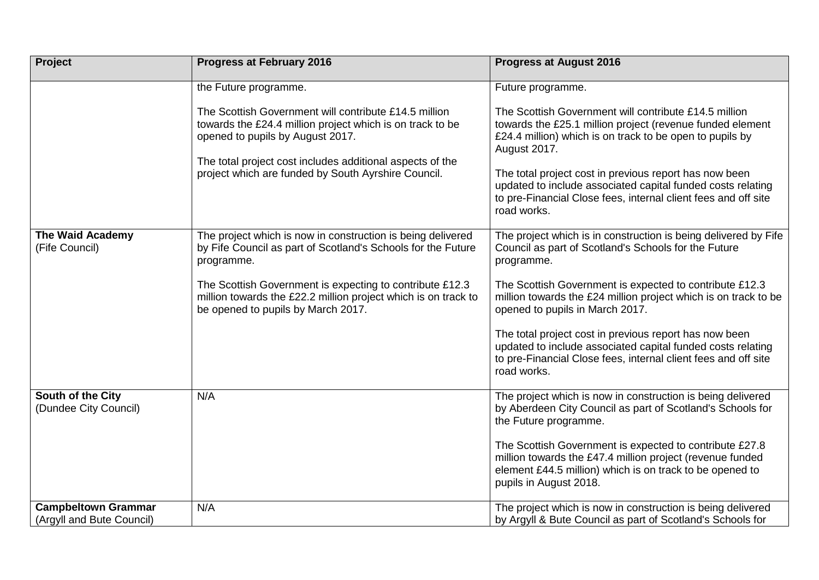| <b>Project</b>                                          | <b>Progress at February 2016</b>                                                                                                                                                                                                                                           | <b>Progress at August 2016</b>                                                                                                                                                                                                                                                                                                                                                                           |
|---------------------------------------------------------|----------------------------------------------------------------------------------------------------------------------------------------------------------------------------------------------------------------------------------------------------------------------------|----------------------------------------------------------------------------------------------------------------------------------------------------------------------------------------------------------------------------------------------------------------------------------------------------------------------------------------------------------------------------------------------------------|
|                                                         | the Future programme.                                                                                                                                                                                                                                                      | Future programme.                                                                                                                                                                                                                                                                                                                                                                                        |
|                                                         | The Scottish Government will contribute £14.5 million<br>towards the £24.4 million project which is on track to be<br>opened to pupils by August 2017.<br>The total project cost includes additional aspects of the<br>project which are funded by South Ayrshire Council. | The Scottish Government will contribute £14.5 million<br>towards the £25.1 million project (revenue funded element<br>£24.4 million) which is on track to be open to pupils by<br>August 2017.<br>The total project cost in previous report has now been<br>updated to include associated capital funded costs relating<br>to pre-Financial Close fees, internal client fees and off site<br>road works. |
| <b>The Waid Academy</b><br>(Fife Council)               | The project which is now in construction is being delivered<br>by Fife Council as part of Scotland's Schools for the Future<br>programme.                                                                                                                                  | The project which is in construction is being delivered by Fife<br>Council as part of Scotland's Schools for the Future<br>programme.                                                                                                                                                                                                                                                                    |
|                                                         | The Scottish Government is expecting to contribute £12.3<br>million towards the £22.2 million project which is on track to<br>be opened to pupils by March 2017.                                                                                                           | The Scottish Government is expected to contribute £12.3<br>million towards the £24 million project which is on track to be<br>opened to pupils in March 2017.                                                                                                                                                                                                                                            |
|                                                         |                                                                                                                                                                                                                                                                            | The total project cost in previous report has now been<br>updated to include associated capital funded costs relating<br>to pre-Financial Close fees, internal client fees and off site<br>road works.                                                                                                                                                                                                   |
| South of the City<br>(Dundee City Council)              | N/A                                                                                                                                                                                                                                                                        | The project which is now in construction is being delivered<br>by Aberdeen City Council as part of Scotland's Schools for<br>the Future programme.                                                                                                                                                                                                                                                       |
|                                                         |                                                                                                                                                                                                                                                                            | The Scottish Government is expected to contribute £27.8<br>million towards the £47.4 million project (revenue funded<br>element £44.5 million) which is on track to be opened to<br>pupils in August 2018.                                                                                                                                                                                               |
| <b>Campbeltown Grammar</b><br>(Argyll and Bute Council) | N/A                                                                                                                                                                                                                                                                        | The project which is now in construction is being delivered<br>by Argyll & Bute Council as part of Scotland's Schools for                                                                                                                                                                                                                                                                                |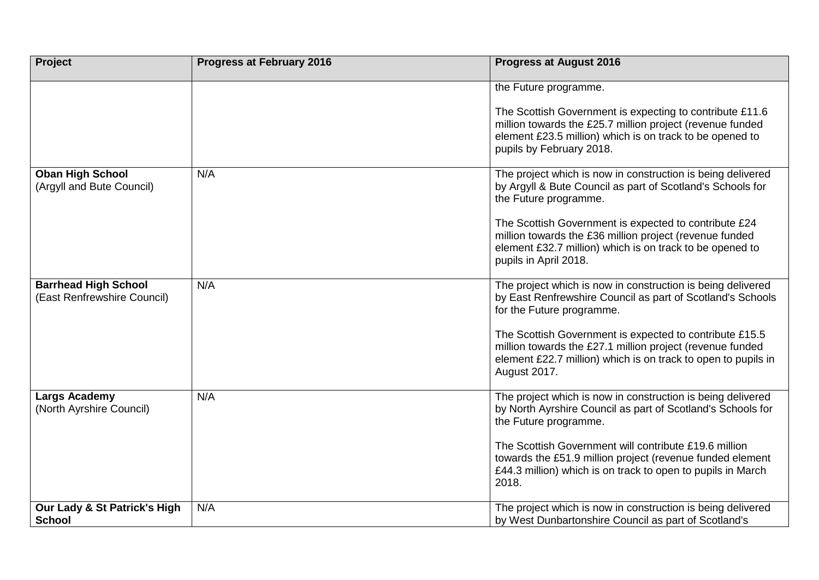| <b>Project</b>                                             | <b>Progress at February 2016</b> | <b>Progress at August 2016</b>                                                                                                                                                                                |
|------------------------------------------------------------|----------------------------------|---------------------------------------------------------------------------------------------------------------------------------------------------------------------------------------------------------------|
|                                                            |                                  | the Future programme.                                                                                                                                                                                         |
|                                                            |                                  | The Scottish Government is expecting to contribute £11.6<br>million towards the £25.7 million project (revenue funded<br>element £23.5 million) which is on track to be opened to<br>pupils by February 2018. |
| <b>Oban High School</b><br>(Argyll and Bute Council)       | N/A                              | The project which is now in construction is being delivered<br>by Argyll & Bute Council as part of Scotland's Schools for<br>the Future programme.                                                            |
|                                                            |                                  | The Scottish Government is expected to contribute £24<br>million towards the £36 million project (revenue funded<br>element £32.7 million) which is on track to be opened to<br>pupils in April 2018.         |
| <b>Barrhead High School</b><br>(East Renfrewshire Council) | N/A                              | The project which is now in construction is being delivered<br>by East Renfrewshire Council as part of Scotland's Schools<br>for the Future programme.                                                        |
|                                                            |                                  | The Scottish Government is expected to contribute £15.5<br>million towards the £27.1 million project (revenue funded<br>element £22.7 million) which is on track to open to pupils in<br>August 2017.         |
| Largs Academy<br>(North Ayrshire Council)                  | N/A                              | The project which is now in construction is being delivered<br>by North Ayrshire Council as part of Scotland's Schools for<br>the Future programme.                                                           |
|                                                            |                                  | The Scottish Government will contribute £19.6 million<br>towards the £51.9 million project (revenue funded element<br>£44.3 million) which is on track to open to pupils in March<br>2018.                    |
| Our Lady & St Patrick's High<br><b>School</b>              | N/A                              | The project which is now in construction is being delivered<br>by West Dunbartonshire Council as part of Scotland's                                                                                           |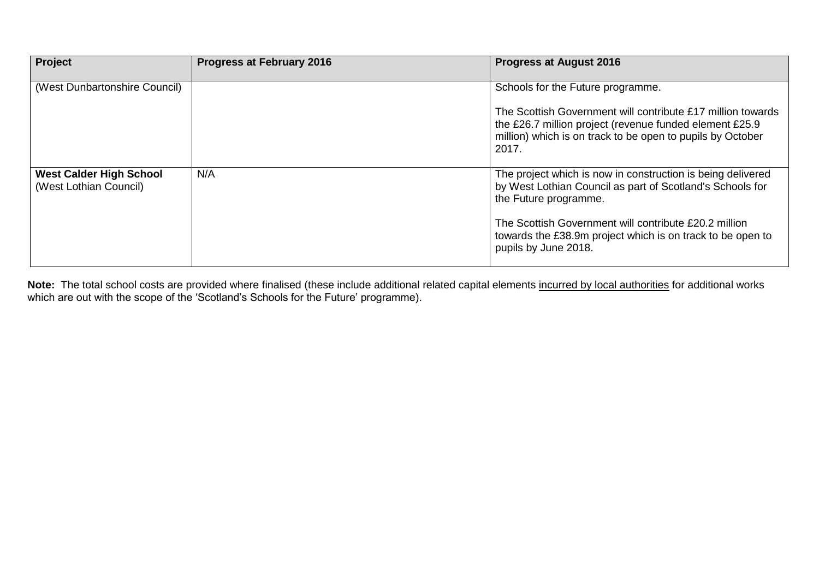| Project                                                  | <b>Progress at February 2016</b> | <b>Progress at August 2016</b>                                                                                                                                                                |
|----------------------------------------------------------|----------------------------------|-----------------------------------------------------------------------------------------------------------------------------------------------------------------------------------------------|
| (West Dunbartonshire Council)                            |                                  | Schools for the Future programme.                                                                                                                                                             |
|                                                          |                                  | The Scottish Government will contribute £17 million towards<br>the £26.7 million project (revenue funded element £25.9<br>million) which is on track to be open to pupils by October<br>2017. |
| <b>West Calder High School</b><br>(West Lothian Council) | N/A                              | The project which is now in construction is being delivered<br>by West Lothian Council as part of Scotland's Schools for<br>the Future programme.                                             |
|                                                          |                                  | The Scottish Government will contribute £20.2 million<br>towards the £38.9m project which is on track to be open to<br>pupils by June 2018.                                                   |

Note: The total school costs are provided where finalised (these include additional related capital elements incurred by local authorities for additional works which are out with the scope of the 'Scotland's Schools for the Future' programme).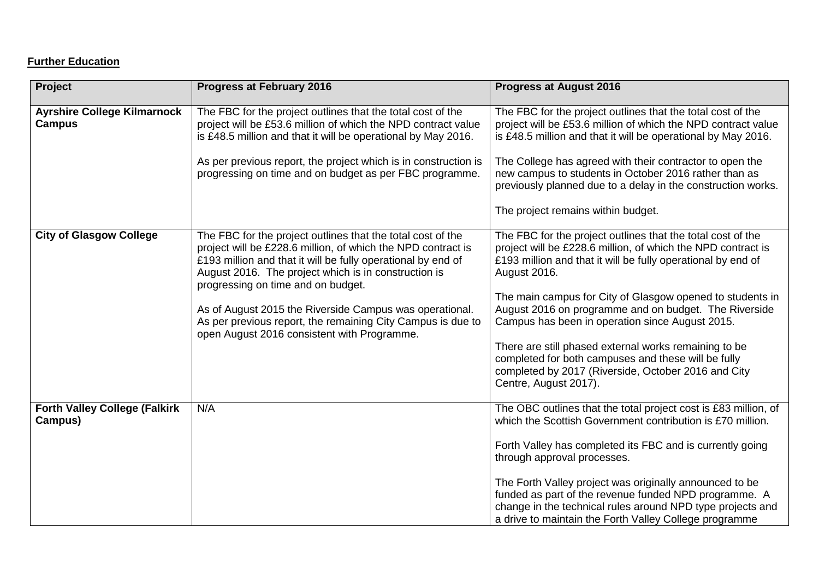# **Further Education**

| <b>Project</b>                                      | <b>Progress at February 2016</b>                                                                                                                                                                                                                                                                                                                                                                                                                                   | <b>Progress at August 2016</b>                                                                                                                                                                                                                                                                                                                                                                                                                                                                                                                                                       |
|-----------------------------------------------------|--------------------------------------------------------------------------------------------------------------------------------------------------------------------------------------------------------------------------------------------------------------------------------------------------------------------------------------------------------------------------------------------------------------------------------------------------------------------|--------------------------------------------------------------------------------------------------------------------------------------------------------------------------------------------------------------------------------------------------------------------------------------------------------------------------------------------------------------------------------------------------------------------------------------------------------------------------------------------------------------------------------------------------------------------------------------|
| <b>Ayrshire College Kilmarnock</b><br><b>Campus</b> | The FBC for the project outlines that the total cost of the<br>project will be £53.6 million of which the NPD contract value<br>is £48.5 million and that it will be operational by May 2016.<br>As per previous report, the project which is in construction is<br>progressing on time and on budget as per FBC programme.                                                                                                                                        | The FBC for the project outlines that the total cost of the<br>project will be £53.6 million of which the NPD contract value<br>is £48.5 million and that it will be operational by May 2016.<br>The College has agreed with their contractor to open the<br>new campus to students in October 2016 rather than as<br>previously planned due to a delay in the construction works.<br>The project remains within budget.                                                                                                                                                             |
| <b>City of Glasgow College</b>                      | The FBC for the project outlines that the total cost of the<br>project will be £228.6 million, of which the NPD contract is<br>£193 million and that it will be fully operational by end of<br>August 2016. The project which is in construction is<br>progressing on time and on budget.<br>As of August 2015 the Riverside Campus was operational.<br>As per previous report, the remaining City Campus is due to<br>open August 2016 consistent with Programme. | The FBC for the project outlines that the total cost of the<br>project will be £228.6 million, of which the NPD contract is<br>£193 million and that it will be fully operational by end of<br>August 2016.<br>The main campus for City of Glasgow opened to students in<br>August 2016 on programme and on budget. The Riverside<br>Campus has been in operation since August 2015.<br>There are still phased external works remaining to be<br>completed for both campuses and these will be fully<br>completed by 2017 (Riverside, October 2016 and City<br>Centre, August 2017). |
| <b>Forth Valley College (Falkirk</b><br>Campus)     | N/A                                                                                                                                                                                                                                                                                                                                                                                                                                                                | The OBC outlines that the total project cost is £83 million, of<br>which the Scottish Government contribution is £70 million.<br>Forth Valley has completed its FBC and is currently going<br>through approval processes.<br>The Forth Valley project was originally announced to be<br>funded as part of the revenue funded NPD programme. A<br>change in the technical rules around NPD type projects and<br>a drive to maintain the Forth Valley College programme                                                                                                                |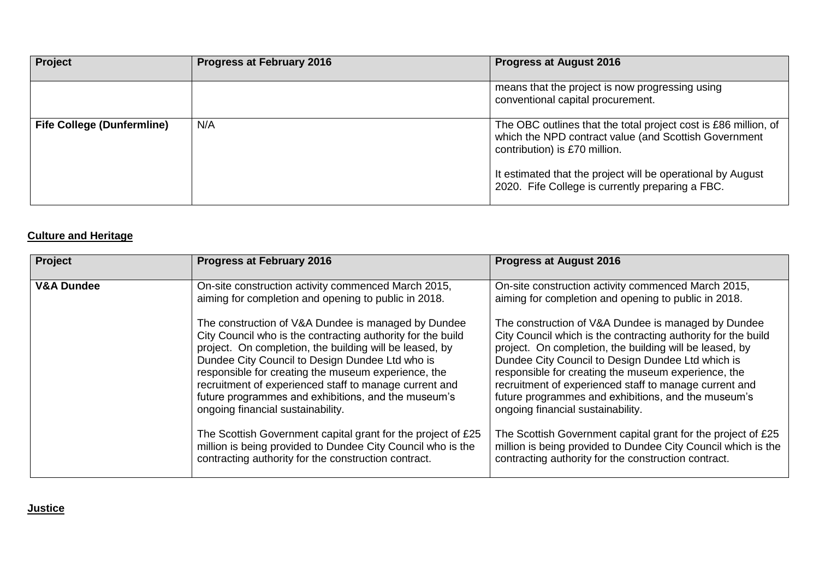| Project                           | <b>Progress at February 2016</b> | <b>Progress at August 2016</b>                                                                                                                            |
|-----------------------------------|----------------------------------|-----------------------------------------------------------------------------------------------------------------------------------------------------------|
|                                   |                                  | means that the project is now progressing using<br>conventional capital procurement.                                                                      |
| <b>Fife College (Dunfermline)</b> | N/A                              | The OBC outlines that the total project cost is £86 million, of<br>which the NPD contract value (and Scottish Government<br>contribution) is £70 million. |
|                                   |                                  | It estimated that the project will be operational by August<br>2020. Fife College is currently preparing a FBC.                                           |

# **Culture and Heritage**

| <b>Project</b>        | <b>Progress at February 2016</b>                                                                                                                                                                                                                                                                                                                                                                                                                                                                                                                                                                                                     | <b>Progress at August 2016</b>                                                                                                                                                                                                                                                                                                                                                                                                                                                                                                                                                                                                             |
|-----------------------|--------------------------------------------------------------------------------------------------------------------------------------------------------------------------------------------------------------------------------------------------------------------------------------------------------------------------------------------------------------------------------------------------------------------------------------------------------------------------------------------------------------------------------------------------------------------------------------------------------------------------------------|--------------------------------------------------------------------------------------------------------------------------------------------------------------------------------------------------------------------------------------------------------------------------------------------------------------------------------------------------------------------------------------------------------------------------------------------------------------------------------------------------------------------------------------------------------------------------------------------------------------------------------------------|
| <b>V&amp;A Dundee</b> | On-site construction activity commenced March 2015,<br>aiming for completion and opening to public in 2018.                                                                                                                                                                                                                                                                                                                                                                                                                                                                                                                          | On-site construction activity commenced March 2015,<br>aiming for completion and opening to public in 2018.                                                                                                                                                                                                                                                                                                                                                                                                                                                                                                                                |
|                       | The construction of V&A Dundee is managed by Dundee<br>City Council who is the contracting authority for the build<br>project. On completion, the building will be leased, by<br>Dundee City Council to Design Dundee Ltd who is<br>responsible for creating the museum experience, the<br>recruitment of experienced staff to manage current and<br>future programmes and exhibitions, and the museum's<br>ongoing financial sustainability.<br>The Scottish Government capital grant for the project of £25<br>million is being provided to Dundee City Council who is the<br>contracting authority for the construction contract. | The construction of V&A Dundee is managed by Dundee<br>City Council which is the contracting authority for the build<br>project. On completion, the building will be leased, by<br>Dundee City Council to Design Dundee Ltd which is<br>responsible for creating the museum experience, the<br>recruitment of experienced staff to manage current and<br>future programmes and exhibitions, and the museum's<br>ongoing financial sustainability.<br>The Scottish Government capital grant for the project of £25<br>million is being provided to Dundee City Council which is the<br>contracting authority for the construction contract. |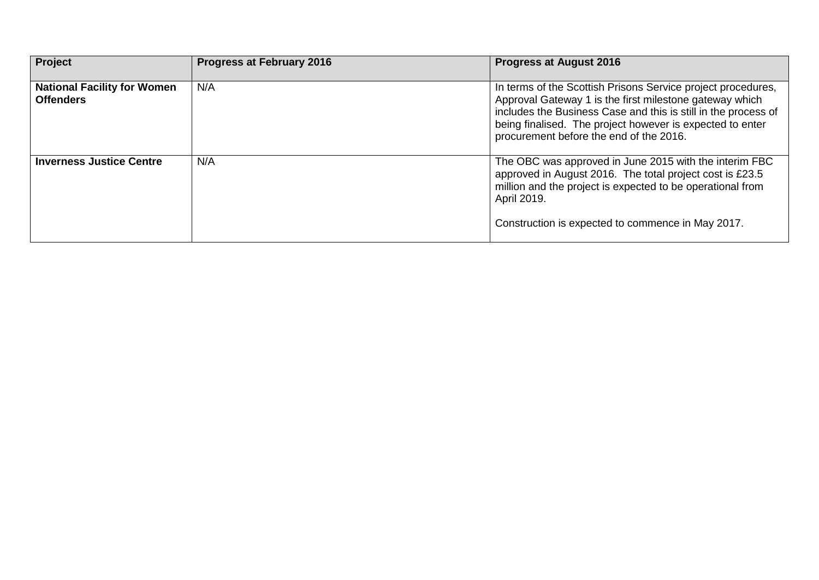| Project                                                | <b>Progress at February 2016</b> | <b>Progress at August 2016</b>                                                                                                                                                                                                                                                                    |
|--------------------------------------------------------|----------------------------------|---------------------------------------------------------------------------------------------------------------------------------------------------------------------------------------------------------------------------------------------------------------------------------------------------|
| <b>National Facility for Women</b><br><b>Offenders</b> | N/A                              | In terms of the Scottish Prisons Service project procedures,<br>Approval Gateway 1 is the first milestone gateway which<br>includes the Business Case and this is still in the process of<br>being finalised. The project however is expected to enter<br>procurement before the end of the 2016. |
| <b>Inverness Justice Centre</b>                        | N/A                              | The OBC was approved in June 2015 with the interim FBC<br>approved in August 2016. The total project cost is £23.5<br>million and the project is expected to be operational from<br>April 2019.<br>Construction is expected to commence in May 2017.                                              |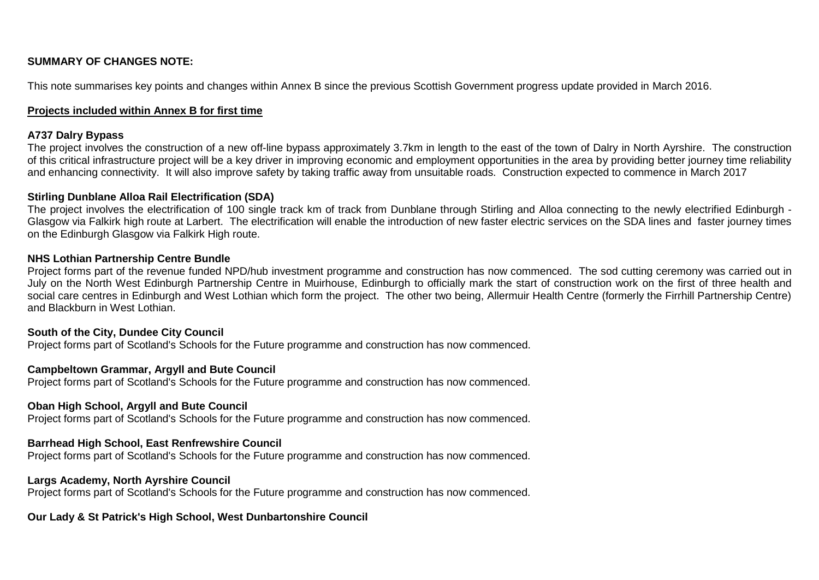## **SUMMARY OF CHANGES NOTE:**

This note summarises key points and changes within Annex B since the previous Scottish Government progress update provided in March 2016.

#### **Projects included within Annex B for first time**

## **A737 Dalry Bypass**

The project involves the construction of a new off-line bypass approximately 3.7km in length to the east of the town of Dalry in North Ayrshire. The construction of this critical infrastructure project will be a key driver in improving economic and employment opportunities in the area by providing better journey time reliability and enhancing connectivity. It will also improve safety by taking traffic away from unsuitable roads. Construction expected to commence in March 2017

#### **Stirling Dunblane Alloa Rail Electrification (SDA)**

The project involves the electrification of 100 single track km of track from Dunblane through Stirling and Alloa connecting to the newly electrified Edinburgh -Glasgow via Falkirk high route at Larbert. The electrification will enable the introduction of new faster electric services on the SDA lines and faster journey times on the Edinburgh Glasgow via Falkirk High route.

#### **NHS Lothian Partnership Centre Bundle**

Project forms part of the revenue funded NPD/hub investment programme and construction has now commenced. The sod cutting ceremony was carried out in July on the North West Edinburgh Partnership Centre in Muirhouse, Edinburgh to officially mark the start of construction work on the first of three health and social care centres in Edinburgh and West Lothian which form the project. The other two being, Allermuir Health Centre (formerly the Firrhill Partnership Centre) and Blackburn in West Lothian.

#### **South of the City, Dundee City Council**

Project forms part of Scotland's Schools for the Future programme and construction has now commenced.

## **Campbeltown Grammar, Argyll and Bute Council**

Project forms part of Scotland's Schools for the Future programme and construction has now commenced.

#### **Oban High School, Argyll and Bute Council**

Project forms part of Scotland's Schools for the Future programme and construction has now commenced.

## **Barrhead High School, East Renfrewshire Council**

Project forms part of Scotland's Schools for the Future programme and construction has now commenced.

#### **Largs Academy, North Ayrshire Council**

Project forms part of Scotland's Schools for the Future programme and construction has now commenced.

#### **Our Lady & St Patrick's High School, West Dunbartonshire Council**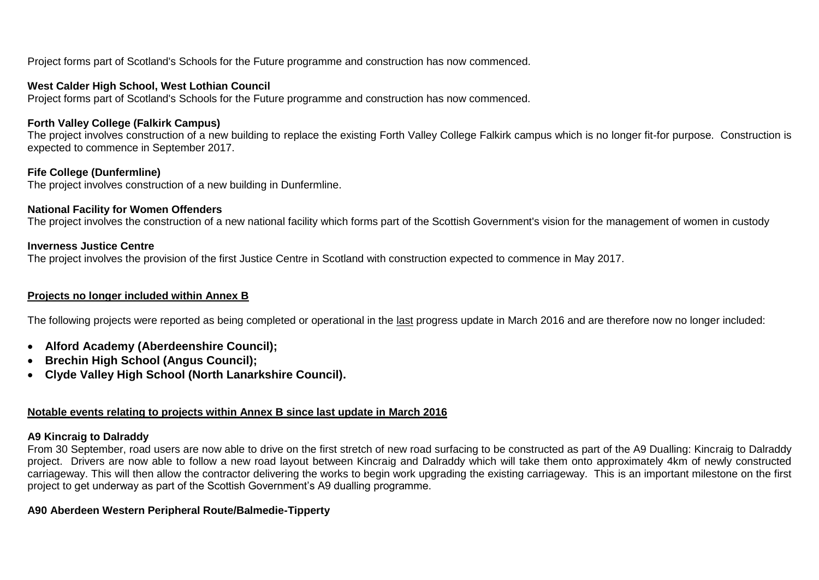Project forms part of Scotland's Schools for the Future programme and construction has now commenced.

#### **West Calder High School, West Lothian Council**

Project forms part of Scotland's Schools for the Future programme and construction has now commenced.

## **Forth Valley College (Falkirk Campus)**

The project involves construction of a new building to replace the existing Forth Valley College Falkirk campus which is no longer fit-for purpose. Construction is expected to commence in September 2017.

## **Fife College (Dunfermline)**

The project involves construction of a new building in Dunfermline.

#### **National Facility for Women Offenders**

The project involves the construction of a new national facility which forms part of the Scottish Government's vision for the management of women in custody

#### **Inverness Justice Centre**

The project involves the provision of the first Justice Centre in Scotland with construction expected to commence in May 2017.

#### **Projects no longer included within Annex B**

The following projects were reported as being completed or operational in the last progress update in March 2016 and are therefore now no longer included:

- **Alford Academy (Aberdeenshire Council);**
- **Brechin High School (Angus Council);**
- **Clyde Valley High School (North Lanarkshire Council).**

## **Notable events relating to projects within Annex B since last update in March 2016**

## **A9 Kincraig to Dalraddy**

From 30 September, road users are now able to drive on the first stretch of new road surfacing to be constructed as part of the A9 Dualling: Kincraig to Dalraddy project. Drivers are now able to follow a new road layout between Kincraig and Dalraddy which will take them onto approximately 4km of newly constructed carriageway. This will then allow the contractor delivering the works to begin work upgrading the existing carriageway. This is an important milestone on the first project to get underway as part of the Scottish Government's A9 dualling programme.

## **A90 Aberdeen Western Peripheral Route/Balmedie-Tipperty**